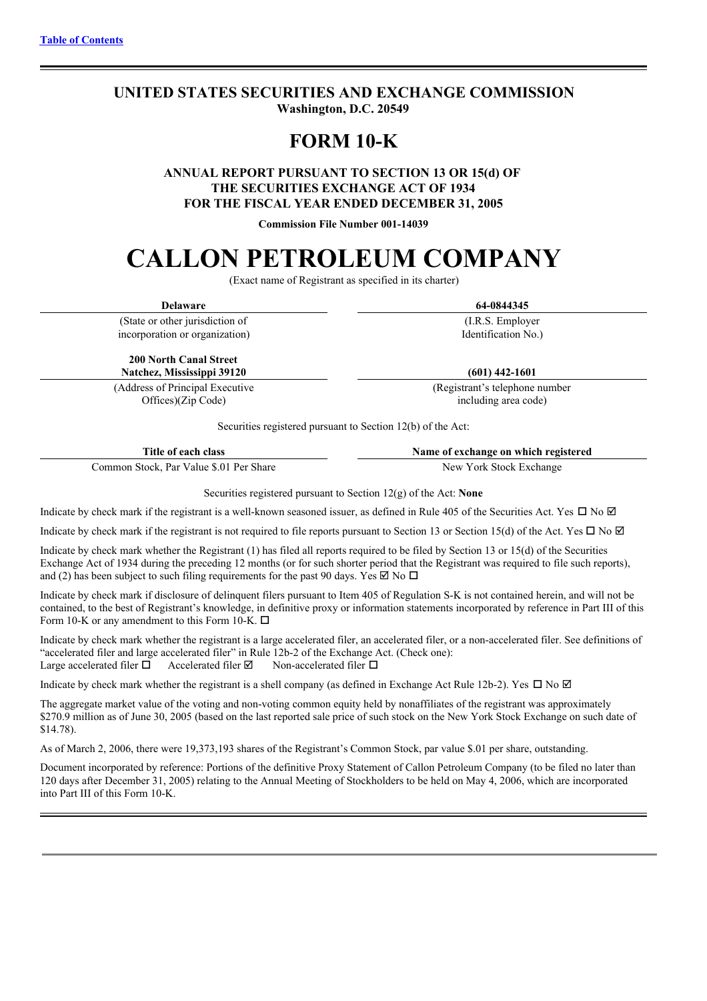## <span id="page-0-0"></span>**UNITED STATES SECURITIES AND EXCHANGE COMMISSION Washington, D.C. 20549**

## **FORM 10-K**

**ANNUAL REPORT PURSUANT TO SECTION 13 OR 15(d) OF THE SECURITIES EXCHANGE ACT OF 1934 FOR THE FISCAL YEAR ENDED DECEMBER 31, 2005**

**Commission File Number 001-14039**

# **CALLON PETROLEUM COMPANY**

(Exact name of Registrant as specified in its charter)

| <b>Delaware</b>                                             | 64-0844345          |
|-------------------------------------------------------------|---------------------|
| (State or other jurisdiction of                             | (I.R.S. Employer)   |
| incorporation or organization)                              | Identification No.) |
| <b>200 North Canal Street</b><br>Natchez, Mississippi 39120 | $(601)$ 442-1601    |

(Address of Principal Executive Offices)(Zip Code)

(Registrant's telephone number including area code)

Securities registered pursuant to Section 12(b) of the Act:

Common Stock, Par Value \$.01 Per Share New York Stock Exchange

**Title of each class Name of exchange on which registered**

Securities registered pursuant to Section 12(g) of the Act: **None**

Indicate by check mark if the registrant is a well-known seasoned issuer, as defined in Rule 405 of the Securities Act. Yes  $\Box$  No  $\Box$ 

Indicate by check mark if the registrant is not required to file reports pursuant to Section 13 or Section 15(d) of the Act. Yes  $\Box$  No  $\Box$ 

Indicate by check mark whether the Registrant (1) has filed all reports required to be filed by Section 13 or 15(d) of the Securities Exchange Act of 1934 during the preceding 12 months (or for such shorter period that the Registrant was required to file such reports), and (2) has been subject to such filing requirements for the past 90 days. Yes  $\boxtimes$  No  $\Box$ 

Indicate by check mark if disclosure of delinquent filers pursuant to Item 405 of Regulation S-K is not contained herein, and will not be contained, to the best of Registrant's knowledge, in definitive proxy or information statements incorporated by reference in Part III of this Form 10-K or any amendment to this Form 10-K.  $\Box$ 

Indicate by check mark whether the registrant is a large accelerated filer, an accelerated filer, or a non-accelerated filer. See definitions of "accelerated filer and large accelerated filer" in Rule 12b-2 of the Exchange Act. (Check one): Large accelerated filer  $\square$  Accelerated filer  $\square$  Non-accelerated filer  $\square$ 

Indicate by check mark whether the registrant is a shell company (as defined in Exchange Act Rule 12b-2). Yes  $\Box$  No  $\Box$ 

The aggregate market value of the voting and non-voting common equity held by nonaffiliates of the registrant was approximately \$270.9 million as of June 30, 2005 (based on the last reported sale price of such stock on the New York Stock Exchange on such date of \$14.78).

As of March 2, 2006, there were 19,373,193 shares of the Registrant's Common Stock, par value \$.01 per share, outstanding.

Document incorporated by reference: Portions of the definitive Proxy Statement of Callon Petroleum Company (to be filed no later than 120 days after December 31, 2005) relating to the Annual Meeting of Stockholders to be held on May 4, 2006, which are incorporated into Part III of this Form 10-K.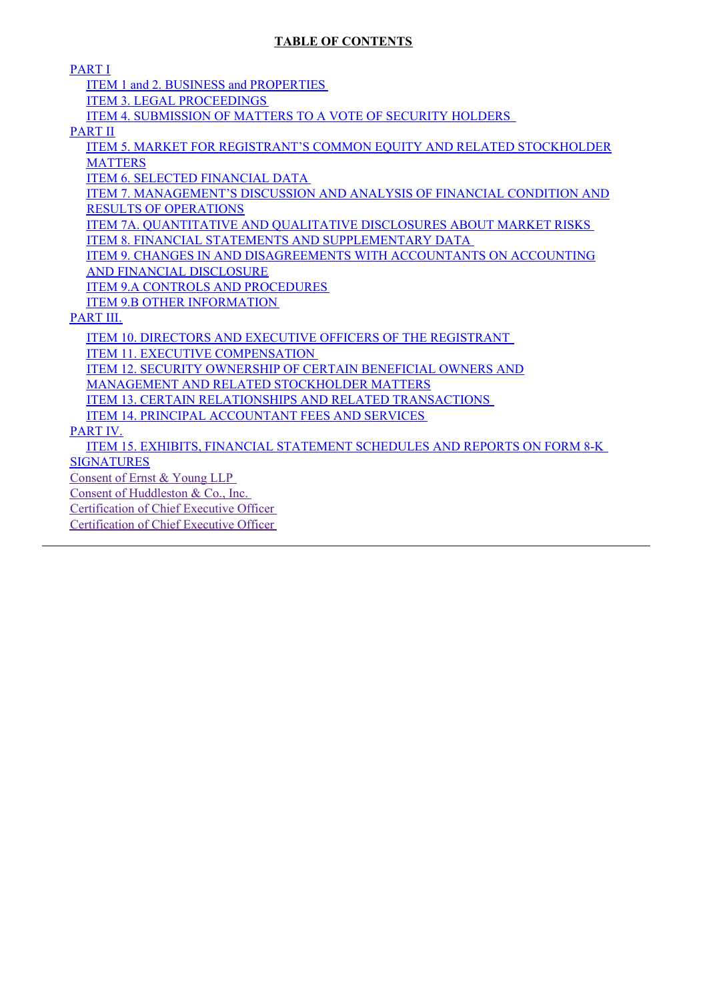## **TABLE OF CONTENTS**

[PART](#page-0-0) I

ITEM 1 and 2. BUSINESS and [PROPERTIES](#page-0-0)

ITEM 3. LEGAL [PROCEEDINGS](#page-0-0)

ITEM 4. [SUBMISSION](#page-0-0) OF MATTERS TO A VOTE OF SECURITY HOLDERS

[PART](#page-0-0) II

ITEM 5. MARKET FOR REGISTRANT'S COMMON EQUITY AND RELATED [STOCKHOLDER](#page-0-0) **MATTERS** 

ITEM 6. SELECTED [FINANCIAL](#page-0-0) DATA

ITEM 7. [MANAGEMENT'S](#page-0-0) DISCUSSION AND ANALYSIS OF FINANCIAL CONDITION AND RESULTS OF OPERATIONS

ITEM 7A. [QUANTITATIVE](#page-0-0) AND QUALITATIVE DISCLOSURES ABOUT MARKET RISKS

ITEM 8. FINANCIAL STATEMENTS AND [SUPPLEMENTARY](#page-0-0) DATA

ITEM 9. CHANGES IN AND [DISAGREEMENTS](#page-0-0) WITH ACCOUNTANTS ON ACCOUNTING AND FINANCIAL DISCLOSURE

ITEM 9.A CONTROLS AND [PROCEDURES](#page-0-0)

ITEM 9.B OTHER [INFORMATION](#page-0-0)

[PART](#page-0-0) III.

ITEM 10. DIRECTORS AND EXECUTIVE OFFICERS OF THE [REGISTRANT](#page-0-0) ITEM 11. EXECUTIVE [COMPENSATION](#page-0-0)

ITEM 12. SECURITY OWNERSHIP OF CERTAIN BENEFICIAL OWNERS AND

MANAGEMENT AND RELATED [STOCKHOLDER](#page-0-0) MATTERS

ITEM 13. CERTAIN [RELATIONSHIPS](#page-0-0) AND RELATED TRANSACTIONS

ITEM 14. PRINCIPAL [ACCOUNTANT](#page-0-0) FEES AND SERVICES

[PART](#page-0-0) IV.

ITEM 15. EXHIBITS, FINANCIAL [STATEMENT](#page-0-0) SCHEDULES AND REPORTS ON FORM 8-K [SIGNATURES](#page-0-0) [Consent](#page-83-0) of Ernst & Young LLP

Consent of [Huddleston](#page-84-0) & Co., Inc.

[Certification](#page-85-0) of Chief Executive Officer

[Certification](#page-87-0) of Chief Executive Officer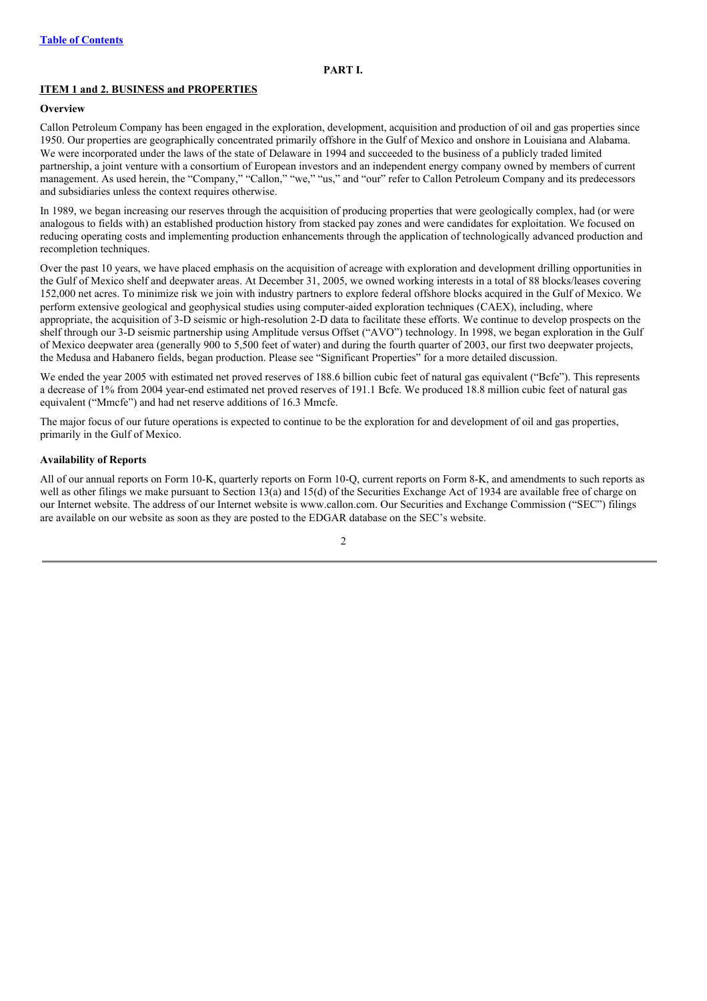#### **PART I.**

#### **ITEM 1 and 2. BUSINESS and PROPERTIES**

#### **Overview**

Callon Petroleum Company has been engaged in the exploration, development, acquisition and production of oil and gas properties since 1950. Our properties are geographically concentrated primarily offshore in the Gulf of Mexico and onshore in Louisiana and Alabama. We were incorporated under the laws of the state of Delaware in 1994 and succeeded to the business of a publicly traded limited partnership, a joint venture with a consortium of European investors and an independent energy company owned by members of current management. As used herein, the "Company," "Callon," "we," "us," and "our" refer to Callon Petroleum Company and its predecessors and subsidiaries unless the context requires otherwise.

In 1989, we began increasing our reserves through the acquisition of producing properties that were geologically complex, had (or were analogous to fields with) an established production history from stacked pay zones and were candidates for exploitation. We focused on reducing operating costs and implementing production enhancements through the application of technologically advanced production and recompletion techniques.

Over the past 10 years, we have placed emphasis on the acquisition of acreage with exploration and development drilling opportunities in the Gulf of Mexico shelf and deepwater areas. At December 31, 2005, we owned working interests in a total of 88 blocks/leases covering 152,000 net acres. To minimize risk we join with industry partners to explore federal offshore blocks acquired in the Gulf of Mexico. We perform extensive geological and geophysical studies using computer-aided exploration techniques (CAEX), including, where appropriate, the acquisition of 3-D seismic or high-resolution 2-D data to facilitate these efforts. We continue to develop prospects on the shelf through our 3-D seismic partnership using Amplitude versus Offset ("AVO") technology. In 1998, we began exploration in the Gulf of Mexico deepwater area (generally 900 to 5,500 feet of water) and during the fourth quarter of 2003, our first two deepwater projects, the Medusa and Habanero fields, began production. Please see "Significant Properties" for a more detailed discussion.

We ended the year 2005 with estimated net proved reserves of 188.6 billion cubic feet of natural gas equivalent ("Bcfe"). This represents a decrease of 1% from 2004 year-end estimated net proved reserves of 191.1 Bcfe. We produced 18.8 million cubic feet of natural gas equivalent ("Mmcfe") and had net reserve additions of 16.3 Mmcfe.

The major focus of our future operations is expected to continue to be the exploration for and development of oil and gas properties, primarily in the Gulf of Mexico.

#### **Availability of Reports**

All of our annual reports on Form 10-K, quarterly reports on Form 10-Q, current reports on Form 8-K, and amendments to such reports as well as other filings we make pursuant to Section 13(a) and 15(d) of the Securities Exchange Act of 1934 are available free of charge on our Internet website. The address of our Internet website is www.callon.com. Our Securities and Exchange Commission ("SEC") filings are available on our website as soon as they are posted to the EDGAR database on the SEC's website.

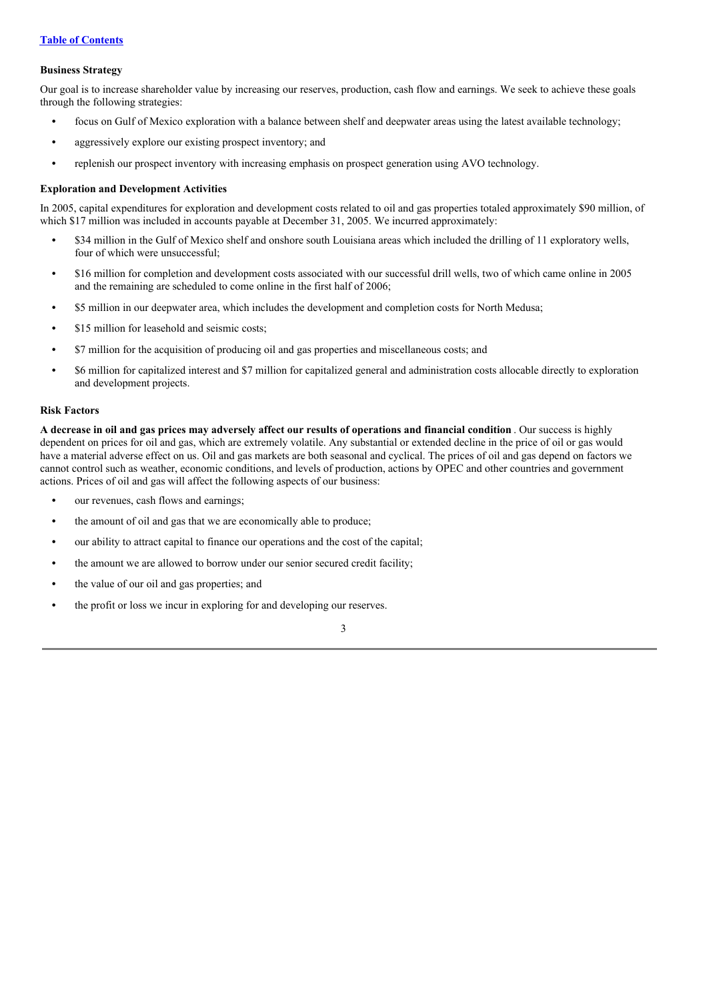#### **Business Strategy**

Our goal is to increase shareholder value by increasing our reserves, production, cash flow and earnings. We seek to achieve these goals through the following strategies:

- **•** focus on Gulf of Mexico exploration with a balance between shelf and deepwater areas using the latest available technology;
- **•** aggressively explore our existing prospect inventory; and
- replenish our prospect inventory with increasing emphasis on prospect generation using AVO technology.

#### **Exploration and Development Activities**

In 2005, capital expenditures for exploration and development costs related to oil and gas properties totaled approximately \$90 million, of which \$17 million was included in accounts payable at December 31, 2005. We incurred approximately:

- **•** \$34 million in the Gulf of Mexico shelf and onshore south Louisiana areas which included the drilling of 11 exploratory wells, four of which were unsuccessful;
- **•** \$16 million for completion and development costs associated with our successful drill wells, two of which came online in 2005 and the remaining are scheduled to come online in the first half of 2006;
- **•** \$5 million in our deepwater area, which includes the development and completion costs for North Medusa;
- \$15 million for leasehold and seismic costs;
- **•** \$7 million for the acquisition of producing oil and gas properties and miscellaneous costs; and
- **•** \$6 million for capitalized interest and \$7 million for capitalized general and administration costs allocable directly to exploration and development projects.

#### **Risk Factors**

A decrease in oil and gas prices may adversely affect our results of operations and financial condition. Our success is highly dependent on prices for oil and gas, which are extremely volatile. Any substantial or extended decline in the price of oil or gas would have a material adverse effect on us. Oil and gas markets are both seasonal and cyclical. The prices of oil and gas depend on factors we cannot control such as weather, economic conditions, and levels of production, actions by OPEC and other countries and government actions. Prices of oil and gas will affect the following aspects of our business:

- **•** our revenues, cash flows and earnings;
- the amount of oil and gas that we are economically able to produce;
- **•** our ability to attract capital to finance our operations and the cost of the capital;
- the amount we are allowed to borrow under our senior secured credit facility;
- **•** the value of our oil and gas properties; and
- the profit or loss we incur in exploring for and developing our reserves.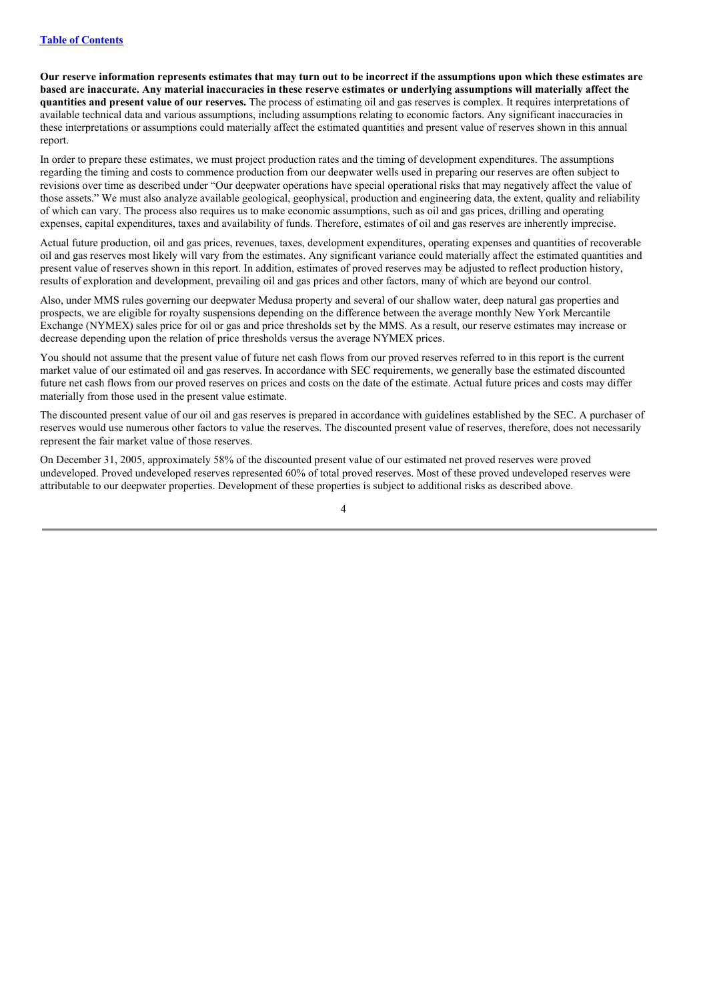Our reserve information represents estimates that may turn out to be incorrect if the assumptions upon which these estimates are based are inaccurate. Any material inaccuracies in these reserve estimates or underlying assumptions will materially affect the **quantities and present value of our reserves.** The process of estimating oil and gas reserves is complex. It requires interpretations of available technical data and various assumptions, including assumptions relating to economic factors. Any significant inaccuracies in these interpretations or assumptions could materially affect the estimated quantities and present value of reserves shown in this annual report.

In order to prepare these estimates, we must project production rates and the timing of development expenditures. The assumptions regarding the timing and costs to commence production from our deepwater wells used in preparing our reserves are often subject to revisions over time as described under "Our deepwater operations have special operational risks that may negatively affect the value of those assets." We must also analyze available geological, geophysical, production and engineering data, the extent, quality and reliability of which can vary. The process also requires us to make economic assumptions, such as oil and gas prices, drilling and operating expenses, capital expenditures, taxes and availability of funds. Therefore, estimates of oil and gas reserves are inherently imprecise.

Actual future production, oil and gas prices, revenues, taxes, development expenditures, operating expenses and quantities of recoverable oil and gas reserves most likely will vary from the estimates. Any significant variance could materially affect the estimated quantities and present value of reserves shown in this report. In addition, estimates of proved reserves may be adjusted to reflect production history, results of exploration and development, prevailing oil and gas prices and other factors, many of which are beyond our control.

Also, under MMS rules governing our deepwater Medusa property and several of our shallow water, deep natural gas properties and prospects, we are eligible for royalty suspensions depending on the difference between the average monthly New York Mercantile Exchange (NYMEX) sales price for oil or gas and price thresholds set by the MMS. As a result, our reserve estimates may increase or decrease depending upon the relation of price thresholds versus the average NYMEX prices.

You should not assume that the present value of future net cash flows from our proved reserves referred to in this report is the current market value of our estimated oil and gas reserves. In accordance with SEC requirements, we generally base the estimated discounted future net cash flows from our proved reserves on prices and costs on the date of the estimate. Actual future prices and costs may differ materially from those used in the present value estimate.

The discounted present value of our oil and gas reserves is prepared in accordance with guidelines established by the SEC. A purchaser of reserves would use numerous other factors to value the reserves. The discounted present value of reserves, therefore, does not necessarily represent the fair market value of those reserves.

On December 31, 2005, approximately 58% of the discounted present value of our estimated net proved reserves were proved undeveloped. Proved undeveloped reserves represented 60% of total proved reserves. Most of these proved undeveloped reserves were attributable to our deepwater properties. Development of these properties is subject to additional risks as described above.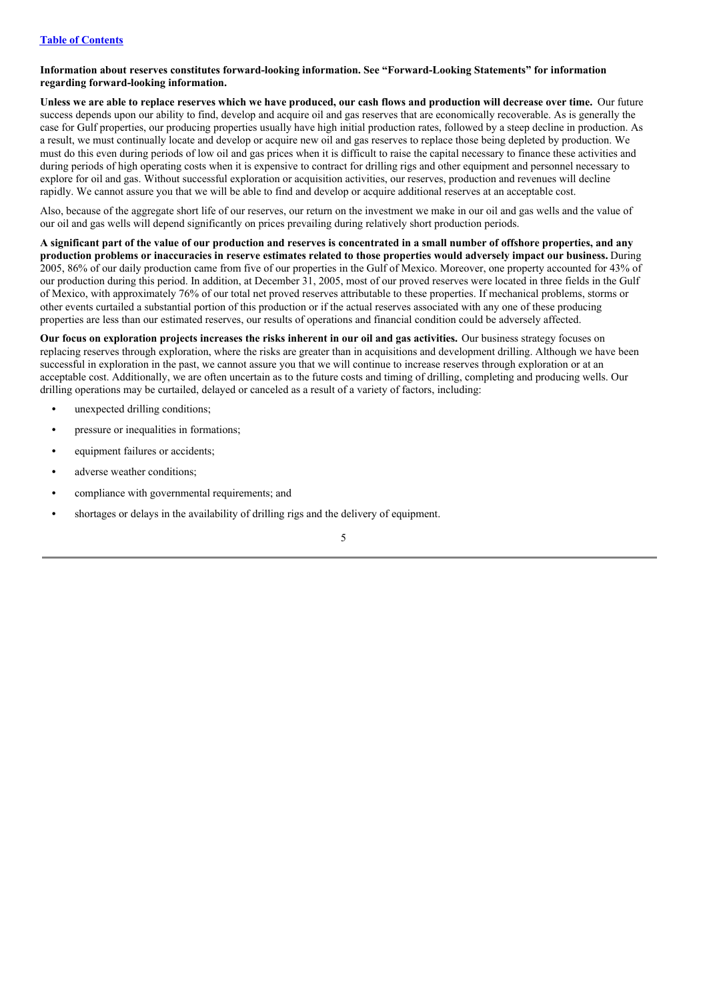#### **Information about reserves constitutes forward-looking information. See "Forward-Looking Statements" for information regarding forward-looking information.**

Unless we are able to replace reserves which we have produced, our cash flows and production will decrease over time. Our future success depends upon our ability to find, develop and acquire oil and gas reserves that are economically recoverable. As is generally the case for Gulf properties, our producing properties usually have high initial production rates, followed by a steep decline in production. As a result, we must continually locate and develop or acquire new oil and gas reserves to replace those being depleted by production. We must do this even during periods of low oil and gas prices when it is difficult to raise the capital necessary to finance these activities and during periods of high operating costs when it is expensive to contract for drilling rigs and other equipment and personnel necessary to explore for oil and gas. Without successful exploration or acquisition activities, our reserves, production and revenues will decline rapidly. We cannot assure you that we will be able to find and develop or acquire additional reserves at an acceptable cost.

Also, because of the aggregate short life of our reserves, our return on the investment we make in our oil and gas wells and the value of our oil and gas wells will depend significantly on prices prevailing during relatively short production periods.

A significant part of the value of our production and reserves is concentrated in a small number of offshore properties, and any production problems or inaccuracies in reserve estimates related to those properties would adversely impact our business. During 2005, 86% of our daily production came from five of our properties in the Gulf of Mexico. Moreover, one property accounted for 43% of our production during this period. In addition, at December 31, 2005, most of our proved reserves were located in three fields in the Gulf of Mexico, with approximately 76% of our total net proved reserves attributable to these properties. If mechanical problems, storms or other events curtailed a substantial portion of this production or if the actual reserves associated with any one of these producing properties are less than our estimated reserves, our results of operations and financial condition could be adversely affected.

Our focus on exploration projects increases the risks inherent in our oil and gas activities. Our business strategy focuses on replacing reserves through exploration, where the risks are greater than in acquisitions and development drilling. Although we have been successful in exploration in the past, we cannot assure you that we will continue to increase reserves through exploration or at an acceptable cost. Additionally, we are often uncertain as to the future costs and timing of drilling, completing and producing wells. Our drilling operations may be curtailed, delayed or canceled as a result of a variety of factors, including:

- **•** unexpected drilling conditions;
- **•** pressure or inequalities in formations;
- **•** equipment failures or accidents;
- adverse weather conditions;
- **•** compliance with governmental requirements; and
- **•** shortages or delays in the availability of drilling rigs and the delivery of equipment.

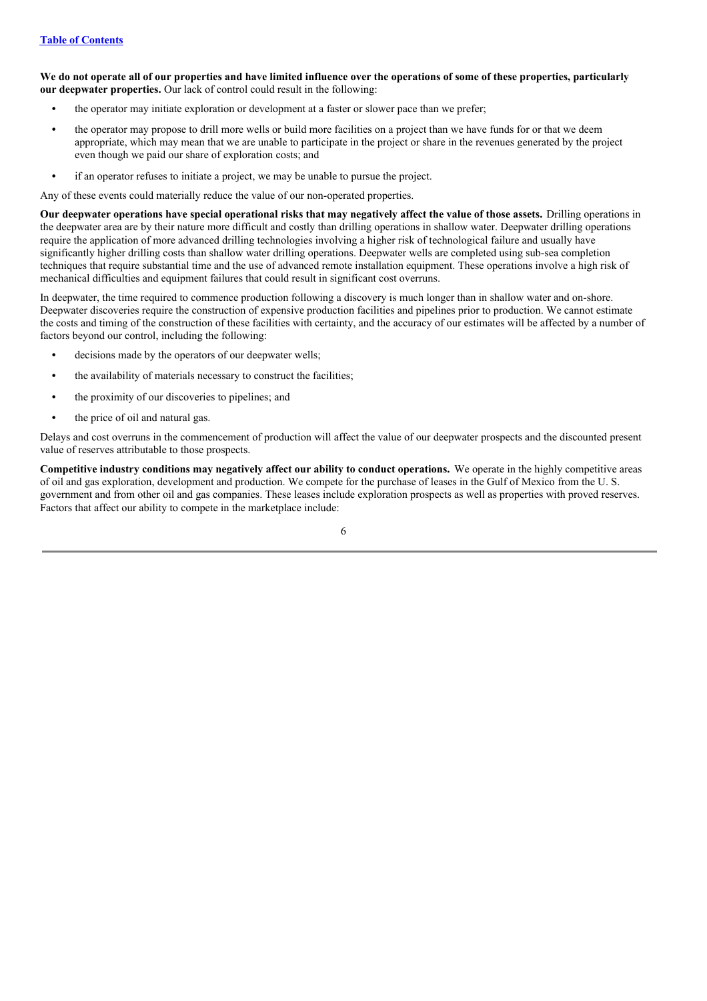We do not operate all of our properties and have limited influence over the operations of some of these properties, particularly **our deepwater properties.** Our lack of control could result in the following:

- the operator may initiate exploration or development at a faster or slower pace than we prefer;
- the operator may propose to drill more wells or build more facilities on a project than we have funds for or that we deem appropriate, which may mean that we are unable to participate in the project or share in the revenues generated by the project even though we paid our share of exploration costs; and
- **•** if an operator refuses to initiate a project, we may be unable to pursue the project.

Any of these events could materially reduce the value of our non-operated properties.

Our deepwater operations have special operational risks that may negatively affect the value of those assets. Drilling operations in the deepwater area are by their nature more difficult and costly than drilling operations in shallow water. Deepwater drilling operations require the application of more advanced drilling technologies involving a higher risk of technological failure and usually have significantly higher drilling costs than shallow water drilling operations. Deepwater wells are completed using sub-sea completion techniques that require substantial time and the use of advanced remote installation equipment. These operations involve a high risk of mechanical difficulties and equipment failures that could result in significant cost overruns.

In deepwater, the time required to commence production following a discovery is much longer than in shallow water and on-shore. Deepwater discoveries require the construction of expensive production facilities and pipelines prior to production. We cannot estimate the costs and timing of the construction of these facilities with certainty, and the accuracy of our estimates will be affected by a number of factors beyond our control, including the following:

- **•** decisions made by the operators of our deepwater wells;
- the availability of materials necessary to construct the facilities;
- the proximity of our discoveries to pipelines; and
- the price of oil and natural gas.

Delays and cost overruns in the commencement of production will affect the value of our deepwater prospects and the discounted present value of reserves attributable to those prospects.

**Competitive industry conditions may negatively affect our ability to conduct operations.** We operate in the highly competitive areas of oil and gas exploration, development and production. We compete for the purchase of leases in the Gulf of Mexico from the U. S. government and from other oil and gas companies. These leases include exploration prospects as well as properties with proved reserves. Factors that affect our ability to compete in the marketplace include: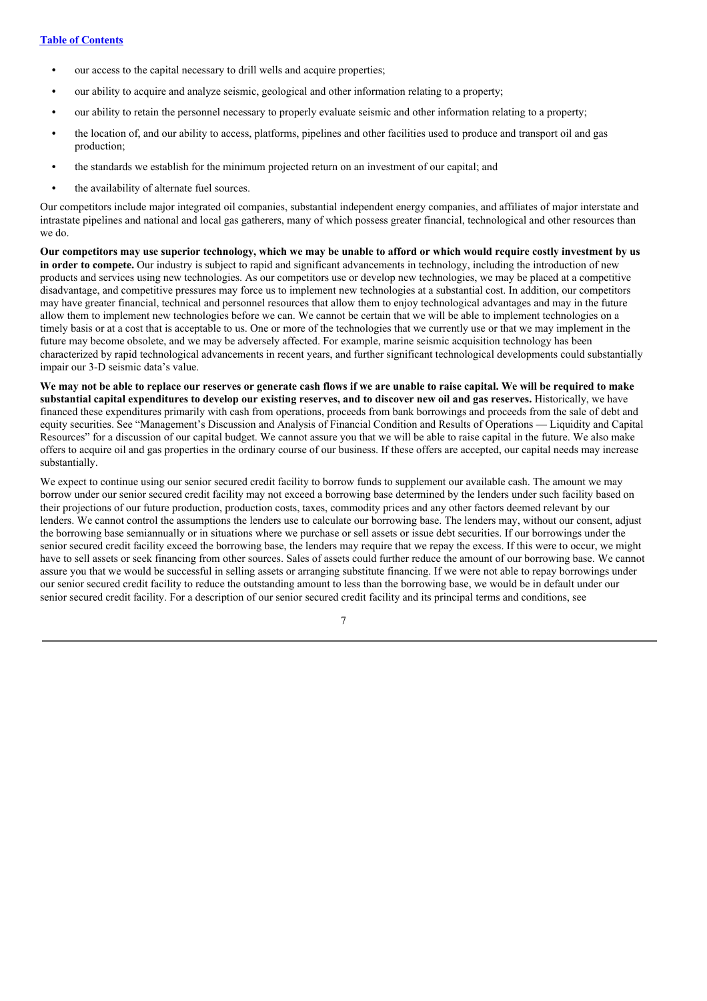- **•** our access to the capital necessary to drill wells and acquire properties;
- our ability to acquire and analyze seismic, geological and other information relating to a property;
- our ability to retain the personnel necessary to properly evaluate seismic and other information relating to a property;
- **•** the location of, and our ability to access, platforms, pipelines and other facilities used to produce and transport oil and gas production;
- the standards we establish for the minimum projected return on an investment of our capital; and
- **•** the availability of alternate fuel sources.

Our competitors include major integrated oil companies, substantial independent energy companies, and affiliates of major interstate and intrastate pipelines and national and local gas gatherers, many of which possess greater financial, technological and other resources than we do.

Our competitors may use superior technology, which we may be unable to afford or which would require costly investment by us **in order to compete.** Our industry is subject to rapid and significant advancements in technology, including the introduction of new products and services using new technologies. As our competitors use or develop new technologies, we may be placed at a competitive disadvantage, and competitive pressures may force us to implement new technologies at a substantial cost. In addition, our competitors may have greater financial, technical and personnel resources that allow them to enjoy technological advantages and may in the future allow them to implement new technologies before we can. We cannot be certain that we will be able to implement technologies on a timely basis or at a cost that is acceptable to us. One or more of the technologies that we currently use or that we may implement in the future may become obsolete, and we may be adversely affected. For example, marine seismic acquisition technology has been characterized by rapid technological advancements in recent years, and further significant technological developments could substantially impair our 3-D seismic data's value.

We may not be able to replace our reserves or generate cash flows if we are unable to raise capital. We will be required to make substantial capital expenditures to develop our existing reserves, and to discover new oil and gas reserves. Historically, we have financed these expenditures primarily with cash from operations, proceeds from bank borrowings and proceeds from the sale of debt and equity securities. See "Management's Discussion and Analysis of Financial Condition and Results of Operations — Liquidity and Capital Resources" for a discussion of our capital budget. We cannot assure you that we will be able to raise capital in the future. We also make offers to acquire oil and gas properties in the ordinary course of our business. If these offers are accepted, our capital needs may increase substantially.

We expect to continue using our senior secured credit facility to borrow funds to supplement our available cash. The amount we may borrow under our senior secured credit facility may not exceed a borrowing base determined by the lenders under such facility based on their projections of our future production, production costs, taxes, commodity prices and any other factors deemed relevant by our lenders. We cannot control the assumptions the lenders use to calculate our borrowing base. The lenders may, without our consent, adjust the borrowing base semiannually or in situations where we purchase or sell assets or issue debt securities. If our borrowings under the senior secured credit facility exceed the borrowing base, the lenders may require that we repay the excess. If this were to occur, we might have to sell assets or seek financing from other sources. Sales of assets could further reduce the amount of our borrowing base. We cannot assure you that we would be successful in selling assets or arranging substitute financing. If we were not able to repay borrowings under our senior secured credit facility to reduce the outstanding amount to less than the borrowing base, we would be in default under our senior secured credit facility. For a description of our senior secured credit facility and its principal terms and conditions, see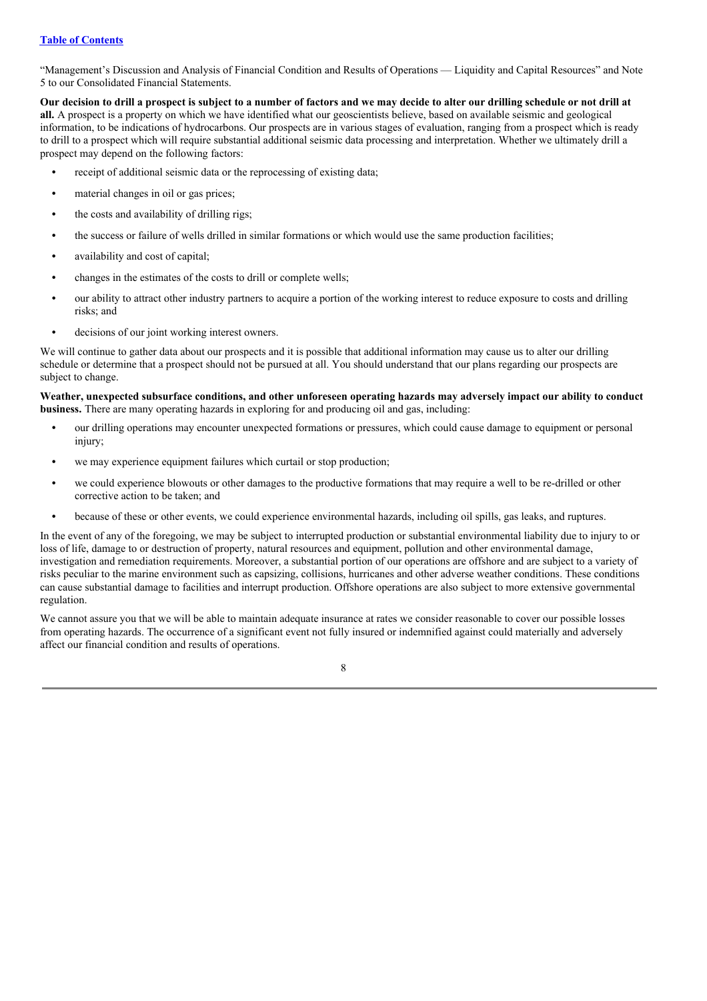"Management's Discussion and Analysis of Financial Condition and Results of Operations — Liquidity and Capital Resources" and Note 5 to our Consolidated Financial Statements.

Our decision to drill a prospect is subject to a number of factors and we may decide to alter our drilling schedule or not drill at **all.** A prospect is a property on which we have identified what our geoscientists believe, based on available seismic and geological information, to be indications of hydrocarbons. Our prospects are in various stages of evaluation, ranging from a prospect which is ready to drill to a prospect which will require substantial additional seismic data processing and interpretation. Whether we ultimately drill a prospect may depend on the following factors:

- **•** receipt of additional seismic data or the reprocessing of existing data;
- material changes in oil or gas prices;
- **•** the costs and availability of drilling rigs;
- the success or failure of wells drilled in similar formations or which would use the same production facilities;
- **•** availability and cost of capital;
- **•** changes in the estimates of the costs to drill or complete wells;
- **•** our ability to attract other industry partners to acquire a portion of the working interest to reduce exposure to costs and drilling risks; and
- **•** decisions of our joint working interest owners.

We will continue to gather data about our prospects and it is possible that additional information may cause us to alter our drilling schedule or determine that a prospect should not be pursued at all. You should understand that our plans regarding our prospects are subject to change.

Weather, unexpected subsurface conditions, and other unforeseen operating hazards may adversely impact our ability to conduct **business.** There are many operating hazards in exploring for and producing oil and gas, including:

- our drilling operations may encounter unexpected formations or pressures, which could cause damage to equipment or personal injury;
- **•** we may experience equipment failures which curtail or stop production;
- **•** we could experience blowouts or other damages to the productive formations that may require a well to be re-drilled or other corrective action to be taken; and
- **•** because of these or other events, we could experience environmental hazards, including oil spills, gas leaks, and ruptures.

In the event of any of the foregoing, we may be subject to interrupted production or substantial environmental liability due to injury to or loss of life, damage to or destruction of property, natural resources and equipment, pollution and other environmental damage, investigation and remediation requirements. Moreover, a substantial portion of our operations are offshore and are subject to a variety of risks peculiar to the marine environment such as capsizing, collisions, hurricanes and other adverse weather conditions. These conditions can cause substantial damage to facilities and interrupt production. Offshore operations are also subject to more extensive governmental regulation.

We cannot assure you that we will be able to maintain adequate insurance at rates we consider reasonable to cover our possible losses from operating hazards. The occurrence of a significant event not fully insured or indemnified against could materially and adversely affect our financial condition and results of operations.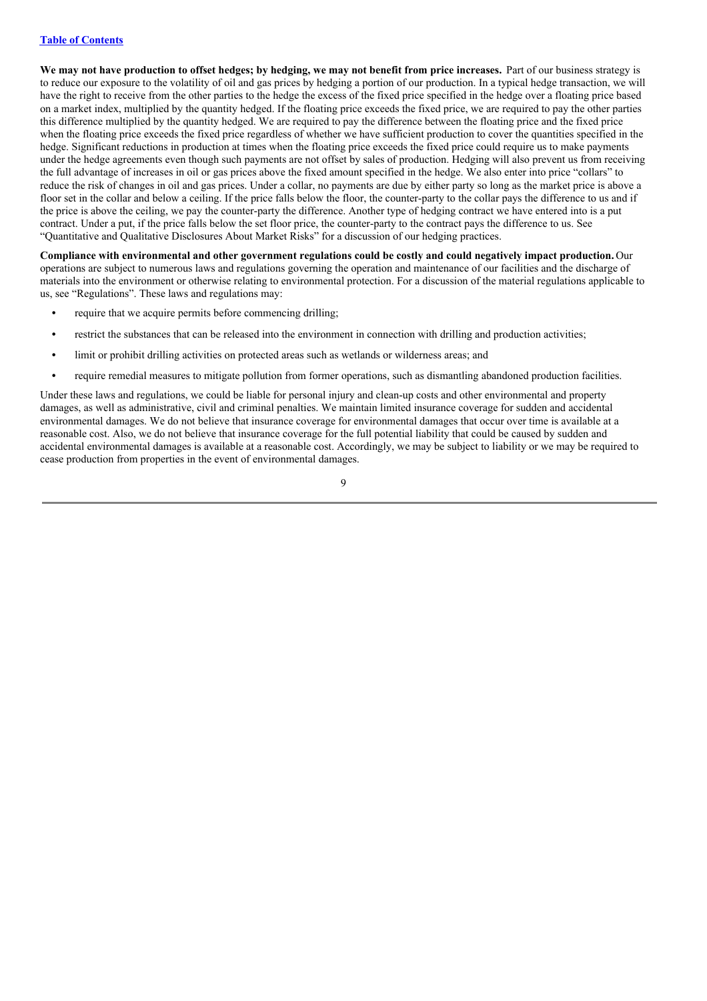We may not have production to offset hedges; by hedging, we may not benefit from price increases. Part of our business strategy is to reduce our exposure to the volatility of oil and gas prices by hedging a portion of our production. In a typical hedge transaction, we will have the right to receive from the other parties to the hedge the excess of the fixed price specified in the hedge over a floating price based on a market index, multiplied by the quantity hedged. If the floating price exceeds the fixed price, we are required to pay the other parties this difference multiplied by the quantity hedged. We are required to pay the difference between the floating price and the fixed price when the floating price exceeds the fixed price regardless of whether we have sufficient production to cover the quantities specified in the hedge. Significant reductions in production at times when the floating price exceeds the fixed price could require us to make payments under the hedge agreements even though such payments are not offset by sales of production. Hedging will also prevent us from receiving the full advantage of increases in oil or gas prices above the fixed amount specified in the hedge. We also enter into price "collars" to reduce the risk of changes in oil and gas prices. Under a collar, no payments are due by either party so long as the market price is above a floor set in the collar and below a ceiling. If the price falls below the floor, the counter-party to the collar pays the difference to us and if the price is above the ceiling, we pay the counter-party the difference. Another type of hedging contract we have entered into is a put contract. Under a put, if the price falls below the set floor price, the counter-party to the contract pays the difference to us. See "Quantitative and Qualitative Disclosures About Market Risks" for a discussion of our hedging practices.

Compliance with environmental and other government regulations could be costly and could negatively impact production. Our operations are subject to numerous laws and regulations governing the operation and maintenance of our facilities and the discharge of materials into the environment or otherwise relating to environmental protection. For a discussion of the material regulations applicable to us, see "Regulations". These laws and regulations may:

- **•** require that we acquire permits before commencing drilling;
- restrict the substances that can be released into the environment in connection with drilling and production activities;
- **•** limit or prohibit drilling activities on protected areas such as wetlands or wilderness areas; and
- require remedial measures to mitigate pollution from former operations, such as dismantling abandoned production facilities.

Under these laws and regulations, we could be liable for personal injury and clean-up costs and other environmental and property damages, as well as administrative, civil and criminal penalties. We maintain limited insurance coverage for sudden and accidental environmental damages. We do not believe that insurance coverage for environmental damages that occur over time is available at a reasonable cost. Also, we do not believe that insurance coverage for the full potential liability that could be caused by sudden and accidental environmental damages is available at a reasonable cost. Accordingly, we may be subject to liability or we may be required to cease production from properties in the event of environmental damages.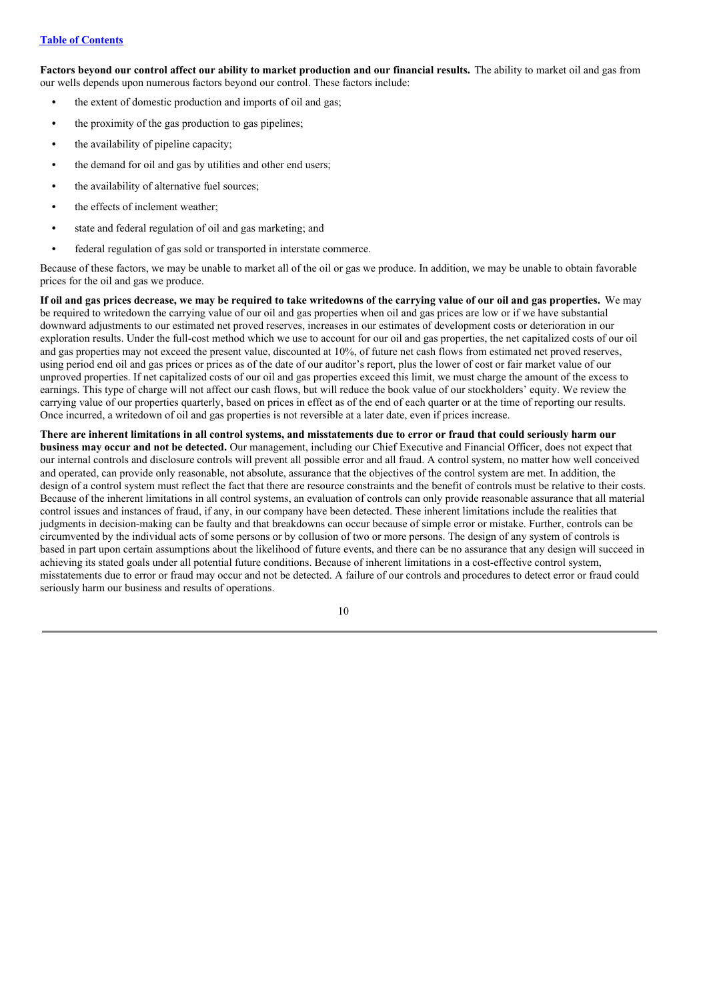Factors beyond our control affect our ability to market production and our financial results. The ability to market oil and gas from our wells depends upon numerous factors beyond our control. These factors include:

- **•** the extent of domestic production and imports of oil and gas;
- the proximity of the gas production to gas pipelines;
- the availability of pipeline capacity;
- the demand for oil and gas by utilities and other end users:
- the availability of alternative fuel sources;
- the effects of inclement weather:
- **•** state and federal regulation of oil and gas marketing; and
- **•** federal regulation of gas sold or transported in interstate commerce.

Because of these factors, we may be unable to market all of the oil or gas we produce. In addition, we may be unable to obtain favorable prices for the oil and gas we produce.

If oil and gas prices decrease, we may be required to take writedowns of the carrying value of our oil and gas properties. We may be required to writedown the carrying value of our oil and gas properties when oil and gas prices are low or if we have substantial downward adjustments to our estimated net proved reserves, increases in our estimates of development costs or deterioration in our exploration results. Under the full-cost method which we use to account for our oil and gas properties, the net capitalized costs of our oil and gas properties may not exceed the present value, discounted at 10%, of future net cash flows from estimated net proved reserves, using period end oil and gas prices or prices as of the date of our auditor's report, plus the lower of cost or fair market value of our unproved properties. If net capitalized costs of our oil and gas properties exceed this limit, we must charge the amount of the excess to earnings. This type of charge will not affect our cash flows, but will reduce the book value of our stockholders' equity. We review the carrying value of our properties quarterly, based on prices in effect as of the end of each quarter or at the time of reporting our results. Once incurred, a writedown of oil and gas properties is not reversible at a later date, even if prices increase.

There are inherent limitations in all control systems, and misstatements due to error or fraud that could seriously harm our **business may occur and not be detected.** Our management, including our Chief Executive and Financial Officer, does not expect that our internal controls and disclosure controls will prevent all possible error and all fraud. A control system, no matter how well conceived and operated, can provide only reasonable, not absolute, assurance that the objectives of the control system are met. In addition, the design of a control system must reflect the fact that there are resource constraints and the benefit of controls must be relative to their costs. Because of the inherent limitations in all control systems, an evaluation of controls can only provide reasonable assurance that all material control issues and instances of fraud, if any, in our company have been detected. These inherent limitations include the realities that judgments in decision-making can be faulty and that breakdowns can occur because of simple error or mistake. Further, controls can be circumvented by the individual acts of some persons or by collusion of two or more persons. The design of any system of controls is based in part upon certain assumptions about the likelihood of future events, and there can be no assurance that any design will succeed in achieving its stated goals under all potential future conditions. Because of inherent limitations in a cost-effective control system, misstatements due to error or fraud may occur and not be detected. A failure of our controls and procedures to detect error or fraud could seriously harm our business and results of operations.

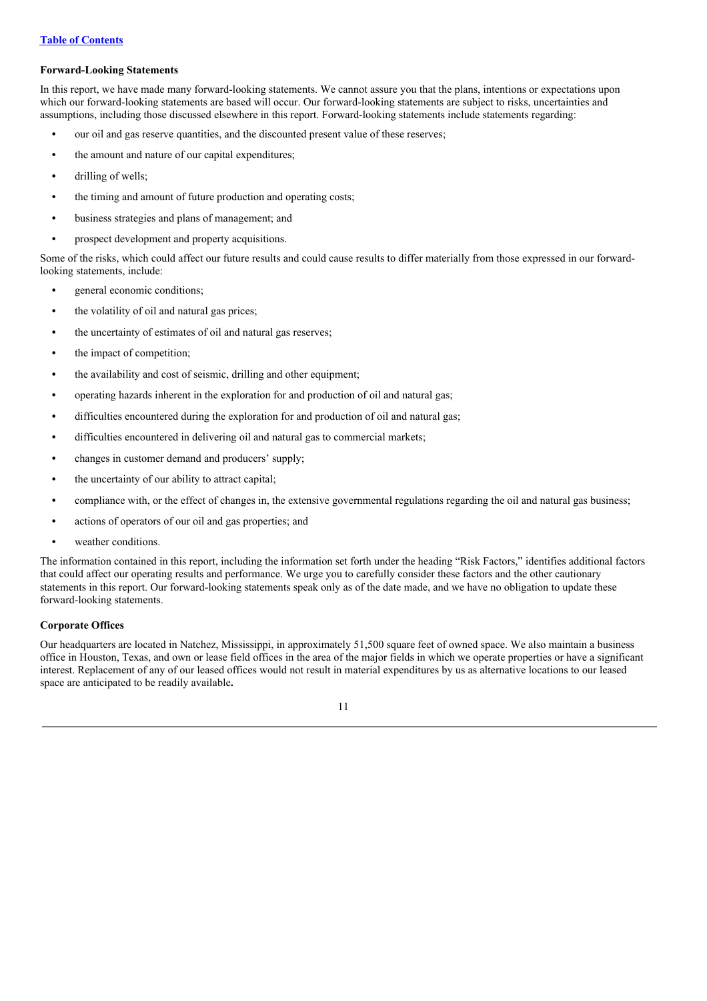## **Forward-Looking Statements**

In this report, we have made many forward-looking statements. We cannot assure you that the plans, intentions or expectations upon which our forward-looking statements are based will occur. Our forward-looking statements are subject to risks, uncertainties and assumptions, including those discussed elsewhere in this report. Forward-looking statements include statements regarding:

- our oil and gas reserve quantities, and the discounted present value of these reserves;
- the amount and nature of our capital expenditures;
- **•** drilling of wells;
- **•** the timing and amount of future production and operating costs;
- **•** business strategies and plans of management; and
- **•** prospect development and property acquisitions.

Some of the risks, which could affect our future results and could cause results to differ materially from those expressed in our forwardlooking statements, include:

- **•** general economic conditions;
- the volatility of oil and natural gas prices:
- the uncertainty of estimates of oil and natural gas reserves;
- the impact of competition;
- **•** the availability and cost of seismic, drilling and other equipment;
- operating hazards inherent in the exploration for and production of oil and natural gas;
- **•** difficulties encountered during the exploration for and production of oil and natural gas;
- **•** difficulties encountered in delivering oil and natural gas to commercial markets;
- **•** changes in customer demand and producers' supply;
- the uncertainty of our ability to attract capital;
- compliance with, or the effect of changes in, the extensive governmental regulations regarding the oil and natural gas business;
- **•** actions of operators of our oil and gas properties; and
- **•** weather conditions.

The information contained in this report, including the information set forth under the heading "Risk Factors," identifies additional factors that could affect our operating results and performance. We urge you to carefully consider these factors and the other cautionary statements in this report. Our forward-looking statements speak only as of the date made, and we have no obligation to update these forward-looking statements.

#### **Corporate Offices**

Our headquarters are located in Natchez, Mississippi, in approximately 51,500 square feet of owned space. We also maintain a business office in Houston, Texas, and own or lease field offices in the area of the major fields in which we operate properties or have a significant interest. Replacement of any of our leased offices would not result in material expenditures by us as alternative locations to our leased space are anticipated to be readily available**.**

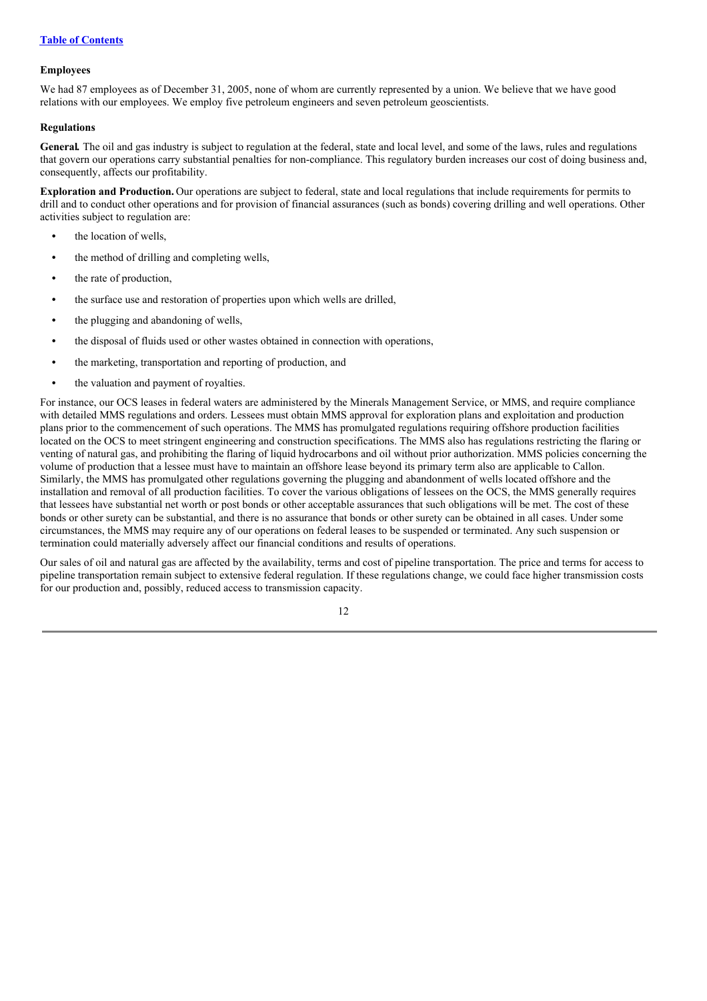#### **Employees**

We had 87 employees as of December 31, 2005, none of whom are currently represented by a union. We believe that we have good relations with our employees. We employ five petroleum engineers and seven petroleum geoscientists.

## **Regulations**

**General***.* The oil and gas industry is subject to regulation at the federal, state and local level, and some of the laws, rules and regulations that govern our operations carry substantial penalties for non-compliance. This regulatory burden increases our cost of doing business and, consequently, affects our profitability.

**Exploration and Production.** Our operations are subject to federal, state and local regulations that include requirements for permits to drill and to conduct other operations and for provision of financial assurances (such as bonds) covering drilling and well operations. Other activities subject to regulation are:

- the location of wells.
- the method of drilling and completing wells,
- the rate of production,
- **•** the surface use and restoration of properties upon which wells are drilled,
- **•** the plugging and abandoning of wells,
- the disposal of fluids used or other wastes obtained in connection with operations,
- **•** the marketing, transportation and reporting of production, and
- **•** the valuation and payment of royalties.

For instance, our OCS leases in federal waters are administered by the Minerals Management Service, or MMS, and require compliance with detailed MMS regulations and orders. Lessees must obtain MMS approval for exploration plans and exploitation and production plans prior to the commencement of such operations. The MMS has promulgated regulations requiring offshore production facilities located on the OCS to meet stringent engineering and construction specifications. The MMS also has regulations restricting the flaring or venting of natural gas, and prohibiting the flaring of liquid hydrocarbons and oil without prior authorization. MMS policies concerning the volume of production that a lessee must have to maintain an offshore lease beyond its primary term also are applicable to Callon. Similarly, the MMS has promulgated other regulations governing the plugging and abandonment of wells located offshore and the installation and removal of all production facilities. To cover the various obligations of lessees on the OCS, the MMS generally requires that lessees have substantial net worth or post bonds or other acceptable assurances that such obligations will be met. The cost of these bonds or other surety can be substantial, and there is no assurance that bonds or other surety can be obtained in all cases. Under some circumstances, the MMS may require any of our operations on federal leases to be suspended or terminated. Any such suspension or termination could materially adversely affect our financial conditions and results of operations.

Our sales of oil and natural gas are affected by the availability, terms and cost of pipeline transportation. The price and terms for access to pipeline transportation remain subject to extensive federal regulation. If these regulations change, we could face higher transmission costs for our production and, possibly, reduced access to transmission capacity.

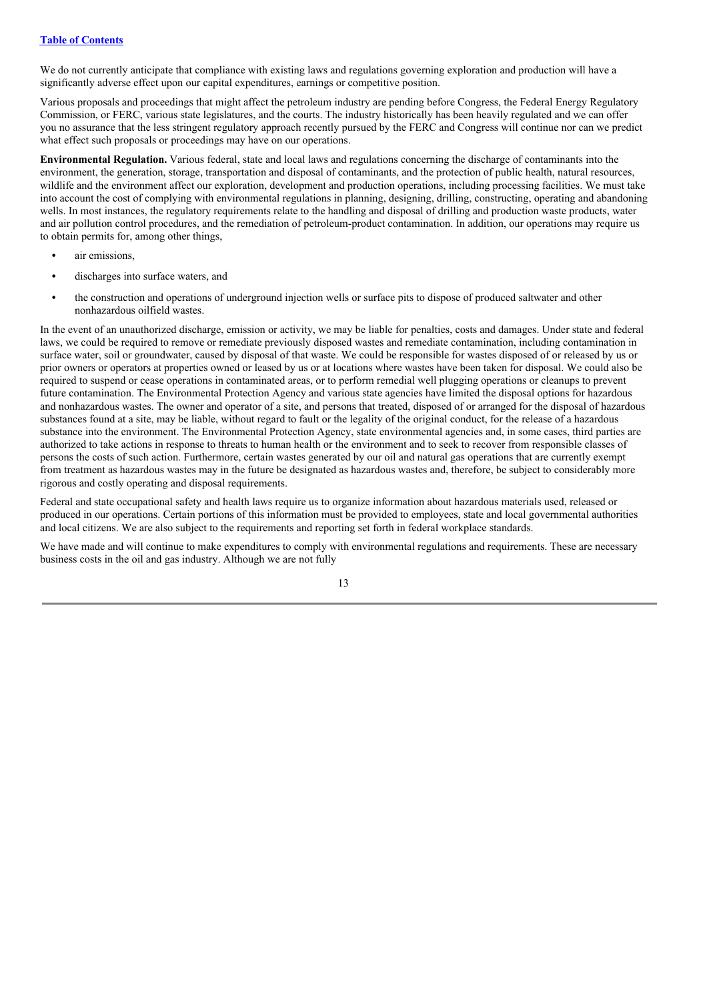We do not currently anticipate that compliance with existing laws and regulations governing exploration and production will have a significantly adverse effect upon our capital expenditures, earnings or competitive position.

Various proposals and proceedings that might affect the petroleum industry are pending before Congress, the Federal Energy Regulatory Commission, or FERC, various state legislatures, and the courts. The industry historically has been heavily regulated and we can offer you no assurance that the less stringent regulatory approach recently pursued by the FERC and Congress will continue nor can we predict what effect such proposals or proceedings may have on our operations.

**Environmental Regulation.** Various federal, state and local laws and regulations concerning the discharge of contaminants into the environment, the generation, storage, transportation and disposal of contaminants, and the protection of public health, natural resources, wildlife and the environment affect our exploration, development and production operations, including processing facilities. We must take into account the cost of complying with environmental regulations in planning, designing, drilling, constructing, operating and abandoning wells. In most instances, the regulatory requirements relate to the handling and disposal of drilling and production waste products, water and air pollution control procedures, and the remediation of petroleum-product contamination. In addition, our operations may require us to obtain permits for, among other things,

- **•** air emissions,
- **•** discharges into surface waters, and
- **•** the construction and operations of underground injection wells or surface pits to dispose of produced saltwater and other nonhazardous oilfield wastes.

In the event of an unauthorized discharge, emission or activity, we may be liable for penalties, costs and damages. Under state and federal laws, we could be required to remove or remediate previously disposed wastes and remediate contamination, including contamination in surface water, soil or groundwater, caused by disposal of that waste. We could be responsible for wastes disposed of or released by us or prior owners or operators at properties owned or leased by us or at locations where wastes have been taken for disposal. We could also be required to suspend or cease operations in contaminated areas, or to perform remedial well plugging operations or cleanups to prevent future contamination. The Environmental Protection Agency and various state agencies have limited the disposal options for hazardous and nonhazardous wastes. The owner and operator of a site, and persons that treated, disposed of or arranged for the disposal of hazardous substances found at a site, may be liable, without regard to fault or the legality of the original conduct, for the release of a hazardous substance into the environment. The Environmental Protection Agency, state environmental agencies and, in some cases, third parties are authorized to take actions in response to threats to human health or the environment and to seek to recover from responsible classes of persons the costs of such action. Furthermore, certain wastes generated by our oil and natural gas operations that are currently exempt from treatment as hazardous wastes may in the future be designated as hazardous wastes and, therefore, be subject to considerably more rigorous and costly operating and disposal requirements.

Federal and state occupational safety and health laws require us to organize information about hazardous materials used, released or produced in our operations. Certain portions of this information must be provided to employees, state and local governmental authorities and local citizens. We are also subject to the requirements and reporting set forth in federal workplace standards.

We have made and will continue to make expenditures to comply with environmental regulations and requirements. These are necessary business costs in the oil and gas industry. Although we are not fully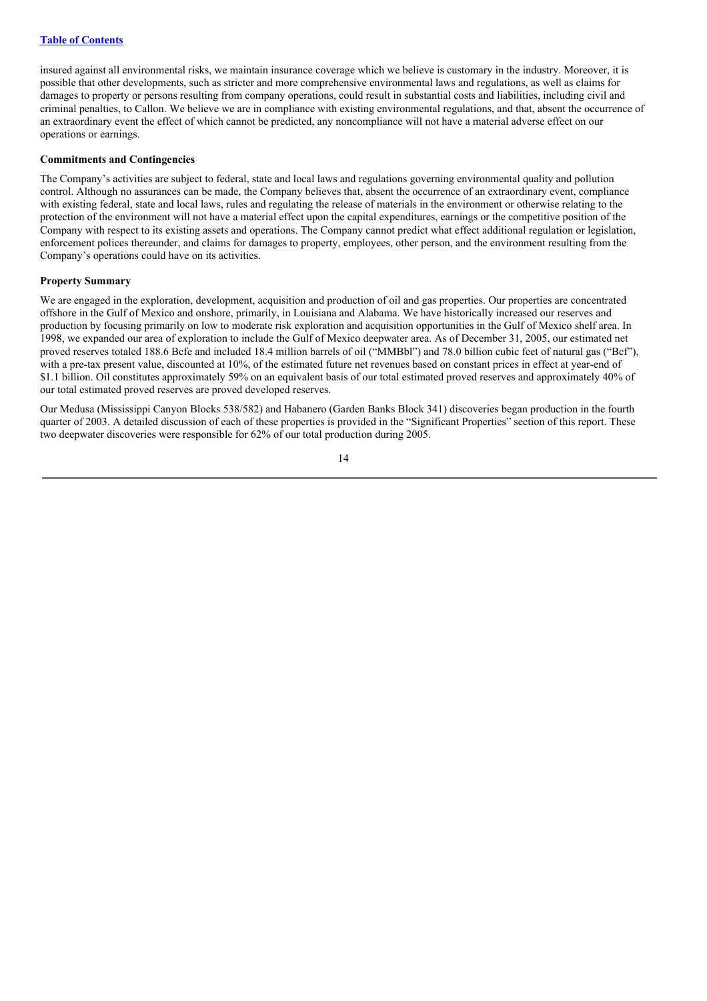insured against all environmental risks, we maintain insurance coverage which we believe is customary in the industry. Moreover, it is possible that other developments, such as stricter and more comprehensive environmental laws and regulations, as well as claims for damages to property or persons resulting from company operations, could result in substantial costs and liabilities, including civil and criminal penalties, to Callon. We believe we are in compliance with existing environmental regulations, and that, absent the occurrence of an extraordinary event the effect of which cannot be predicted, any noncompliance will not have a material adverse effect on our operations or earnings.

#### **Commitments and Contingencies**

The Company's activities are subject to federal, state and local laws and regulations governing environmental quality and pollution control. Although no assurances can be made, the Company believes that, absent the occurrence of an extraordinary event, compliance with existing federal, state and local laws, rules and regulating the release of materials in the environment or otherwise relating to the protection of the environment will not have a material effect upon the capital expenditures, earnings or the competitive position of the Company with respect to its existing assets and operations. The Company cannot predict what effect additional regulation or legislation, enforcement polices thereunder, and claims for damages to property, employees, other person, and the environment resulting from the Company's operations could have on its activities.

#### **Property Summary**

We are engaged in the exploration, development, acquisition and production of oil and gas properties. Our properties are concentrated offshore in the Gulf of Mexico and onshore, primarily, in Louisiana and Alabama. We have historically increased our reserves and production by focusing primarily on low to moderate risk exploration and acquisition opportunities in the Gulf of Mexico shelf area. In 1998, we expanded our area of exploration to include the Gulf of Mexico deepwater area. As of December 31, 2005, our estimated net proved reserves totaled 188.6 Bcfe and included 18.4 million barrels of oil ("MMBbl") and 78.0 billion cubic feet of natural gas ("Bcf"), with a pre-tax present value, discounted at 10%, of the estimated future net revenues based on constant prices in effect at year-end of \$1.1 billion. Oil constitutes approximately 59% on an equivalent basis of our total estimated proved reserves and approximately 40% of our total estimated proved reserves are proved developed reserves.

Our Medusa (Mississippi Canyon Blocks 538/582) and Habanero (Garden Banks Block 341) discoveries began production in the fourth quarter of 2003. A detailed discussion of each of these properties is provided in the "Significant Properties" section of this report. These two deepwater discoveries were responsible for 62% of our total production during 2005.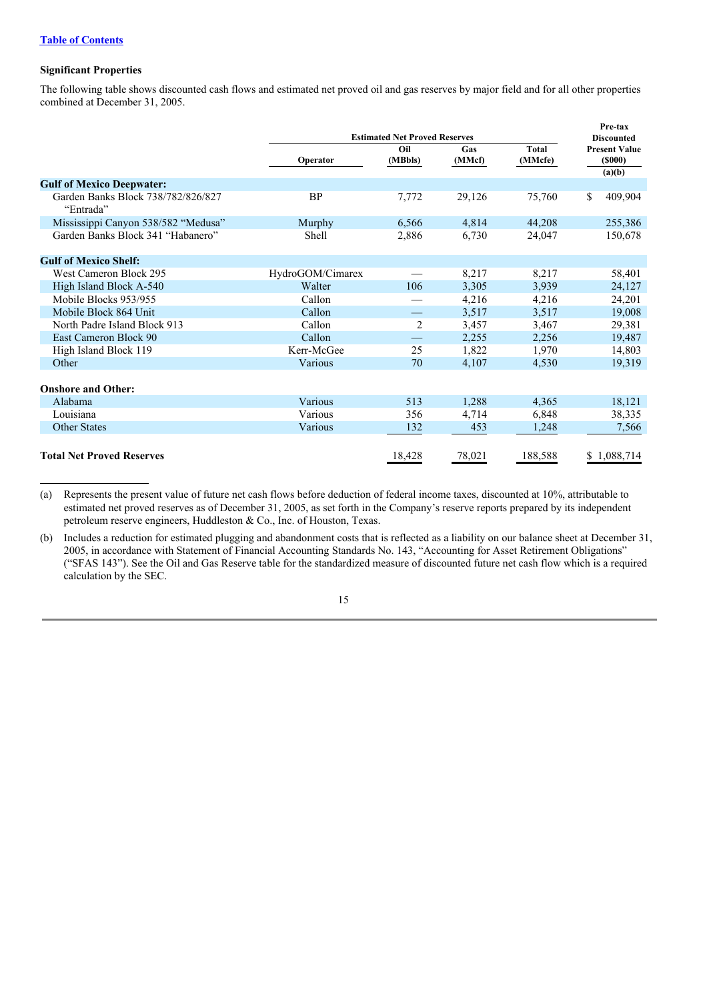## **Significant Properties**

The following table shows discounted cash flows and estimated net proved oil and gas reserves by major field and for all other properties combined at December 31, 2005.

|                                                 | <b>Estimated Net Proved Reserves</b> |                |               | Pre-tax<br><b>Discounted</b> |                                                 |
|-------------------------------------------------|--------------------------------------|----------------|---------------|------------------------------|-------------------------------------------------|
|                                                 | Operator                             | Oil<br>(MBbls) | Gas<br>(MMcf) | <b>Total</b><br>(MMcfe)      | <b>Present Value</b><br>$($ \$000 $)$<br>(a)(b) |
| <b>Gulf of Mexico Deepwater:</b>                |                                      |                |               |                              |                                                 |
| Garden Banks Block 738/782/826/827<br>"Entrada" | <b>BP</b>                            | 7,772          | 29,126        | 75,760                       | 409,904<br>S.                                   |
| Mississippi Canyon 538/582 "Medusa"             | Murphy                               | 6,566          | 4,814         | 44,208                       | 255,386                                         |
| Garden Banks Block 341 "Habanero"               | Shell                                | 2,886          | 6,730         | 24,047                       | 150,678                                         |
| <b>Gulf of Mexico Shelf:</b>                    |                                      |                |               |                              |                                                 |
| West Cameron Block 295                          | HydroGOM/Cimarex                     |                | 8,217         | 8,217                        | 58,401                                          |
| High Island Block A-540                         | Walter                               | 106            | 3,305         | 3,939                        | 24,127                                          |
| Mobile Blocks 953/955                           | Callon                               |                | 4,216         | 4,216                        | 24,201                                          |
| Mobile Block 864 Unit                           | Callon                               |                | 3,517         | 3,517                        | 19,008                                          |
| North Padre Island Block 913                    | Callon                               | $\overline{c}$ | 3,457         | 3,467                        | 29,381                                          |
| East Cameron Block 90                           | Callon                               |                | 2,255         | 2,256                        | 19,487                                          |
| High Island Block 119                           | Kerr-McGee                           | 25             | 1,822         | 1,970                        | 14,803                                          |
| Other                                           | Various                              | 70             | 4,107         | 4,530                        | 19,319                                          |
| <b>Onshore and Other:</b>                       |                                      |                |               |                              |                                                 |
| Alabama                                         | Various                              | 513            | 1,288         | 4,365                        | 18,121                                          |
| Louisiana                                       | Various                              | 356            | 4,714         | 6,848                        | 38,335                                          |
| <b>Other States</b>                             | Various                              | 132            | 453           | 1,248                        | 7,566                                           |
| <b>Total Net Proved Reserves</b>                |                                      | 18,428         | 78,021        | 188,588                      | \$1,088,714                                     |

(a) Represents the present value of future net cash flows before deduction of federal income taxes, discounted at 10%, attributable to estimated net proved reserves as of December 31, 2005, as set forth in the Company's reserve reports prepared by its independent petroleum reserve engineers, Huddleston & Co., Inc. of Houston, Texas.

(b) Includes a reduction for estimated plugging and abandonment costs that is reflected as a liability on our balance sheet at December 31, 2005, in accordance with Statement of Financial Accounting Standards No. 143, "Accounting for Asset Retirement Obligations" ("SFAS 143"). See the Oil and Gas Reserve table for the standardized measure of discounted future net cash flow which is a required calculation by the SEC.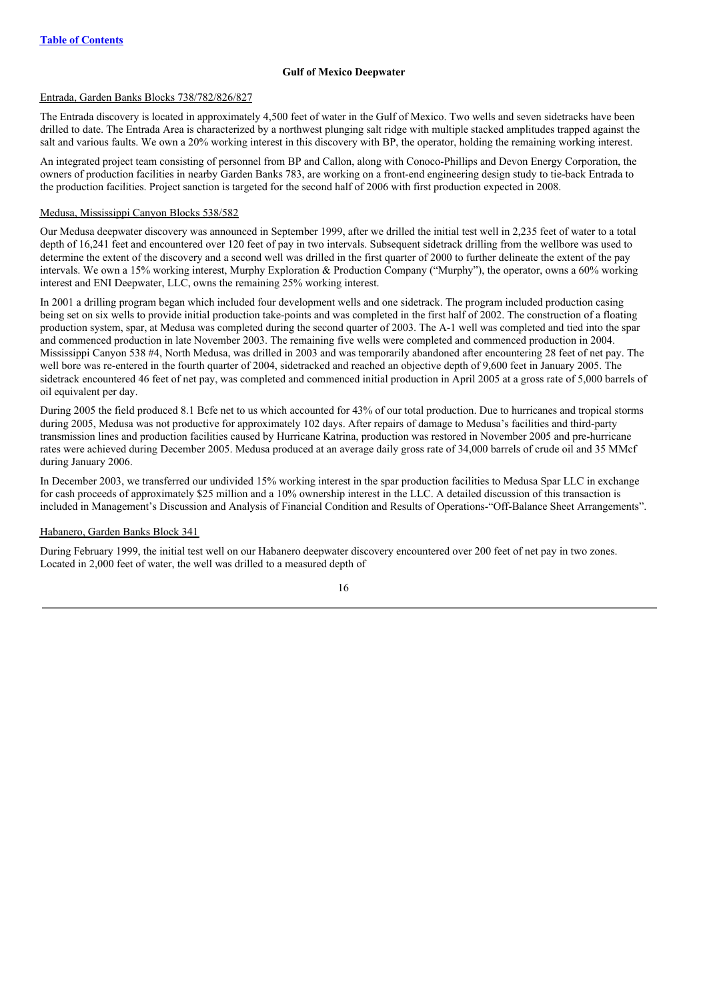#### **Gulf of Mexico Deepwater**

## Entrada, Garden Banks Blocks 738/782/826/827

The Entrada discovery is located in approximately 4,500 feet of water in the Gulf of Mexico. Two wells and seven sidetracks have been drilled to date. The Entrada Area is characterized by a northwest plunging salt ridge with multiple stacked amplitudes trapped against the salt and various faults. We own a 20% working interest in this discovery with BP, the operator, holding the remaining working interest.

An integrated project team consisting of personnel from BP and Callon, along with Conoco-Phillips and Devon Energy Corporation, the owners of production facilities in nearby Garden Banks 783, are working on a front-end engineering design study to tie-back Entrada to the production facilities. Project sanction is targeted for the second half of 2006 with first production expected in 2008.

#### Medusa, Mississippi Canyon Blocks 538/582

Our Medusa deepwater discovery was announced in September 1999, after we drilled the initial test well in 2,235 feet of water to a total depth of 16,241 feet and encountered over 120 feet of pay in two intervals. Subsequent sidetrack drilling from the wellbore was used to determine the extent of the discovery and a second well was drilled in the first quarter of 2000 to further delineate the extent of the pay intervals. We own a 15% working interest, Murphy Exploration & Production Company ("Murphy"), the operator, owns a 60% working interest and ENI Deepwater, LLC, owns the remaining 25% working interest.

In 2001 a drilling program began which included four development wells and one sidetrack. The program included production casing being set on six wells to provide initial production take-points and was completed in the first half of 2002. The construction of a floating production system, spar, at Medusa was completed during the second quarter of 2003. The A-1 well was completed and tied into the spar and commenced production in late November 2003. The remaining five wells were completed and commenced production in 2004. Mississippi Canyon 538 #4, North Medusa, was drilled in 2003 and was temporarily abandoned after encountering 28 feet of net pay. The well bore was re-entered in the fourth quarter of 2004, sidetracked and reached an objective depth of 9,600 feet in January 2005. The sidetrack encountered 46 feet of net pay, was completed and commenced initial production in April 2005 at a gross rate of 5,000 barrels of oil equivalent per day.

During 2005 the field produced 8.1 Bcfe net to us which accounted for 43% of our total production. Due to hurricanes and tropical storms during 2005, Medusa was not productive for approximately 102 days. After repairs of damage to Medusa's facilities and third-party transmission lines and production facilities caused by Hurricane Katrina, production was restored in November 2005 and pre-hurricane rates were achieved during December 2005. Medusa produced at an average daily gross rate of 34,000 barrels of crude oil and 35 MMcf during January 2006.

In December 2003, we transferred our undivided 15% working interest in the spar production facilities to Medusa Spar LLC in exchange for cash proceeds of approximately \$25 million and a 10% ownership interest in the LLC. A detailed discussion of this transaction is included in Management's Discussion and Analysis of Financial Condition and Results of Operations-"Off-Balance Sheet Arrangements".

## Habanero, Garden Banks Block 341

During February 1999, the initial test well on our Habanero deepwater discovery encountered over 200 feet of net pay in two zones. Located in 2,000 feet of water, the well was drilled to a measured depth of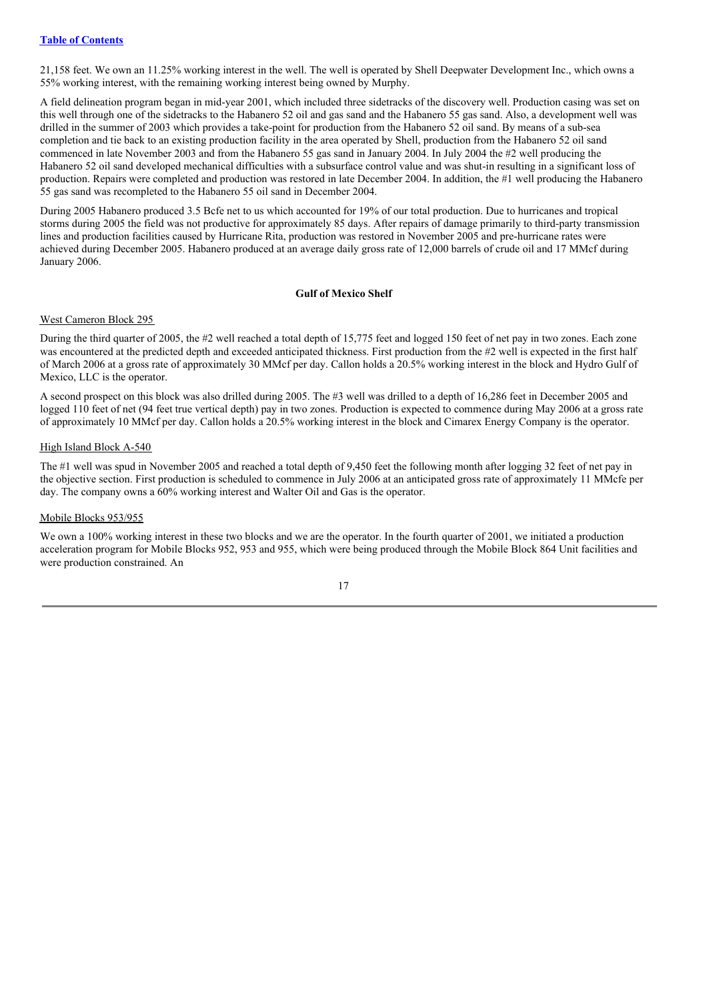21,158 feet. We own an 11.25% working interest in the well. The well is operated by Shell Deepwater Development Inc., which owns a 55% working interest, with the remaining working interest being owned by Murphy.

A field delineation program began in mid-year 2001, which included three sidetracks of the discovery well. Production casing was set on this well through one of the sidetracks to the Habanero 52 oil and gas sand and the Habanero 55 gas sand. Also, a development well was drilled in the summer of 2003 which provides a take-point for production from the Habanero 52 oil sand. By means of a sub-sea completion and tie back to an existing production facility in the area operated by Shell, production from the Habanero 52 oil sand commenced in late November 2003 and from the Habanero 55 gas sand in January 2004. In July 2004 the #2 well producing the Habanero 52 oil sand developed mechanical difficulties with a subsurface control value and was shut-in resulting in a significant loss of production. Repairs were completed and production was restored in late December 2004. In addition, the #1 well producing the Habanero 55 gas sand was recompleted to the Habanero 55 oil sand in December 2004.

During 2005 Habanero produced 3.5 Bcfe net to us which accounted for 19% of our total production. Due to hurricanes and tropical storms during 2005 the field was not productive for approximately 85 days. After repairs of damage primarily to third-party transmission lines and production facilities caused by Hurricane Rita, production was restored in November 2005 and pre-hurricane rates were achieved during December 2005. Habanero produced at an average daily gross rate of 12,000 barrels of crude oil and 17 MMcf during January 2006.

#### **Gulf of Mexico Shelf**

#### West Cameron Block 295

During the third quarter of 2005, the #2 well reached a total depth of 15,775 feet and logged 150 feet of net pay in two zones. Each zone was encountered at the predicted depth and exceeded anticipated thickness. First production from the #2 well is expected in the first half of March 2006 at a gross rate of approximately 30 MMcf per day. Callon holds a 20.5% working interest in the block and Hydro Gulf of Mexico, LLC is the operator.

A second prospect on this block was also drilled during 2005. The #3 well was drilled to a depth of 16,286 feet in December 2005 and logged 110 feet of net (94 feet true vertical depth) pay in two zones. Production is expected to commence during May 2006 at a gross rate of approximately 10 MMcf per day. Callon holds a 20.5% working interest in the block and Cimarex Energy Company is the operator.

## High Island Block A-540

The #1 well was spud in November 2005 and reached a total depth of 9,450 feet the following month after logging 32 feet of net pay in the objective section. First production is scheduled to commence in July 2006 at an anticipated gross rate of approximately 11 MMcfe per day. The company owns a 60% working interest and Walter Oil and Gas is the operator.

## Mobile Blocks 953/955

We own a 100% working interest in these two blocks and we are the operator. In the fourth quarter of 2001, we initiated a production acceleration program for Mobile Blocks 952, 953 and 955, which were being produced through the Mobile Block 864 Unit facilities and were production constrained. An

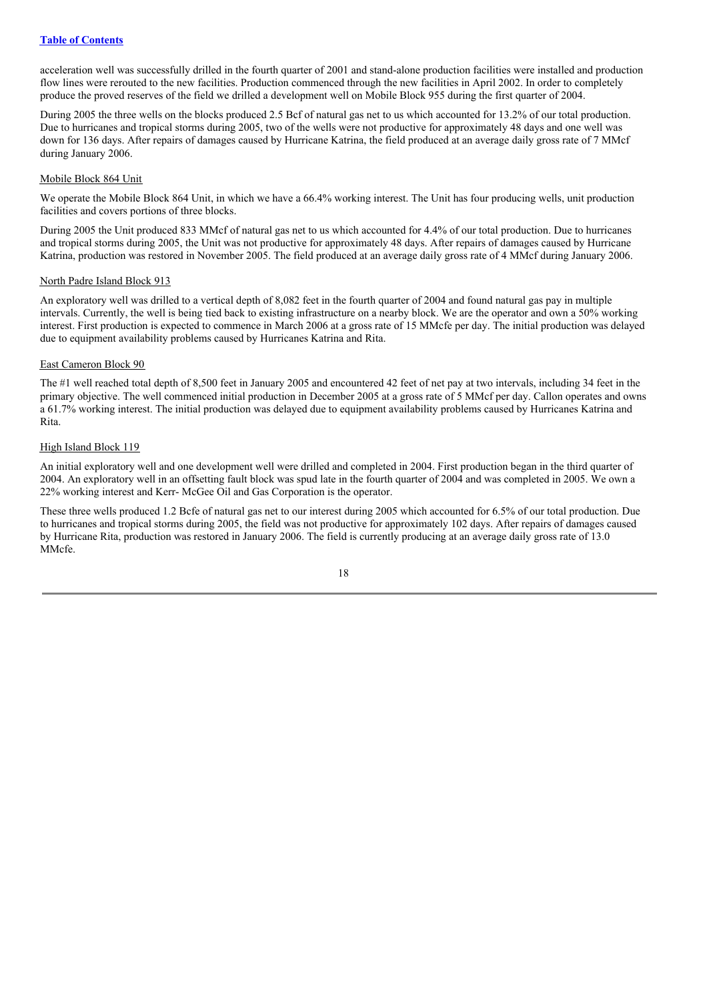acceleration well was successfully drilled in the fourth quarter of 2001 and stand-alone production facilities were installed and production flow lines were rerouted to the new facilities. Production commenced through the new facilities in April 2002. In order to completely produce the proved reserves of the field we drilled a development well on Mobile Block 955 during the first quarter of 2004.

During 2005 the three wells on the blocks produced 2.5 Bcf of natural gas net to us which accounted for 13.2% of our total production. Due to hurricanes and tropical storms during 2005, two of the wells were not productive for approximately 48 days and one well was down for 136 days. After repairs of damages caused by Hurricane Katrina, the field produced at an average daily gross rate of 7 MMcf during January 2006.

#### Mobile Block 864 Unit

We operate the Mobile Block 864 Unit, in which we have a 66.4% working interest. The Unit has four producing wells, unit production facilities and covers portions of three blocks.

During 2005 the Unit produced 833 MMcf of natural gas net to us which accounted for 4.4% of our total production. Due to hurricanes and tropical storms during 2005, the Unit was not productive for approximately 48 days. After repairs of damages caused by Hurricane Katrina, production was restored in November 2005. The field produced at an average daily gross rate of 4 MMcf during January 2006.

#### North Padre Island Block 913

An exploratory well was drilled to a vertical depth of 8,082 feet in the fourth quarter of 2004 and found natural gas pay in multiple intervals. Currently, the well is being tied back to existing infrastructure on a nearby block. We are the operator and own a 50% working interest. First production is expected to commence in March 2006 at a gross rate of 15 MMcfe per day. The initial production was delayed due to equipment availability problems caused by Hurricanes Katrina and Rita.

#### East Cameron Block 90

The #1 well reached total depth of 8,500 feet in January 2005 and encountered 42 feet of net pay at two intervals, including 34 feet in the primary objective. The well commenced initial production in December 2005 at a gross rate of 5 MMcf per day. Callon operates and owns a 61.7% working interest. The initial production was delayed due to equipment availability problems caused by Hurricanes Katrina and Rita.

## High Island Block 119

An initial exploratory well and one development well were drilled and completed in 2004. First production began in the third quarter of 2004. An exploratory well in an offsetting fault block was spud late in the fourth quarter of 2004 and was completed in 2005. We own a 22% working interest and Kerr- McGee Oil and Gas Corporation is the operator.

These three wells produced 1.2 Bcfe of natural gas net to our interest during 2005 which accounted for 6.5% of our total production. Due to hurricanes and tropical storms during 2005, the field was not productive for approximately 102 days. After repairs of damages caused by Hurricane Rita, production was restored in January 2006. The field is currently producing at an average daily gross rate of 13.0 MMcfe.

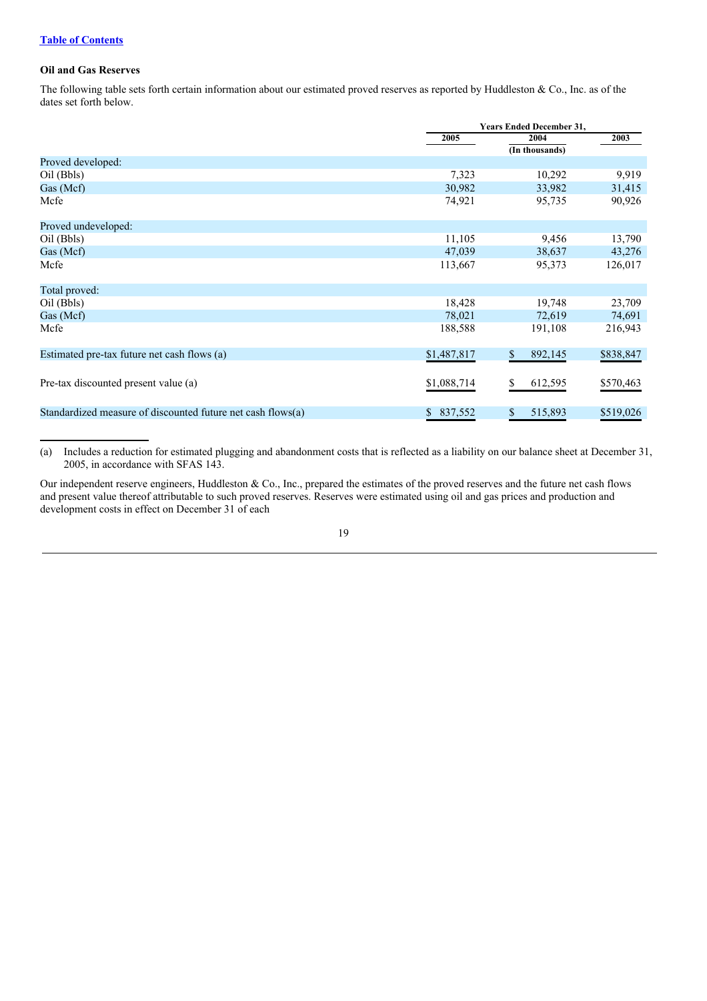## **Oil and Gas Reserves**

The following table sets forth certain information about our estimated proved reserves as reported by Huddleston & Co., Inc. as of the dates set forth below.

|                                                             | <b>Years Ended December 31,</b> |                |           |
|-------------------------------------------------------------|---------------------------------|----------------|-----------|
|                                                             | 2005                            | 2004           | 2003      |
|                                                             |                                 | (In thousands) |           |
| Proved developed:                                           |                                 |                |           |
| Oil (Bbls)                                                  | 7,323                           | 10,292         | 9,919     |
| Gas (Mcf)                                                   | 30,982                          | 33,982         | 31,415    |
| Mcfe                                                        | 74,921                          | 95,735         | 90,926    |
| Proved undeveloped:                                         |                                 |                |           |
| Oil (Bbls)                                                  | 11,105                          | 9,456          | 13,790    |
| Gas (Mcf)                                                   | 47,039                          | 38,637         | 43,276    |
| Mcfe                                                        | 113,667                         | 95,373         | 126,017   |
| Total proved:                                               |                                 |                |           |
| Oil (Bbls)                                                  | 18,428                          | 19,748         | 23,709    |
| Gas (Mcf)                                                   | 78,021                          | 72,619         | 74,691    |
| Mcfe                                                        | 188,588                         | 191,108        | 216,943   |
| Estimated pre-tax future net cash flows (a)                 | \$1,487,817                     | \$<br>892,145  | \$838,847 |
| Pre-tax discounted present value (a)                        | \$1,088,714                     | 612,595<br>S   | \$570,463 |
| Standardized measure of discounted future net cash flows(a) | \$ 837,552                      | \$<br>515,893  | \$519,026 |

(a) Includes a reduction for estimated plugging and abandonment costs that is reflected as a liability on our balance sheet at December 31, 2005, in accordance with SFAS 143.

Our independent reserve engineers, Huddleston & Co., Inc., prepared the estimates of the proved reserves and the future net cash flows and present value thereof attributable to such proved reserves. Reserves were estimated using oil and gas prices and production and development costs in effect on December 31 of each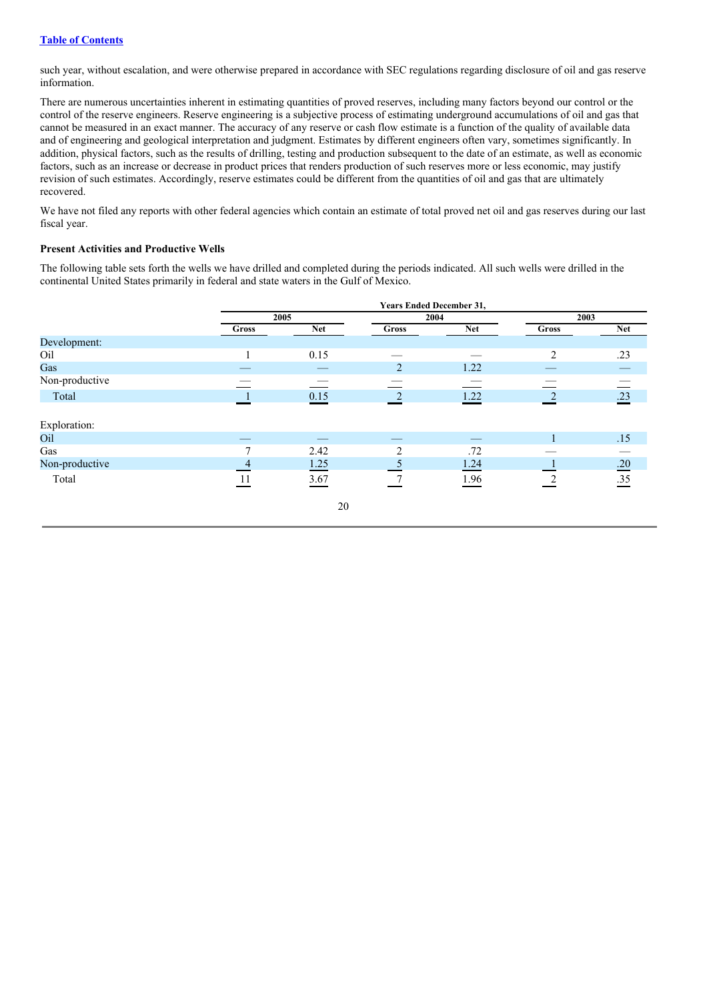such year, without escalation, and were otherwise prepared in accordance with SEC regulations regarding disclosure of oil and gas reserve information.

There are numerous uncertainties inherent in estimating quantities of proved reserves, including many factors beyond our control or the control of the reserve engineers. Reserve engineering is a subjective process of estimating underground accumulations of oil and gas that cannot be measured in an exact manner. The accuracy of any reserve or cash flow estimate is a function of the quality of available data and of engineering and geological interpretation and judgment. Estimates by different engineers often vary, sometimes significantly. In addition, physical factors, such as the results of drilling, testing and production subsequent to the date of an estimate, as well as economic factors, such as an increase or decrease in product prices that renders production of such reserves more or less economic, may justify revision of such estimates. Accordingly, reserve estimates could be different from the quantities of oil and gas that are ultimately recovered.

We have not filed any reports with other federal agencies which contain an estimate of total proved net oil and gas reserves during our last fiscal year.

#### **Present Activities and Productive Wells**

The following table sets forth the wells we have drilled and completed during the periods indicated. All such wells were drilled in the continental United States primarily in federal and state waters in the Gulf of Mexico.

|                |       |            | <b>Years Ended December 31,</b> |            |                |                   |
|----------------|-------|------------|---------------------------------|------------|----------------|-------------------|
|                | 2005  |            |                                 | 2004       | 2003           |                   |
|                | Gross | <b>Net</b> | <b>Gross</b>                    | <b>Net</b> | Gross          | <b>Net</b>        |
| Development:   |       |            |                                 |            |                |                   |
| Oil            |       | 0.15       |                                 |            | $\overline{2}$ | .23               |
| Gas            |       |            | $\overline{\mathcal{L}}$        | 1.22       |                |                   |
| Non-productive |       |            |                                 |            |                |                   |
| Total          |       | 0.15       | 2                               | 1.22       | $\mathcal{L}$  | $\frac{1}{.23}$   |
|                |       |            |                                 |            |                |                   |
| Exploration:   |       |            |                                 |            |                |                   |
| Oil            |       |            |                                 |            |                | .15               |
| Gas            |       | 2.42       | $\overline{2}$                  | .72        |                |                   |
| Non-productive | 4     | 1.25       |                                 | 1.24       |                |                   |
| Total          | 11    | 3.67       |                                 | 1.96       | ာ              | $\frac{.20}{.35}$ |
|                |       |            |                                 |            |                |                   |
|                |       | 20         |                                 |            |                |                   |
|                |       |            |                                 |            |                |                   |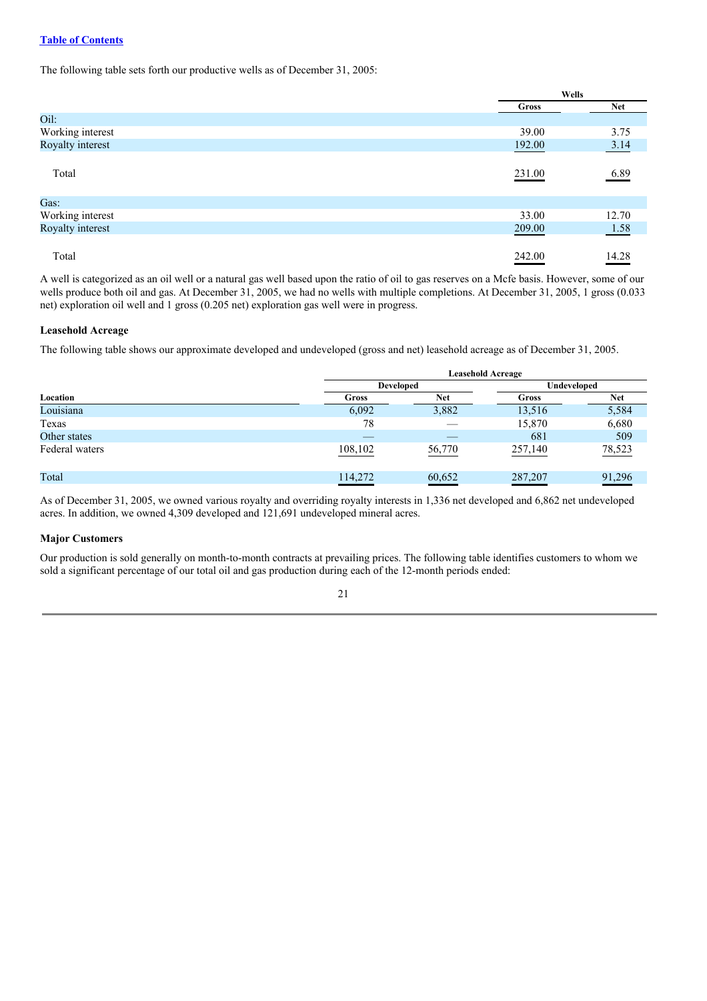The following table sets forth our productive wells as of December 31, 2005:

|                  |        | Wells      |
|------------------|--------|------------|
|                  | Gross  | <b>Net</b> |
| Oil:             |        |            |
| Working interest | 39.00  | 3.75       |
| Royalty interest | 192.00 | 3.14       |
| Total            | 231.00 | 6.89       |
| Gas:             |        |            |
| Working interest | 33.00  | 12.70      |
| Royalty interest | 209.00 | 1.58       |
| Total            | 242.00 | 14.28      |

A well is categorized as an oil well or a natural gas well based upon the ratio of oil to gas reserves on a Mcfe basis. However, some of our wells produce both oil and gas. At December 31, 2005, we had no wells with multiple completions. At December 31, 2005, 1 gross (0.033 net) exploration oil well and 1 gross (0.205 net) exploration gas well were in progress.

## **Leasehold Acreage**

The following table shows our approximate developed and undeveloped (gross and net) leasehold acreage as of December 31, 2005.

|                | Leasehold Acreage |                  |         |            |  |  |
|----------------|-------------------|------------------|---------|------------|--|--|
|                |                   | <b>Developed</b> |         |            |  |  |
| Location       | Gross             | <b>Net</b>       | Gross   | <b>Net</b> |  |  |
| Louisiana      | 6,092             | 3,882            | 13,516  | 5,584      |  |  |
| Texas          | 78                |                  | 15,870  | 6,680      |  |  |
| Other states   |                   |                  | 681     | 509        |  |  |
| Federal waters | 108,102           | 56,770           | 257,140 | 78,523     |  |  |
| Total          | 114,272           | 60,652           | 287,207 | 91,296     |  |  |

As of December 31, 2005, we owned various royalty and overriding royalty interests in 1,336 net developed and 6,862 net undeveloped acres. In addition, we owned 4,309 developed and 121,691 undeveloped mineral acres.

## **Major Customers**

Our production is sold generally on month-to-month contracts at prevailing prices. The following table identifies customers to whom we sold a significant percentage of our total oil and gas production during each of the 12-month periods ended: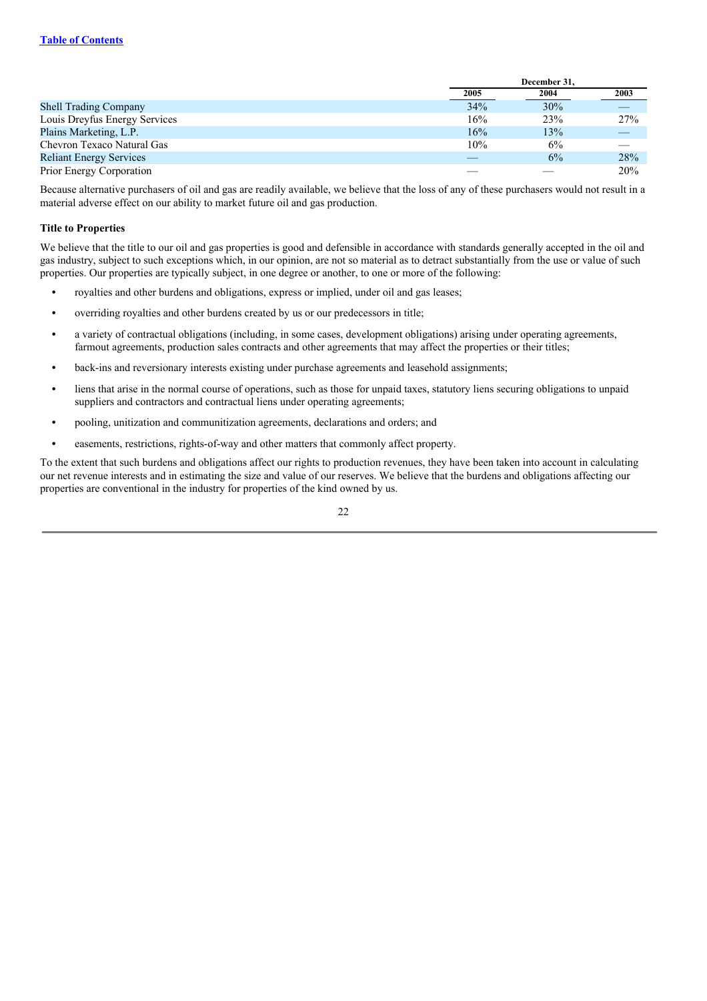|                                | December 31. |      |      |
|--------------------------------|--------------|------|------|
|                                | 2005         | 2004 | 2003 |
| <b>Shell Trading Company</b>   | 34%          | 30%  |      |
| Louis Dreyfus Energy Services  | 16%          | 23%  | 27%  |
| Plains Marketing, L.P.         | 16%          | 13%  |      |
| Chevron Texaco Natural Gas     | 10%          | 6%   |      |
| <b>Reliant Energy Services</b> |              | 6%   | 28%  |
| Prior Energy Corporation       |              |      | 20%  |

Because alternative purchasers of oil and gas are readily available, we believe that the loss of any of these purchasers would not result in a material adverse effect on our ability to market future oil and gas production.

## **Title to Properties**

We believe that the title to our oil and gas properties is good and defensible in accordance with standards generally accepted in the oil and gas industry, subject to such exceptions which, in our opinion, are not so material as to detract substantially from the use or value of such properties. Our properties are typically subject, in one degree or another, to one or more of the following:

- **•** royalties and other burdens and obligations, express or implied, under oil and gas leases;
- **•** overriding royalties and other burdens created by us or our predecessors in title;
- **•** a variety of contractual obligations (including, in some cases, development obligations) arising under operating agreements, farmout agreements, production sales contracts and other agreements that may affect the properties or their titles;
- back-ins and reversionary interests existing under purchase agreements and leasehold assignments;
- liens that arise in the normal course of operations, such as those for unpaid taxes, statutory liens securing obligations to unpaid suppliers and contractors and contractual liens under operating agreements;
- **•** pooling, unitization and communitization agreements, declarations and orders; and
- **•** easements, restrictions, rights-of-way and other matters that commonly affect property.

To the extent that such burdens and obligations affect our rights to production revenues, they have been taken into account in calculating our net revenue interests and in estimating the size and value of our reserves. We believe that the burdens and obligations affecting our properties are conventional in the industry for properties of the kind owned by us.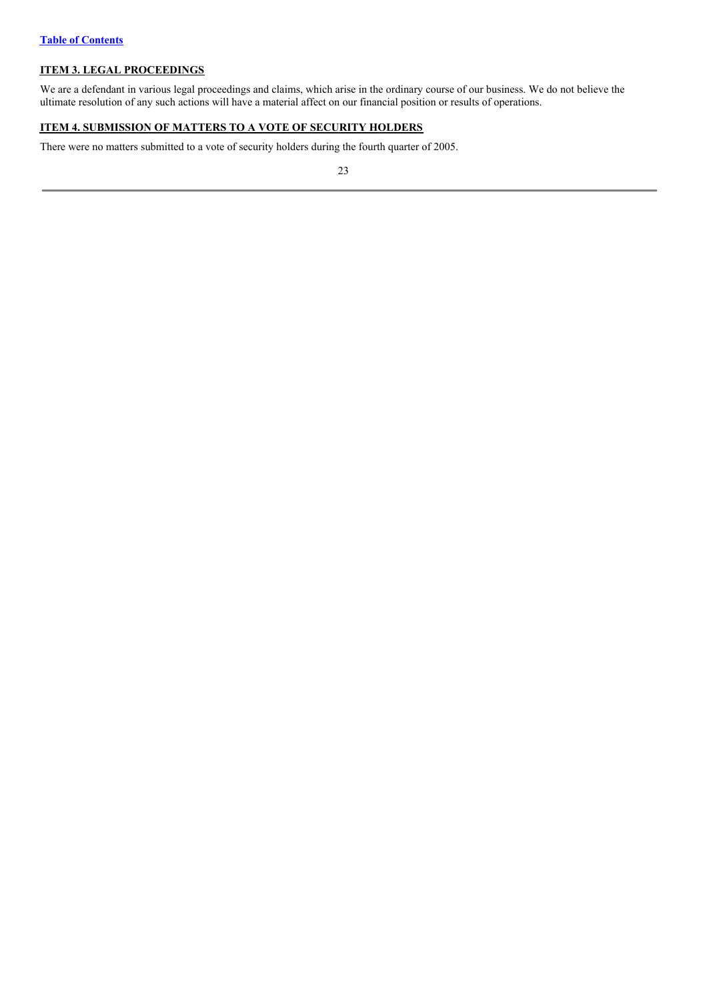## **ITEM 3. LEGAL PROCEEDINGS**

We are a defendant in various legal proceedings and claims, which arise in the ordinary course of our business. We do not believe the ultimate resolution of any such actions will have a material affect on our financial position or results of operations.

## **ITEM 4. SUBMISSION OF MATTERS TO A VOTE OF SECURITY HOLDERS**

There were no matters submitted to a vote of security holders during the fourth quarter of 2005.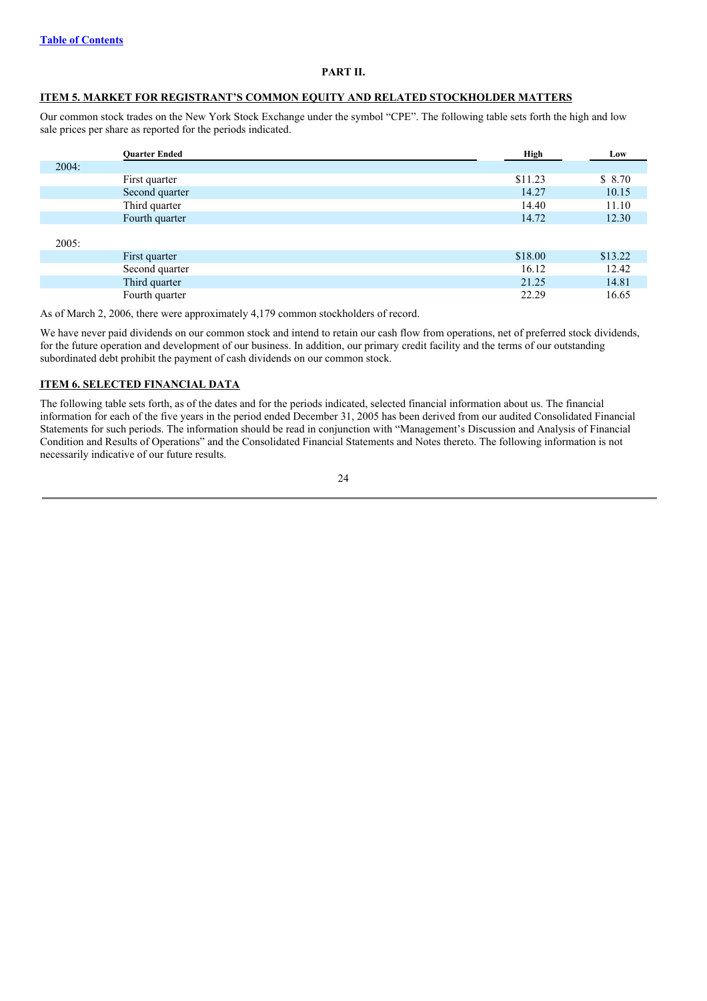## **PART II.**

## **ITEM 5. MARKET FOR REGISTRANT'S COMMON EQUITY AND RELATED STOCKHOLDER MATTERS**

Our common stock trades on the New York Stock Exchange under the symbol "CPE". The following table sets forth the high and low sale prices per share as reported for the periods indicated.

|       | <b>Quarter Ended</b> | High    | Low     |
|-------|----------------------|---------|---------|
| 2004: |                      |         |         |
|       | First quarter        | \$11.23 | \$8.70  |
|       | Second quarter       | 14.27   | 10.15   |
|       | Third quarter        | 14.40   | 11.10   |
|       | Fourth quarter       | 14.72   | 12.30   |
| 2005: |                      |         |         |
|       | First quarter        | \$18.00 | \$13.22 |
|       | Second quarter       | 16.12   | 12.42   |
|       | Third quarter        | 21.25   | 14.81   |
|       | Fourth quarter       | 22.29   | 16.65   |

As of March 2, 2006, there were approximately 4,179 common stockholders of record.

We have never paid dividends on our common stock and intend to retain our cash flow from operations, net of preferred stock dividends, for the future operation and development of our business. In addition, our primary credit facility and the terms of our outstanding subordinated debt prohibit the payment of cash dividends on our common stock.

## **ITEM 6. SELECTED FINANCIAL DATA**

The following table sets forth, as of the dates and for the periods indicated, selected financial information about us. The financial information for each of the five years in the period ended December 31, 2005 has been derived from our audited Consolidated Financial Statements for such periods. The information should be read in conjunction with "Management's Discussion and Analysis of Financial Condition and Results of Operations" and the Consolidated Financial Statements and Notes thereto. The following information is not necessarily indicative of our future results.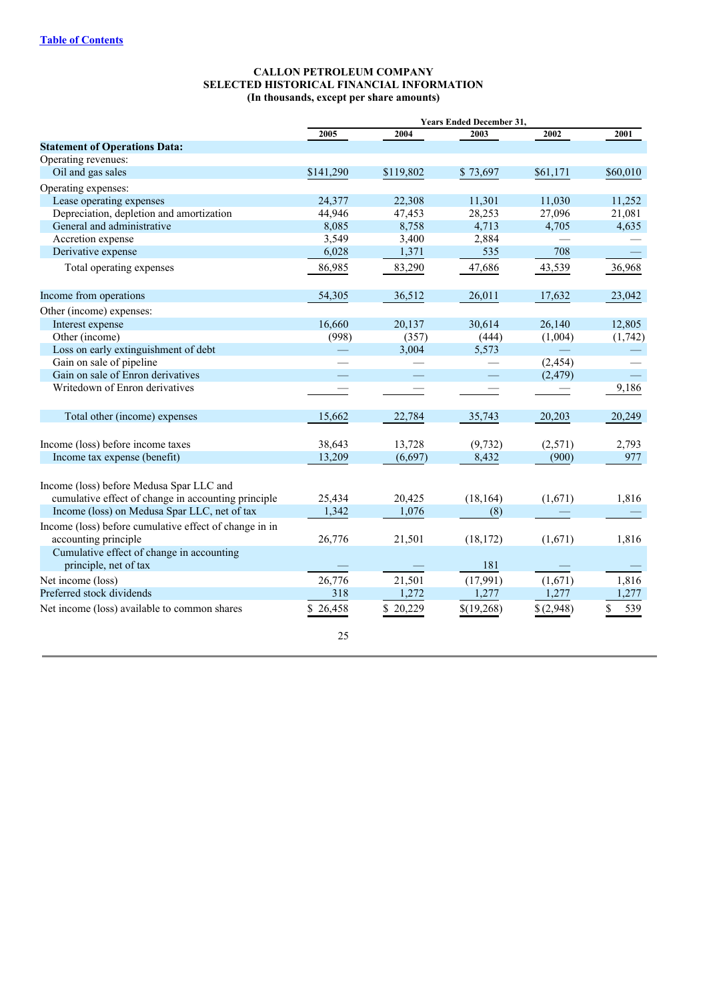## **CALLON PETROLEUM COMPANY SELECTED HISTORICAL FINANCIAL INFORMATION (In thousands, except per share amounts)**

|                                                        |           |           | <b>Years Ended December 31,</b> |           |           |
|--------------------------------------------------------|-----------|-----------|---------------------------------|-----------|-----------|
|                                                        | 2005      | 2004      | 2003                            | 2002      | 2001      |
| <b>Statement of Operations Data:</b>                   |           |           |                                 |           |           |
| Operating revenues:                                    |           |           |                                 |           |           |
| Oil and gas sales                                      | \$141,290 | \$119,802 | \$73,697                        | \$61,171  | \$60,010  |
| Operating expenses:                                    |           |           |                                 |           |           |
| Lease operating expenses                               | 24,377    | 22,308    | 11,301                          | 11,030    | 11,252    |
| Depreciation, depletion and amortization               | 44,946    | 47,453    | 28,253                          | 27,096    | 21,081    |
| General and administrative                             | 8,085     | 8,758     | 4,713                           | 4,705     | 4,635     |
| Accretion expense                                      | 3,549     | 3,400     | 2,884                           |           |           |
| Derivative expense                                     | 6,028     | 1,371     | 535                             | 708       |           |
| Total operating expenses                               | 86,985    | 83,290    | 47,686                          | 43,539    | 36,968    |
| Income from operations                                 | 54,305    | 36,512    | 26,011                          | 17,632    | 23,042    |
| Other (income) expenses:                               |           |           |                                 |           |           |
| Interest expense                                       | 16,660    | 20,137    | 30.614                          | 26,140    | 12,805    |
| Other (income)                                         | (998)     | (357)     | (444)                           | (1,004)   | (1,742)   |
| Loss on early extinguishment of debt                   |           | 3,004     | 5,573                           |           |           |
| Gain on sale of pipeline                               |           |           |                                 | (2, 454)  |           |
| Gain on sale of Enron derivatives                      |           |           |                                 | (2, 479)  |           |
| Writedown of Enron derivatives                         |           |           |                                 |           | 9,186     |
| Total other (income) expenses                          | 15,662    | 22,784    | 35,743                          | 20,203    | 20,249    |
| Income (loss) before income taxes                      | 38,643    | 13,728    | (9, 732)                        | (2,571)   | 2,793     |
| Income tax expense (benefit)                           | 13,209    | (6,697)   |                                 |           | 977       |
|                                                        |           |           | 8,432                           | (900)     |           |
| Income (loss) before Medusa Spar LLC and               |           |           |                                 |           |           |
| cumulative effect of change in accounting principle    | 25,434    | 20,425    | (18, 164)                       | (1,671)   | 1,816     |
| Income (loss) on Medusa Spar LLC, net of tax           | 1,342     | 1,076     | (8)                             |           |           |
| Income (loss) before cumulative effect of change in in |           |           |                                 |           |           |
| accounting principle                                   | 26,776    | 21,501    | (18, 172)                       | (1,671)   | 1,816     |
| Cumulative effect of change in accounting              |           |           |                                 |           |           |
| principle, net of tax                                  |           |           | 181                             |           |           |
| Net income (loss)                                      | 26,776    | 21,501    | (17,991)                        | (1,671)   | 1,816     |
| Preferred stock dividends                              | 318       | 1,272     | 1,277                           | 1,277     | 1,277     |
| Net income (loss) available to common shares           | \$26,458  | \$20,229  | \$(19, 268)                     | \$(2,948) | \$<br>539 |
|                                                        | 25        |           |                                 |           |           |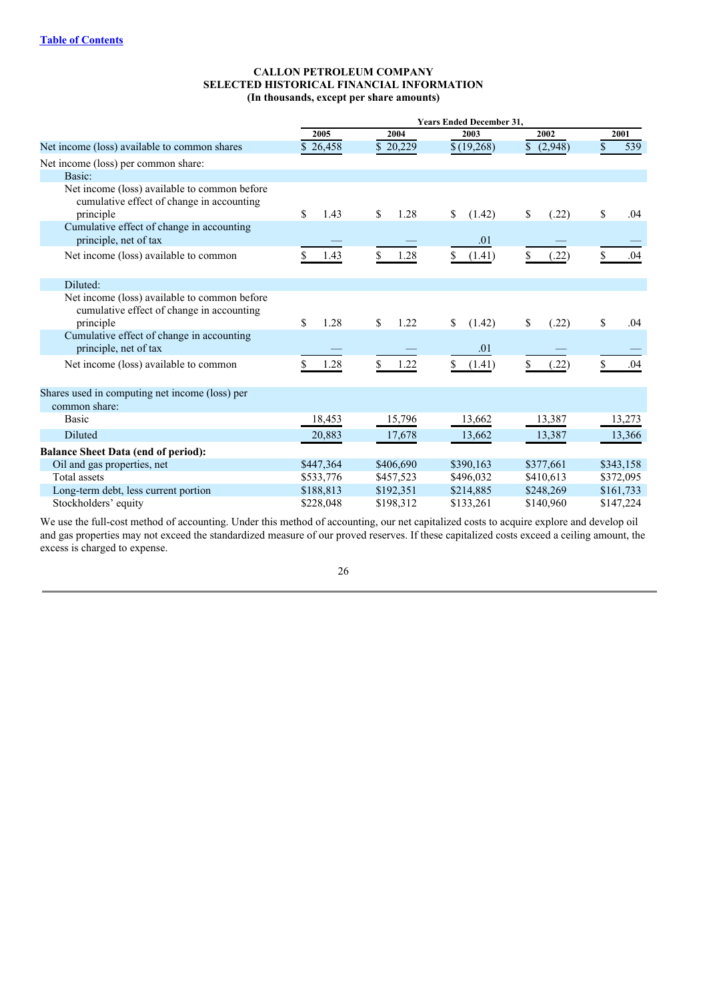## **CALLON PETROLEUM COMPANY SELECTED HISTORICAL FINANCIAL INFORMATION (In thousands, except per share amounts)**

|                                                                                                        | <b>Years Ended December 31,</b> |            |              |               |           |
|--------------------------------------------------------------------------------------------------------|---------------------------------|------------|--------------|---------------|-----------|
|                                                                                                        | 2005                            | 2004       | 2003         | 2002          | 2001      |
| Net income (loss) available to common shares                                                           | \$26,458                        | \$20,229   | \$(19,268)   | (2,948)<br>\$ | \$<br>539 |
| Net income (loss) per common share:                                                                    |                                 |            |              |               |           |
| Basic:                                                                                                 |                                 |            |              |               |           |
| Net income (loss) available to common before<br>cumulative effect of change in accounting<br>principle | \$<br>1.43                      | \$<br>1.28 | \$<br>(1.42) | \$<br>(.22)   | \$<br>.04 |
| Cumulative effect of change in accounting<br>principle, net of tax                                     |                                 |            | .01          |               |           |
| Net income (loss) available to common                                                                  | 1.43<br>S                       | 1.28<br>\$ | (1.41)<br>\$ | (.22)<br>\$   | .04<br>\$ |
| Diluted:                                                                                               |                                 |            |              |               |           |
| Net income (loss) available to common before<br>cumulative effect of change in accounting<br>principle | 1.28<br>\$                      | \$<br>1.22 | \$<br>(1.42) | \$<br>(.22)   | \$<br>.04 |
| Cumulative effect of change in accounting<br>principle, net of tax                                     |                                 |            | .01          |               |           |
| Net income (loss) available to common                                                                  | S<br>1.28                       | \$<br>1.22 | \$<br>(1.41) | \$<br>(.22)   | .04<br>\$ |
| Shares used in computing net income (loss) per<br>common share:                                        |                                 |            |              |               |           |
| <b>Basic</b>                                                                                           | 18,453                          | 15,796     | 13,662       | 13,387        | 13,273    |
| <b>Diluted</b>                                                                                         | 20,883                          | 17,678     | 13,662       | 13,387        | 13,366    |
| <b>Balance Sheet Data (end of period):</b>                                                             |                                 |            |              |               |           |
| Oil and gas properties, net                                                                            | \$447,364                       | \$406,690  | \$390,163    | \$377,661     | \$343,158 |
| <b>Total assets</b>                                                                                    | \$533,776                       | \$457,523  | \$496,032    | \$410,613     | \$372,095 |
| Long-term debt, less current portion                                                                   | \$188,813                       | \$192,351  | \$214,885    | \$248,269     | \$161,733 |
| Stockholders' equity                                                                                   | \$228,048                       | \$198,312  | \$133,261    | \$140,960     | \$147,224 |

We use the full-cost method of accounting. Under this method of accounting, our net capitalized costs to acquire explore and develop oil and gas properties may not exceed the standardized measure of our proved reserves. If these capitalized costs exceed a ceiling amount, the excess is charged to expense.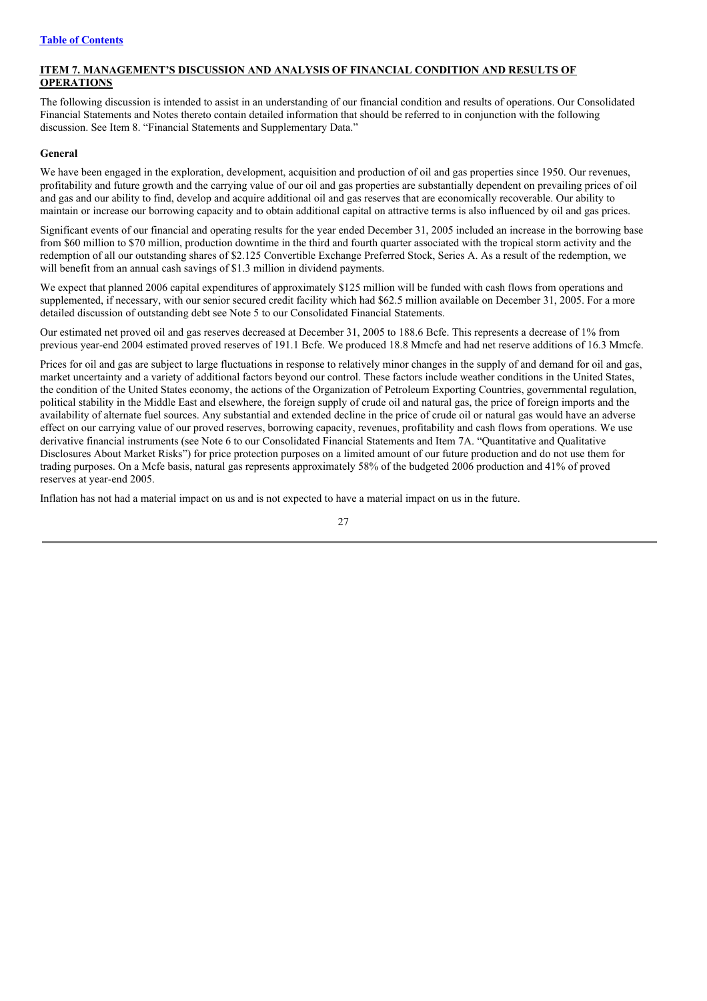## **ITEM 7. MANAGEMENT'S DISCUSSION AND ANALYSIS OF FINANCIAL CONDITION AND RESULTS OF OPERATIONS**

The following discussion is intended to assist in an understanding of our financial condition and results of operations. Our Consolidated Financial Statements and Notes thereto contain detailed information that should be referred to in conjunction with the following discussion. See Item 8. "Financial Statements and Supplementary Data."

#### **General**

We have been engaged in the exploration, development, acquisition and production of oil and gas properties since 1950. Our revenues, profitability and future growth and the carrying value of our oil and gas properties are substantially dependent on prevailing prices of oil and gas and our ability to find, develop and acquire additional oil and gas reserves that are economically recoverable. Our ability to maintain or increase our borrowing capacity and to obtain additional capital on attractive terms is also influenced by oil and gas prices.

Significant events of our financial and operating results for the year ended December 31, 2005 included an increase in the borrowing base from \$60 million to \$70 million, production downtime in the third and fourth quarter associated with the tropical storm activity and the redemption of all our outstanding shares of \$2.125 Convertible Exchange Preferred Stock, Series A. As a result of the redemption, we will benefit from an annual cash savings of \$1.3 million in dividend payments.

We expect that planned 2006 capital expenditures of approximately \$125 million will be funded with cash flows from operations and supplemented, if necessary, with our senior secured credit facility which had \$62.5 million available on December 31, 2005. For a more detailed discussion of outstanding debt see Note 5 to our Consolidated Financial Statements.

Our estimated net proved oil and gas reserves decreased at December 31, 2005 to 188.6 Bcfe. This represents a decrease of 1% from previous year-end 2004 estimated proved reserves of 191.1 Bcfe. We produced 18.8 Mmcfe and had net reserve additions of 16.3 Mmcfe.

Prices for oil and gas are subject to large fluctuations in response to relatively minor changes in the supply of and demand for oil and gas, market uncertainty and a variety of additional factors beyond our control. These factors include weather conditions in the United States, the condition of the United States economy, the actions of the Organization of Petroleum Exporting Countries, governmental regulation, political stability in the Middle East and elsewhere, the foreign supply of crude oil and natural gas, the price of foreign imports and the availability of alternate fuel sources. Any substantial and extended decline in the price of crude oil or natural gas would have an adverse effect on our carrying value of our proved reserves, borrowing capacity, revenues, profitability and cash flows from operations. We use derivative financial instruments (see Note 6 to our Consolidated Financial Statements and Item 7A. "Quantitative and Qualitative Disclosures About Market Risks") for price protection purposes on a limited amount of our future production and do not use them for trading purposes. On a Mcfe basis, natural gas represents approximately 58% of the budgeted 2006 production and 41% of proved reserves at year-end 2005.

Inflation has not had a material impact on us and is not expected to have a material impact on us in the future.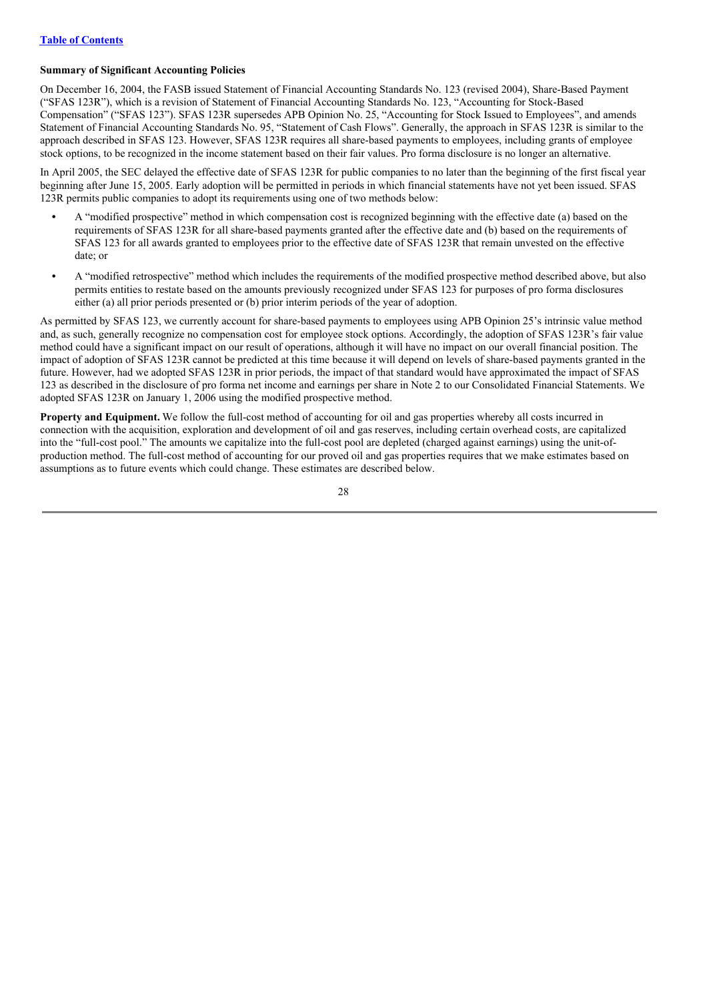## **Summary of Significant Accounting Policies**

On December 16, 2004, the FASB issued Statement of Financial Accounting Standards No. 123 (revised 2004), Share-Based Payment ("SFAS 123R"), which is a revision of Statement of Financial Accounting Standards No. 123, "Accounting for Stock-Based Compensation" ("SFAS 123"). SFAS 123R supersedes APB Opinion No. 25, "Accounting for Stock Issued to Employees", and amends Statement of Financial Accounting Standards No. 95, "Statement of Cash Flows". Generally, the approach in SFAS 123R is similar to the approach described in SFAS 123. However, SFAS 123R requires all share-based payments to employees, including grants of employee stock options, to be recognized in the income statement based on their fair values. Pro forma disclosure is no longer an alternative.

In April 2005, the SEC delayed the effective date of SFAS 123R for public companies to no later than the beginning of the first fiscal year beginning after June 15, 2005. Early adoption will be permitted in periods in which financial statements have not yet been issued. SFAS 123R permits public companies to adopt its requirements using one of two methods below:

- **•** A "modified prospective" method in which compensation cost is recognized beginning with the effective date (a) based on the requirements of SFAS 123R for all share-based payments granted after the effective date and (b) based on the requirements of SFAS 123 for all awards granted to employees prior to the effective date of SFAS 123R that remain unvested on the effective date; or
- **•** A "modified retrospective" method which includes the requirements of the modified prospective method described above, but also permits entities to restate based on the amounts previously recognized under SFAS 123 for purposes of pro forma disclosures either (a) all prior periods presented or (b) prior interim periods of the year of adoption.

As permitted by SFAS 123, we currently account for share-based payments to employees using APB Opinion 25's intrinsic value method and, as such, generally recognize no compensation cost for employee stock options. Accordingly, the adoption of SFAS 123R's fair value method could have a significant impact on our result of operations, although it will have no impact on our overall financial position. The impact of adoption of SFAS 123R cannot be predicted at this time because it will depend on levels of share-based payments granted in the future. However, had we adopted SFAS 123R in prior periods, the impact of that standard would have approximated the impact of SFAS 123 as described in the disclosure of pro forma net income and earnings per share in Note 2 to our Consolidated Financial Statements. We adopted SFAS 123R on January 1, 2006 using the modified prospective method.

**Property and Equipment.** We follow the full-cost method of accounting for oil and gas properties whereby all costs incurred in connection with the acquisition, exploration and development of oil and gas reserves, including certain overhead costs, are capitalized into the "full-cost pool." The amounts we capitalize into the full-cost pool are depleted (charged against earnings) using the unit-ofproduction method. The full-cost method of accounting for our proved oil and gas properties requires that we make estimates based on assumptions as to future events which could change. These estimates are described below.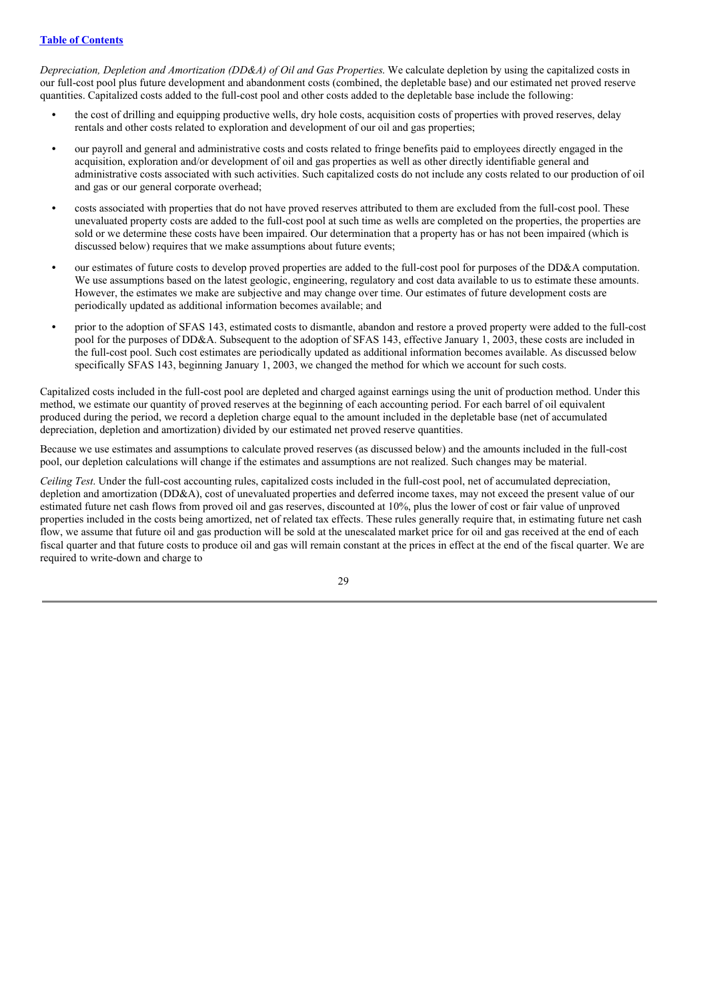*Depreciation, Depletion and Amortization (DD&A) of Oil and Gas Properties*. We calculate depletion by using the capitalized costs in our full-cost pool plus future development and abandonment costs (combined, the depletable base) and our estimated net proved reserve quantities. Capitalized costs added to the full-cost pool and other costs added to the depletable base include the following:

- **•** the cost of drilling and equipping productive wells, dry hole costs, acquisition costs of properties with proved reserves, delay rentals and other costs related to exploration and development of our oil and gas properties;
- **•** our payroll and general and administrative costs and costs related to fringe benefits paid to employees directly engaged in the acquisition, exploration and/or development of oil and gas properties as well as other directly identifiable general and administrative costs associated with such activities. Such capitalized costs do not include any costs related to our production of oil and gas or our general corporate overhead;
- **•** costs associated with properties that do not have proved reserves attributed to them are excluded from the full-cost pool. These unevaluated property costs are added to the full-cost pool at such time as wells are completed on the properties, the properties are sold or we determine these costs have been impaired. Our determination that a property has or has not been impaired (which is discussed below) requires that we make assumptions about future events;
- **•** our estimates of future costs to develop proved properties are added to the full-cost pool for purposes of the DD&A computation. We use assumptions based on the latest geologic, engineering, regulatory and cost data available to us to estimate these amounts. However, the estimates we make are subjective and may change over time. Our estimates of future development costs are periodically updated as additional information becomes available; and
- **•** prior to the adoption of SFAS 143, estimated costs to dismantle, abandon and restore a proved property were added to the full-cost pool for the purposes of DD&A. Subsequent to the adoption of SFAS 143, effective January 1, 2003, these costs are included in the full-cost pool. Such cost estimates are periodically updated as additional information becomes available. As discussed below specifically SFAS 143, beginning January 1, 2003, we changed the method for which we account for such costs.

Capitalized costs included in the full-cost pool are depleted and charged against earnings using the unit of production method. Under this method, we estimate our quantity of proved reserves at the beginning of each accounting period. For each barrel of oil equivalent produced during the period, we record a depletion charge equal to the amount included in the depletable base (net of accumulated depreciation, depletion and amortization) divided by our estimated net proved reserve quantities.

Because we use estimates and assumptions to calculate proved reserves (as discussed below) and the amounts included in the full-cost pool, our depletion calculations will change if the estimates and assumptions are not realized. Such changes may be material.

*Ceiling Test*. Under the full-cost accounting rules, capitalized costs included in the full-cost pool, net of accumulated depreciation, depletion and amortization (DD&A), cost of unevaluated properties and deferred income taxes, may not exceed the present value of our estimated future net cash flows from proved oil and gas reserves, discounted at 10%, plus the lower of cost or fair value of unproved properties included in the costs being amortized, net of related tax effects. These rules generally require that, in estimating future net cash flow, we assume that future oil and gas production will be sold at the unescalated market price for oil and gas received at the end of each fiscal quarter and that future costs to produce oil and gas will remain constant at the prices in effect at the end of the fiscal quarter. We are required to write-down and charge to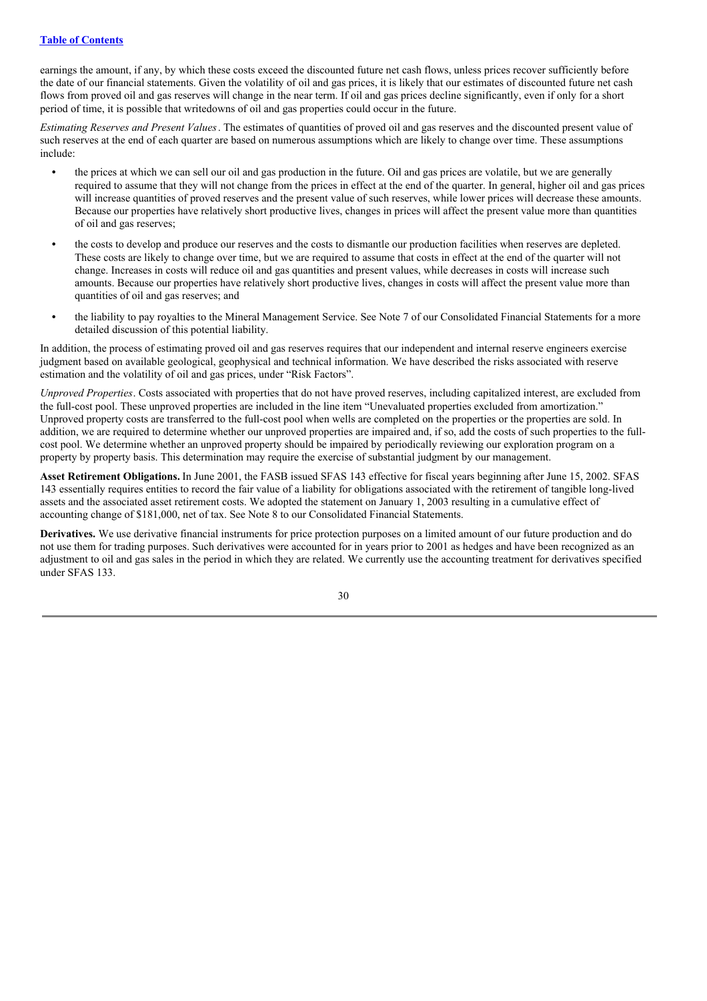earnings the amount, if any, by which these costs exceed the discounted future net cash flows, unless prices recover sufficiently before the date of our financial statements. Given the volatility of oil and gas prices, it is likely that our estimates of discounted future net cash flows from proved oil and gas reserves will change in the near term. If oil and gas prices decline significantly, even if only for a short period of time, it is possible that writedowns of oil and gas properties could occur in the future.

*Estimating Reserves and Present Values*. The estimates of quantities of proved oil and gas reserves and the discounted present value of such reserves at the end of each quarter are based on numerous assumptions which are likely to change over time. These assumptions include:

- **•** the prices at which we can sell our oil and gas production in the future. Oil and gas prices are volatile, but we are generally required to assume that they will not change from the prices in effect at the end of the quarter. In general, higher oil and gas prices will increase quantities of proved reserves and the present value of such reserves, while lower prices will decrease these amounts. Because our properties have relatively short productive lives, changes in prices will affect the present value more than quantities of oil and gas reserves;
- **•** the costs to develop and produce our reserves and the costs to dismantle our production facilities when reserves are depleted. These costs are likely to change over time, but we are required to assume that costs in effect at the end of the quarter will not change. Increases in costs will reduce oil and gas quantities and present values, while decreases in costs will increase such amounts. Because our properties have relatively short productive lives, changes in costs will affect the present value more than quantities of oil and gas reserves; and
- the liability to pay royalties to the Mineral Management Service. See Note 7 of our Consolidated Financial Statements for a more detailed discussion of this potential liability.

In addition, the process of estimating proved oil and gas reserves requires that our independent and internal reserve engineers exercise judgment based on available geological, geophysical and technical information. We have described the risks associated with reserve estimation and the volatility of oil and gas prices, under "Risk Factors".

*Unproved Properties*. Costs associated with properties that do not have proved reserves, including capitalized interest, are excluded from the full-cost pool. These unproved properties are included in the line item "Unevaluated properties excluded from amortization." Unproved property costs are transferred to the full-cost pool when wells are completed on the properties or the properties are sold. In addition, we are required to determine whether our unproved properties are impaired and, if so, add the costs of such properties to the fullcost pool. We determine whether an unproved property should be impaired by periodically reviewing our exploration program on a property by property basis. This determination may require the exercise of substantial judgment by our management.

**Asset Retirement Obligations.** In June 2001, the FASB issued SFAS 143 effective for fiscal years beginning after June 15, 2002. SFAS 143 essentially requires entities to record the fair value of a liability for obligations associated with the retirement of tangible long-lived assets and the associated asset retirement costs. We adopted the statement on January 1, 2003 resulting in a cumulative effect of accounting change of \$181,000, net of tax. See Note 8 to our Consolidated Financial Statements.

**Derivatives.** We use derivative financial instruments for price protection purposes on a limited amount of our future production and do not use them for trading purposes. Such derivatives were accounted for in years prior to 2001 as hedges and have been recognized as an adjustment to oil and gas sales in the period in which they are related. We currently use the accounting treatment for derivatives specified under SFAS 133.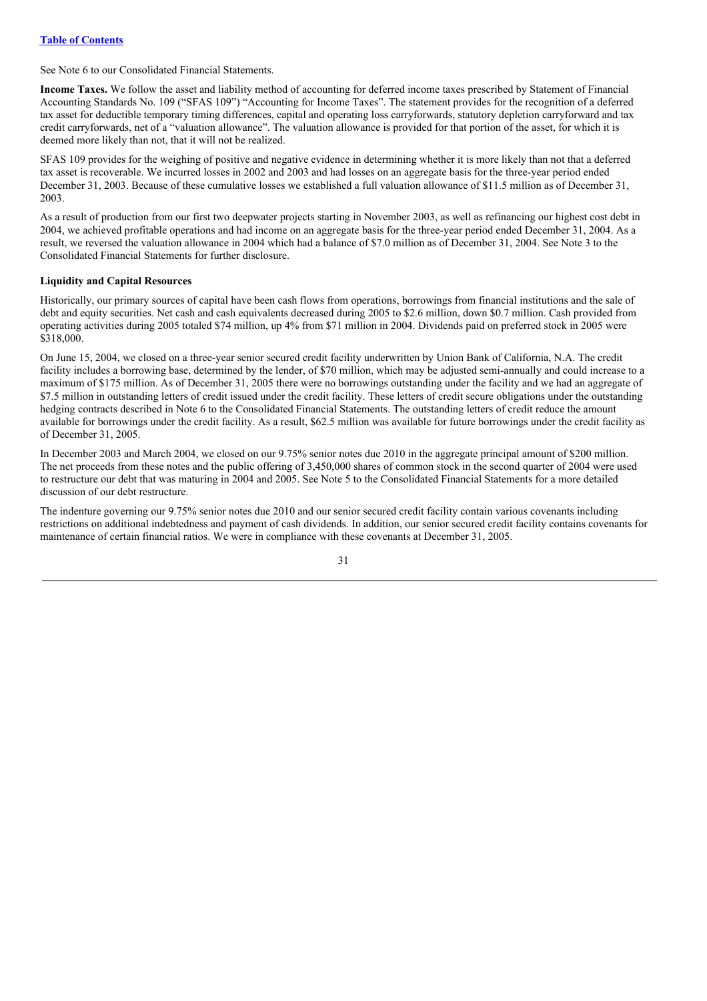See Note 6 to our Consolidated Financial Statements.

**Income Taxes.** We follow the asset and liability method of accounting for deferred income taxes prescribed by Statement of Financial Accounting Standards No. 109 ("SFAS 109") "Accounting for Income Taxes". The statement provides for the recognition of a deferred tax asset for deductible temporary timing differences, capital and operating loss carryforwards, statutory depletion carryforward and tax credit carryforwards, net of a "valuation allowance". The valuation allowance is provided for that portion of the asset, for which it is deemed more likely than not, that it will not be realized.

SFAS 109 provides for the weighing of positive and negative evidence in determining whether it is more likely than not that a deferred tax asset is recoverable. We incurred losses in 2002 and 2003 and had losses on an aggregate basis for the three-year period ended December 31, 2003. Because of these cumulative losses we established a full valuation allowance of \$11.5 million as of December 31, 2003.

As a result of production from our first two deepwater projects starting in November 2003, as well as refinancing our highest cost debt in 2004, we achieved profitable operations and had income on an aggregate basis for the three-year period ended December 31, 2004. As a result, we reversed the valuation allowance in 2004 which had a balance of \$7.0 million as of December 31, 2004. See Note 3 to the Consolidated Financial Statements for further disclosure.

#### **Liquidity and Capital Resources**

Historically, our primary sources of capital have been cash flows from operations, borrowings from financial institutions and the sale of debt and equity securities. Net cash and cash equivalents decreased during 2005 to \$2.6 million, down \$0.7 million. Cash provided from operating activities during 2005 totaled \$74 million, up 4% from \$71 million in 2004. Dividends paid on preferred stock in 2005 were \$318,000.

On June 15, 2004, we closed on a three-year senior secured credit facility underwritten by Union Bank of California, N.A. The credit facility includes a borrowing base, determined by the lender, of \$70 million, which may be adjusted semi-annually and could increase to a maximum of \$175 million. As of December 31, 2005 there were no borrowings outstanding under the facility and we had an aggregate of \$7.5 million in outstanding letters of credit issued under the credit facility. These letters of credit secure obligations under the outstanding hedging contracts described in Note 6 to the Consolidated Financial Statements. The outstanding letters of credit reduce the amount available for borrowings under the credit facility. As a result, \$62.5 million was available for future borrowings under the credit facility as of December 31, 2005.

In December 2003 and March 2004, we closed on our 9.75% senior notes due 2010 in the aggregate principal amount of \$200 million. The net proceeds from these notes and the public offering of 3,450,000 shares of common stock in the second quarter of 2004 were used to restructure our debt that was maturing in 2004 and 2005. See Note 5 to the Consolidated Financial Statements for a more detailed discussion of our debt restructure.

The indenture governing our 9.75% senior notes due 2010 and our senior secured credit facility contain various covenants including restrictions on additional indebtedness and payment of cash dividends. In addition, our senior secured credit facility contains covenants for maintenance of certain financial ratios. We were in compliance with these covenants at December 31, 2005.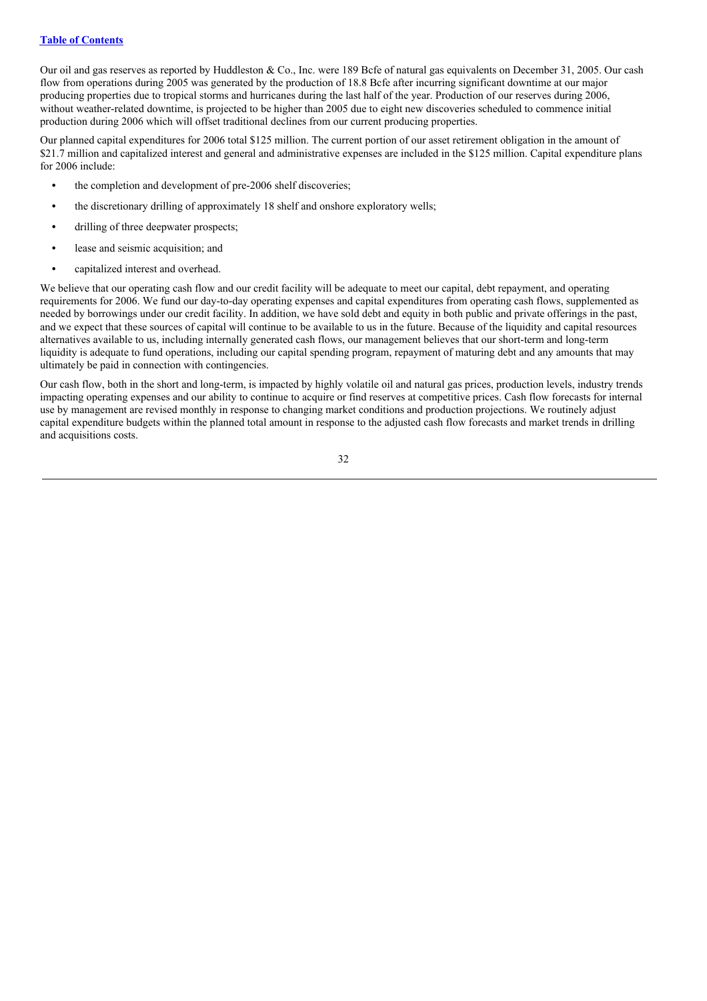Our oil and gas reserves as reported by Huddleston & Co., Inc. were 189 Bcfe of natural gas equivalents on December 31, 2005. Our cash flow from operations during 2005 was generated by the production of 18.8 Bcfe after incurring significant downtime at our major producing properties due to tropical storms and hurricanes during the last half of the year. Production of our reserves during 2006, without weather-related downtime, is projected to be higher than 2005 due to eight new discoveries scheduled to commence initial production during 2006 which will offset traditional declines from our current producing properties.

Our planned capital expenditures for 2006 total \$125 million. The current portion of our asset retirement obligation in the amount of \$21.7 million and capitalized interest and general and administrative expenses are included in the \$125 million. Capital expenditure plans for 2006 include:

- the completion and development of pre-2006 shelf discoveries;
- the discretionary drilling of approximately 18 shelf and onshore exploratory wells;
- drilling of three deepwater prospects;
- **•** lease and seismic acquisition; and
- **•** capitalized interest and overhead.

We believe that our operating cash flow and our credit facility will be adequate to meet our capital, debt repayment, and operating requirements for 2006. We fund our day-to-day operating expenses and capital expenditures from operating cash flows, supplemented as needed by borrowings under our credit facility. In addition, we have sold debt and equity in both public and private offerings in the past, and we expect that these sources of capital will continue to be available to us in the future. Because of the liquidity and capital resources alternatives available to us, including internally generated cash flows, our management believes that our short-term and long-term liquidity is adequate to fund operations, including our capital spending program, repayment of maturing debt and any amounts that may ultimately be paid in connection with contingencies.

Our cash flow, both in the short and long-term, is impacted by highly volatile oil and natural gas prices, production levels, industry trends impacting operating expenses and our ability to continue to acquire or find reserves at competitive prices. Cash flow forecasts for internal use by management are revised monthly in response to changing market conditions and production projections. We routinely adjust capital expenditure budgets within the planned total amount in response to the adjusted cash flow forecasts and market trends in drilling and acquisitions costs.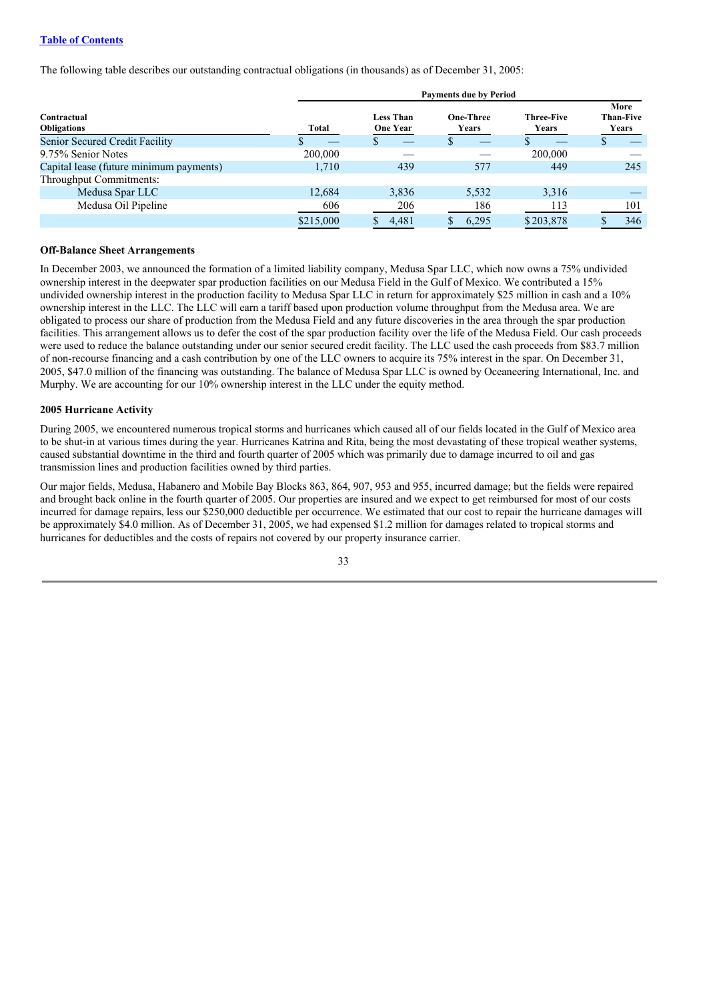The following table describes our outstanding contractual obligations (in thousands) as of December 31, 2005:

|                                         | <b>Payments due by Period</b> |                              |                           |                            |                                   |  |
|-----------------------------------------|-------------------------------|------------------------------|---------------------------|----------------------------|-----------------------------------|--|
| Contractual<br><b>Obligations</b>       | Total                         | Less Than<br><b>One Year</b> | <b>One-Three</b><br>Years | <b>Three-Five</b><br>Years | More<br><b>Than-Five</b><br>Years |  |
| Senior Secured Credit Facility          | Ж                             | ٠D                           |                           |                            |                                   |  |
| 9.75% Senior Notes                      | 200,000                       |                              |                           | 200,000                    |                                   |  |
| Capital lease (future minimum payments) | 1.710                         | 439                          | 577                       | 449                        | 245                               |  |
| Throughput Commitments:                 |                               |                              |                           |                            |                                   |  |
| Medusa Spar LLC                         | 12.684                        | 3,836                        | 5,532                     | 3,316                      |                                   |  |
| Medusa Oil Pipeline                     | 606                           | 206                          | 186                       | 113                        | 101                               |  |
|                                         | \$215,000                     | 4.481                        | 6.295                     | \$203,878                  | 346                               |  |

#### **Off-Balance Sheet Arrangements**

In December 2003, we announced the formation of a limited liability company, Medusa Spar LLC, which now owns a 75% undivided ownership interest in the deepwater spar production facilities on our Medusa Field in the Gulf of Mexico. We contributed a 15% undivided ownership interest in the production facility to Medusa Spar LLC in return for approximately \$25 million in cash and a 10% ownership interest in the LLC. The LLC will earn a tariff based upon production volume throughput from the Medusa area. We are obligated to process our share of production from the Medusa Field and any future discoveries in the area through the spar production facilities. This arrangement allows us to defer the cost of the spar production facility over the life of the Medusa Field. Our cash proceeds were used to reduce the balance outstanding under our senior secured credit facility. The LLC used the cash proceeds from \$83.7 million of non-recourse financing and a cash contribution by one of the LLC owners to acquire its 75% interest in the spar. On December 31, 2005, \$47.0 million of the financing was outstanding. The balance of Medusa Spar LLC is owned by Oceaneering International, Inc. and Murphy. We are accounting for our 10% ownership interest in the LLC under the equity method.

#### **2005 Hurricane Activity**

During 2005, we encountered numerous tropical storms and hurricanes which caused all of our fields located in the Gulf of Mexico area to be shut-in at various times during the year. Hurricanes Katrina and Rita, being the most devastating of these tropical weather systems, caused substantial downtime in the third and fourth quarter of 2005 which was primarily due to damage incurred to oil and gas transmission lines and production facilities owned by third parties.

Our major fields, Medusa, Habanero and Mobile Bay Blocks 863, 864, 907, 953 and 955, incurred damage; but the fields were repaired and brought back online in the fourth quarter of 2005. Our properties are insured and we expect to get reimbursed for most of our costs incurred for damage repairs, less our \$250,000 deductible per occurrence. We estimated that our cost to repair the hurricane damages will be approximately \$4.0 million. As of December 31, 2005, we had expensed \$1.2 million for damages related to tropical storms and hurricanes for deductibles and the costs of repairs not covered by our property insurance carrier.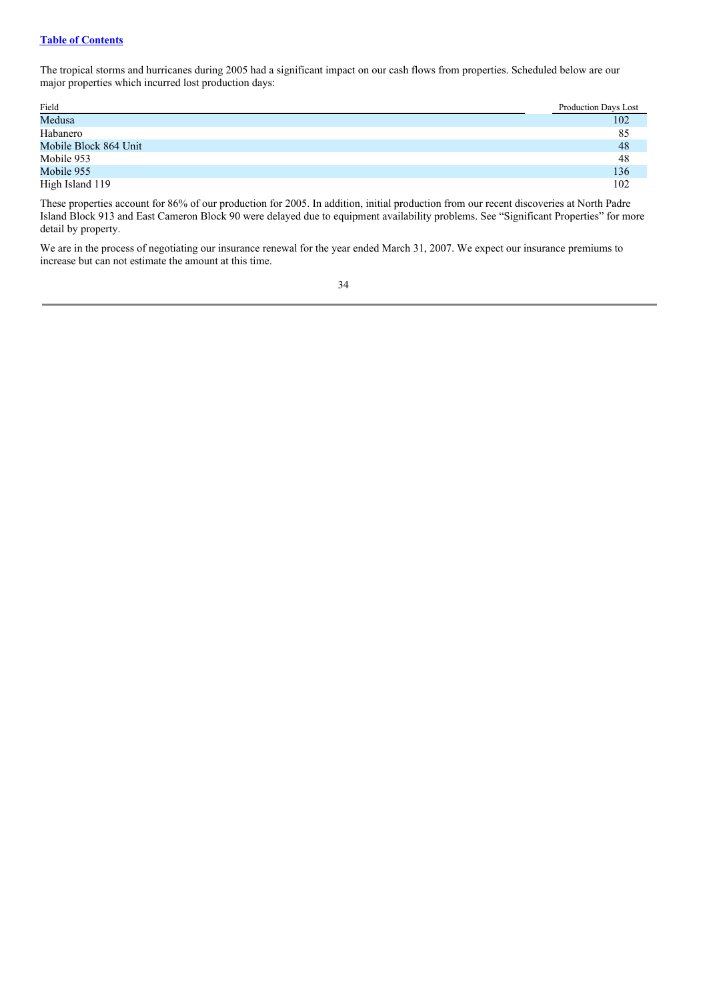The tropical storms and hurricanes during 2005 had a significant impact on our cash flows from properties. Scheduled below are our major properties which incurred lost production days:

| Field                 | Production Days Lost |
|-----------------------|----------------------|
| Medusa                | 102                  |
| Habanero              | 85                   |
| Mobile Block 864 Unit | 48                   |
| Mobile 953            | 48                   |
| Mobile 955            | 136                  |
| High Island 119       | 102                  |

These properties account for 86% of our production for 2005. In addition, initial production from our recent discoveries at North Padre Island Block 913 and East Cameron Block 90 were delayed due to equipment availability problems. See "Significant Properties" for more detail by property.

We are in the process of negotiating our insurance renewal for the year ended March 31, 2007. We expect our insurance premiums to increase but can not estimate the amount at this time.

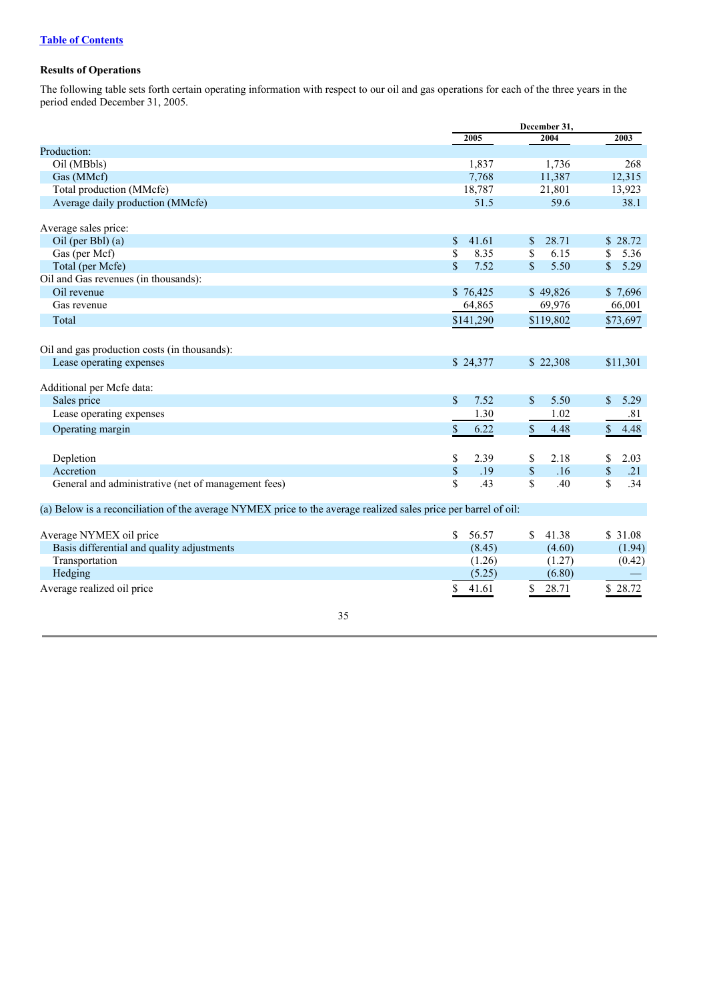## **Results of Operations**

The following table sets forth certain operating information with respect to our oil and gas operations for each of the three years in the period ended December 31, 2005.

|                                                                                                                 |                           | December 31, |               |           |              |          |
|-----------------------------------------------------------------------------------------------------------------|---------------------------|--------------|---------------|-----------|--------------|----------|
|                                                                                                                 |                           | 2005         |               | 2004      |              | 2003     |
| Production:                                                                                                     |                           |              |               |           |              |          |
| Oil (MBbls)                                                                                                     |                           | 1,837        |               | 1,736     |              | 268      |
| Gas (MMcf)                                                                                                      |                           | 7,768        |               | 11,387    |              | 12,315   |
| Total production (MMcfe)                                                                                        |                           | 18,787       |               | 21,801    |              | 13,923   |
| Average daily production (MMcfe)                                                                                |                           | 51.5         |               | 59.6      |              | 38.1     |
| Average sales price:                                                                                            |                           |              |               |           |              |          |
| Oil (per Bbl) (a)                                                                                               | $\mathbb{S}$              | 41.61        | <sup>\$</sup> | 28.71     |              | \$28.72  |
| Gas (per Mcf)                                                                                                   | \$                        | 8.35         | \$            | 6.15      | S.           | 5.36     |
| Total (per Mcfe)                                                                                                | \$                        | 7.52         | \$            | 5.50      | $\mathbb{S}$ | 5.29     |
| Oil and Gas revenues (in thousands):                                                                            |                           |              |               |           |              |          |
| Oil revenue                                                                                                     |                           | \$76,425     |               | \$49,826  |              | \$7,696  |
| Gas revenue                                                                                                     |                           | 64,865       |               | 69,976    |              | 66,001   |
| Total                                                                                                           |                           | \$141,290    |               | \$119,802 |              | \$73,697 |
|                                                                                                                 |                           |              |               |           |              |          |
| Oil and gas production costs (in thousands):                                                                    |                           |              |               |           |              |          |
| Lease operating expenses                                                                                        |                           | \$24,377     |               | \$22,308  |              | \$11,301 |
| Additional per Mcfe data:                                                                                       |                           |              |               |           |              |          |
| Sales price                                                                                                     | $\mathbb{S}$              | 7.52         | $\mathbb{S}$  | 5.50      | \$           | 5.29     |
| Lease operating expenses                                                                                        |                           | 1.30         |               | 1.02      |              | .81      |
| Operating margin                                                                                                | $\mathbb{S}$              | 6.22         | \$            | 4.48      | \$           | 4.48     |
|                                                                                                                 |                           |              |               |           |              |          |
| Depletion                                                                                                       | \$                        | 2.39         | \$            | 2.18      | \$           | 2.03     |
| Accretion                                                                                                       | $\boldsymbol{\mathsf{S}}$ | .19          | $\mathbb S$   | .16       | $\mathbb{S}$ | .21      |
| General and administrative (net of management fees)                                                             | \$                        | .43          | \$            | .40       | $\mathbb{S}$ | .34      |
| (a) Below is a reconciliation of the average NYMEX price to the average realized sales price per barrel of oil: |                           |              |               |           |              |          |
| Average NYMEX oil price                                                                                         | $\mathbb{S}$              | 56.57        | $\mathbb{S}$  | 41.38     |              | \$31.08  |
| Basis differential and quality adjustments                                                                      |                           |              |               | (4.60)    |              |          |
|                                                                                                                 |                           | (8.45)       |               |           |              | (1.94)   |
| Transportation                                                                                                  |                           | (1.26)       |               | (1.27)    |              | (0.42)   |
| Hedging                                                                                                         |                           | (5.25)       |               | (6.80)    |              |          |
| Average realized oil price                                                                                      | \$                        | 41.61        | \$            | 28.71     |              | \$28.72  |
| 35                                                                                                              |                           |              |               |           |              |          |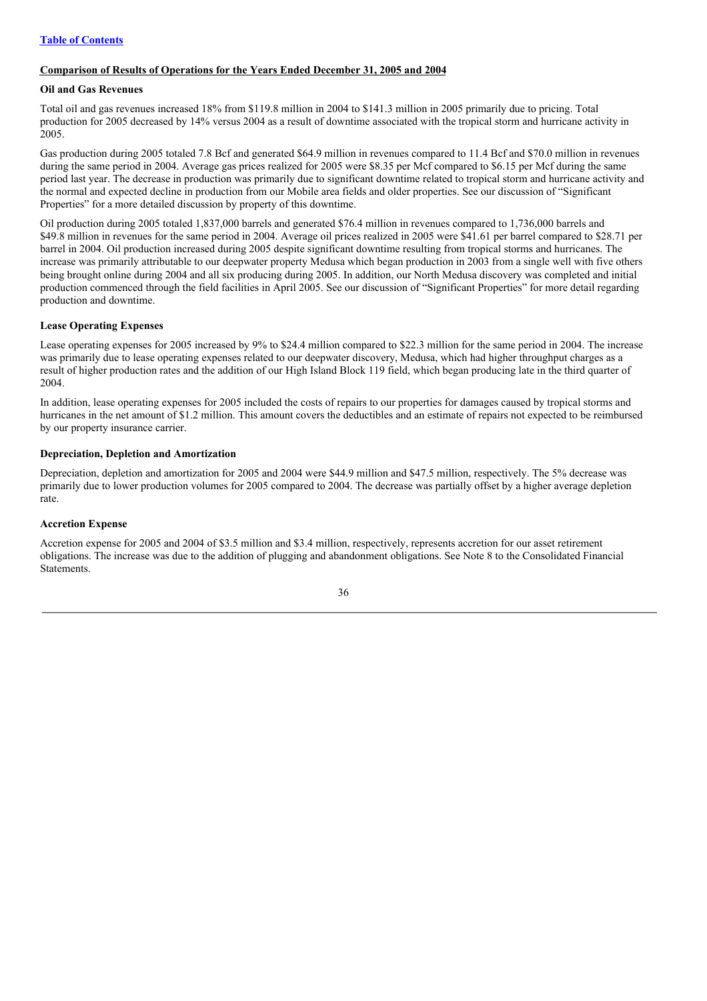# **Comparison of Results of Operations for the Years Ended December 31, 2005 and 2004**

### **Oil and Gas Revenues**

Total oil and gas revenues increased 18% from \$119.8 million in 2004 to \$141.3 million in 2005 primarily due to pricing. Total production for 2005 decreased by 14% versus 2004 as a result of downtime associated with the tropical storm and hurricane activity in 2005.

Gas production during 2005 totaled 7.8 Bcf and generated \$64.9 million in revenues compared to 11.4 Bcf and \$70.0 million in revenues during the same period in 2004. Average gas prices realized for 2005 were \$8.35 per Mcf compared to \$6.15 per Mcf during the same period last year. The decrease in production was primarily due to significant downtime related to tropical storm and hurricane activity and the normal and expected decline in production from our Mobile area fields and older properties. See our discussion of "Significant Properties" for a more detailed discussion by property of this downtime.

Oil production during 2005 totaled 1,837,000 barrels and generated \$76.4 million in revenues compared to 1,736,000 barrels and \$49.8 million in revenues for the same period in 2004. Average oil prices realized in 2005 were \$41.61 per barrel compared to \$28.71 per barrel in 2004. Oil production increased during 2005 despite significant downtime resulting from tropical storms and hurricanes. The increase was primarily attributable to our deepwater property Medusa which began production in 2003 from a single well with five others being brought online during 2004 and all six producing during 2005. In addition, our North Medusa discovery was completed and initial production commenced through the field facilities in April 2005. See our discussion of "Significant Properties" for more detail regarding production and downtime.

### **Lease Operating Expenses**

Lease operating expenses for 2005 increased by 9% to \$24.4 million compared to \$22.3 million for the same period in 2004. The increase was primarily due to lease operating expenses related to our deepwater discovery, Medusa, which had higher throughput charges as a result of higher production rates and the addition of our High Island Block 119 field, which began producing late in the third quarter of 2004.

In addition, lease operating expenses for 2005 included the costs of repairs to our properties for damages caused by tropical storms and hurricanes in the net amount of \$1.2 million. This amount covers the deductibles and an estimate of repairs not expected to be reimbursed by our property insurance carrier.

#### **Depreciation, Depletion and Amortization**

Depreciation, depletion and amortization for 2005 and 2004 were \$44.9 million and \$47.5 million, respectively. The 5% decrease was primarily due to lower production volumes for 2005 compared to 2004. The decrease was partially offset by a higher average depletion rate.

#### **Accretion Expense**

Accretion expense for 2005 and 2004 of \$3.5 million and \$3.4 million, respectively, represents accretion for our asset retirement obligations. The increase was due to the addition of plugging and abandonment obligations. See Note 8 to the Consolidated Financial Statements.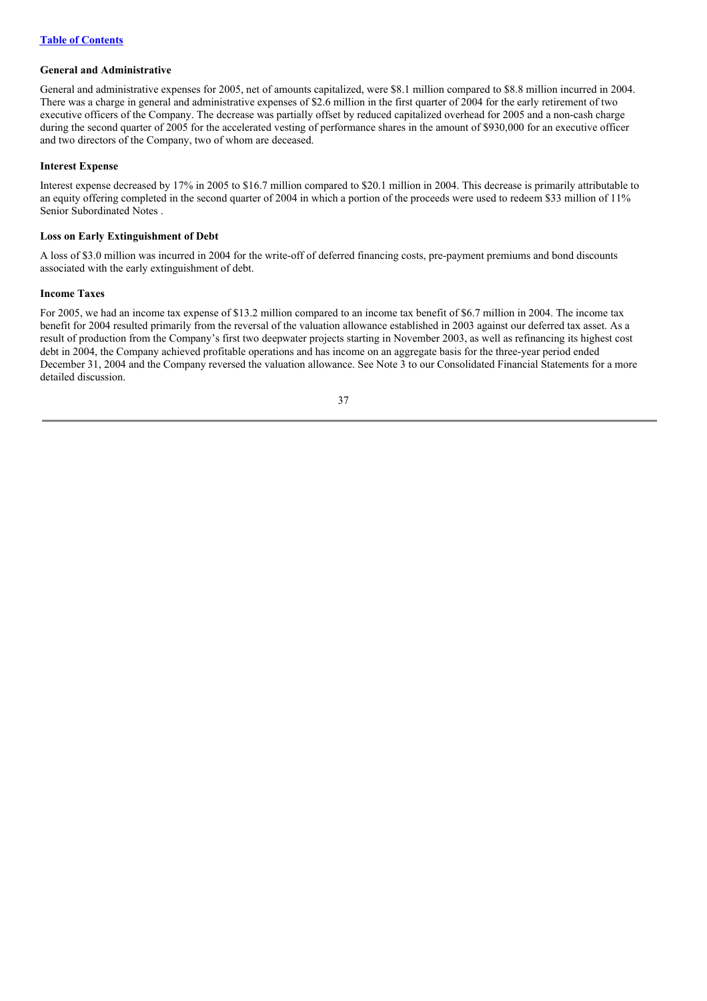# **General and Administrative**

General and administrative expenses for 2005, net of amounts capitalized, were \$8.1 million compared to \$8.8 million incurred in 2004. There was a charge in general and administrative expenses of \$2.6 million in the first quarter of 2004 for the early retirement of two executive officers of the Company. The decrease was partially offset by reduced capitalized overhead for 2005 and a non-cash charge during the second quarter of 2005 for the accelerated vesting of performance shares in the amount of \$930,000 for an executive officer and two directors of the Company, two of whom are deceased.

### **Interest Expense**

Interest expense decreased by 17% in 2005 to \$16.7 million compared to \$20.1 million in 2004. This decrease is primarily attributable to an equity offering completed in the second quarter of 2004 in which a portion of the proceeds were used to redeem \$33 million of 11% Senior Subordinated Notes .

### **Loss on Early Extinguishment of Debt**

A loss of \$3.0 million was incurred in 2004 for the write-off of deferred financing costs, pre-payment premiums and bond discounts associated with the early extinguishment of debt.

### **Income Taxes**

For 2005, we had an income tax expense of \$13.2 million compared to an income tax benefit of \$6.7 million in 2004. The income tax benefit for 2004 resulted primarily from the reversal of the valuation allowance established in 2003 against our deferred tax asset. As a result of production from the Company's first two deepwater projects starting in November 2003, as well as refinancing its highest cost debt in 2004, the Company achieved profitable operations and has income on an aggregate basis for the three-year period ended December 31, 2004 and the Company reversed the valuation allowance. See Note 3 to our Consolidated Financial Statements for a more detailed discussion.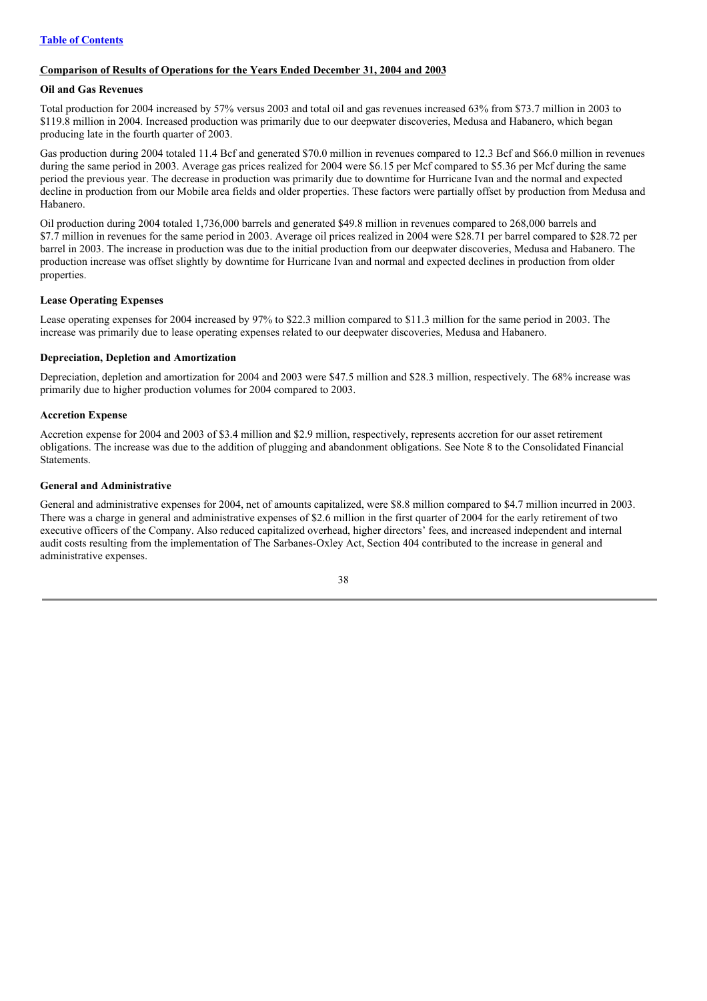# **Comparison of Results of Operations for the Years Ended December 31, 2004 and 2003**

### **Oil and Gas Revenues**

Total production for 2004 increased by 57% versus 2003 and total oil and gas revenues increased 63% from \$73.7 million in 2003 to \$119.8 million in 2004. Increased production was primarily due to our deepwater discoveries, Medusa and Habanero, which began producing late in the fourth quarter of 2003.

Gas production during 2004 totaled 11.4 Bcf and generated \$70.0 million in revenues compared to 12.3 Bcf and \$66.0 million in revenues during the same period in 2003. Average gas prices realized for 2004 were \$6.15 per Mcf compared to \$5.36 per Mcf during the same period the previous year. The decrease in production was primarily due to downtime for Hurricane Ivan and the normal and expected decline in production from our Mobile area fields and older properties. These factors were partially offset by production from Medusa and Habanero.

Oil production during 2004 totaled 1,736,000 barrels and generated \$49.8 million in revenues compared to 268,000 barrels and \$7.7 million in revenues for the same period in 2003. Average oil prices realized in 2004 were \$28.71 per barrel compared to \$28.72 per barrel in 2003. The increase in production was due to the initial production from our deepwater discoveries, Medusa and Habanero. The production increase was offset slightly by downtime for Hurricane Ivan and normal and expected declines in production from older properties.

### **Lease Operating Expenses**

Lease operating expenses for 2004 increased by 97% to \$22.3 million compared to \$11.3 million for the same period in 2003. The increase was primarily due to lease operating expenses related to our deepwater discoveries, Medusa and Habanero.

### **Depreciation, Depletion and Amortization**

Depreciation, depletion and amortization for 2004 and 2003 were \$47.5 million and \$28.3 million, respectively. The 68% increase was primarily due to higher production volumes for 2004 compared to 2003.

#### **Accretion Expense**

Accretion expense for 2004 and 2003 of \$3.4 million and \$2.9 million, respectively, represents accretion for our asset retirement obligations. The increase was due to the addition of plugging and abandonment obligations. See Note 8 to the Consolidated Financial Statements.

#### **General and Administrative**

General and administrative expenses for 2004, net of amounts capitalized, were \$8.8 million compared to \$4.7 million incurred in 2003. There was a charge in general and administrative expenses of \$2.6 million in the first quarter of 2004 for the early retirement of two executive officers of the Company. Also reduced capitalized overhead, higher directors' fees, and increased independent and internal audit costs resulting from the implementation of The Sarbanes-Oxley Act, Section 404 contributed to the increase in general and administrative expenses.

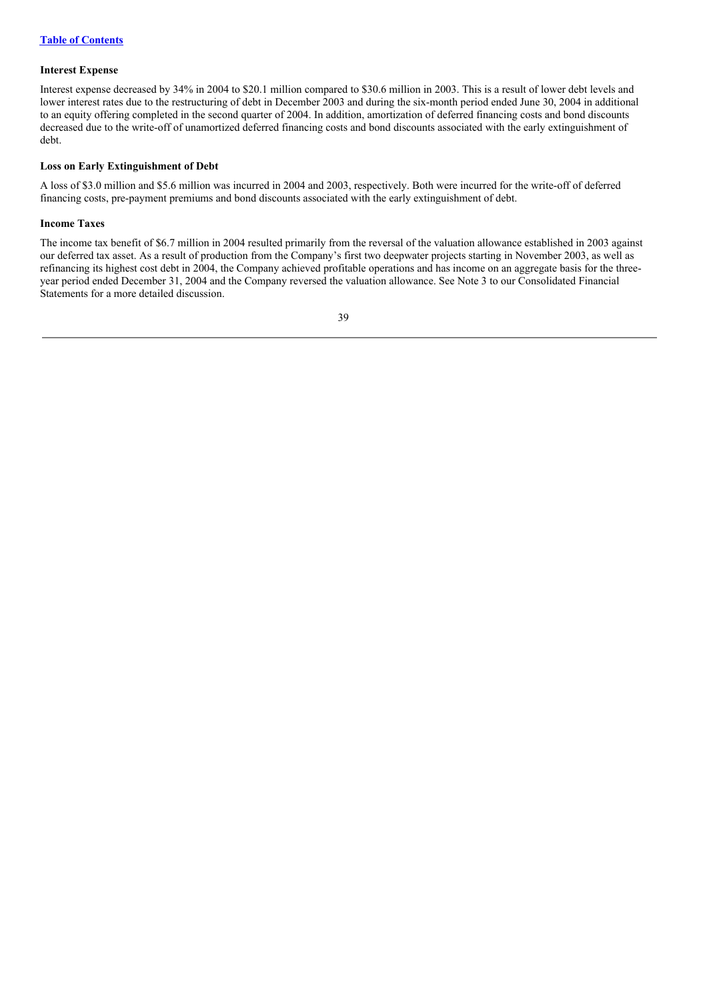# **Interest Expense**

Interest expense decreased by 34% in 2004 to \$20.1 million compared to \$30.6 million in 2003. This is a result of lower debt levels and lower interest rates due to the restructuring of debt in December 2003 and during the six-month period ended June 30, 2004 in additional to an equity offering completed in the second quarter of 2004. In addition, amortization of deferred financing costs and bond discounts decreased due to the write-off of unamortized deferred financing costs and bond discounts associated with the early extinguishment of debt.

### **Loss on Early Extinguishment of Debt**

A loss of \$3.0 million and \$5.6 million was incurred in 2004 and 2003, respectively. Both were incurred for the write-off of deferred financing costs, pre-payment premiums and bond discounts associated with the early extinguishment of debt.

#### **Income Taxes**

The income tax benefit of \$6.7 million in 2004 resulted primarily from the reversal of the valuation allowance established in 2003 against our deferred tax asset. As a result of production from the Company's first two deepwater projects starting in November 2003, as well as refinancing its highest cost debt in 2004, the Company achieved profitable operations and has income on an aggregate basis for the threeyear period ended December 31, 2004 and the Company reversed the valuation allowance. See Note 3 to our Consolidated Financial Statements for a more detailed discussion.

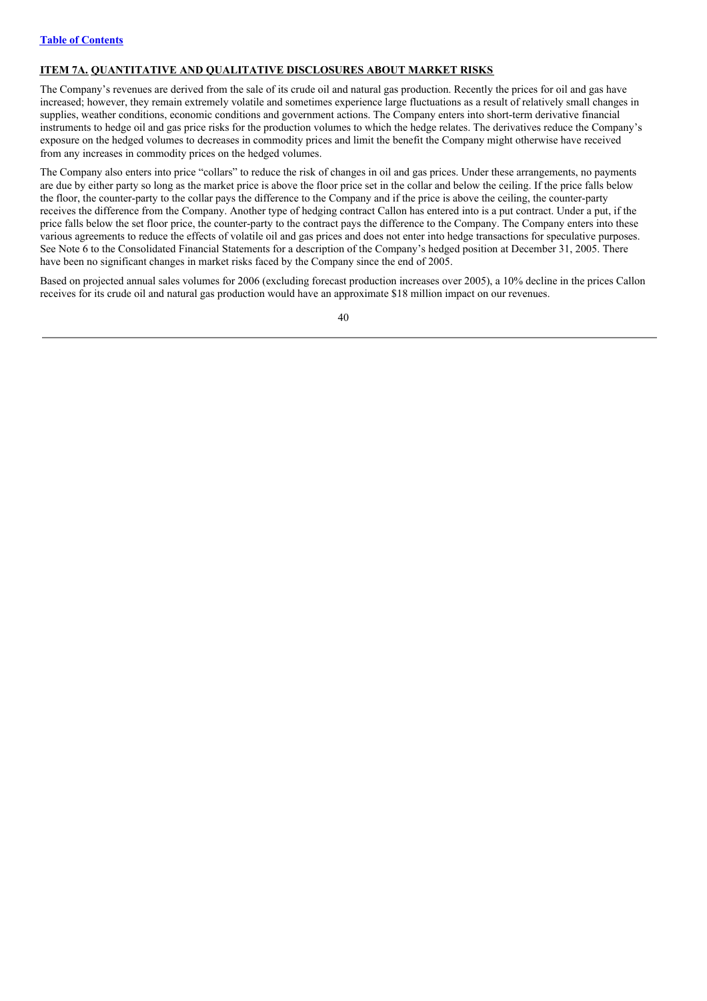# **ITEM 7A. QUANTITATIVE AND QUALITATIVE DISCLOSURES ABOUT MARKET RISKS**

The Company's revenues are derived from the sale of its crude oil and natural gas production. Recently the prices for oil and gas have increased; however, they remain extremely volatile and sometimes experience large fluctuations as a result of relatively small changes in supplies, weather conditions, economic conditions and government actions. The Company enters into short-term derivative financial instruments to hedge oil and gas price risks for the production volumes to which the hedge relates. The derivatives reduce the Company's exposure on the hedged volumes to decreases in commodity prices and limit the benefit the Company might otherwise have received from any increases in commodity prices on the hedged volumes.

The Company also enters into price "collars" to reduce the risk of changes in oil and gas prices. Under these arrangements, no payments are due by either party so long as the market price is above the floor price set in the collar and below the ceiling. If the price falls below the floor, the counter-party to the collar pays the difference to the Company and if the price is above the ceiling, the counter-party receives the difference from the Company. Another type of hedging contract Callon has entered into is a put contract. Under a put, if the price falls below the set floor price, the counter-party to the contract pays the difference to the Company. The Company enters into these various agreements to reduce the effects of volatile oil and gas prices and does not enter into hedge transactions for speculative purposes. See Note 6 to the Consolidated Financial Statements for a description of the Company's hedged position at December 31, 2005. There have been no significant changes in market risks faced by the Company since the end of 2005.

Based on projected annual sales volumes for 2006 (excluding forecast production increases over 2005), a 10% decline in the prices Callon receives for its crude oil and natural gas production would have an approximate \$18 million impact on our revenues.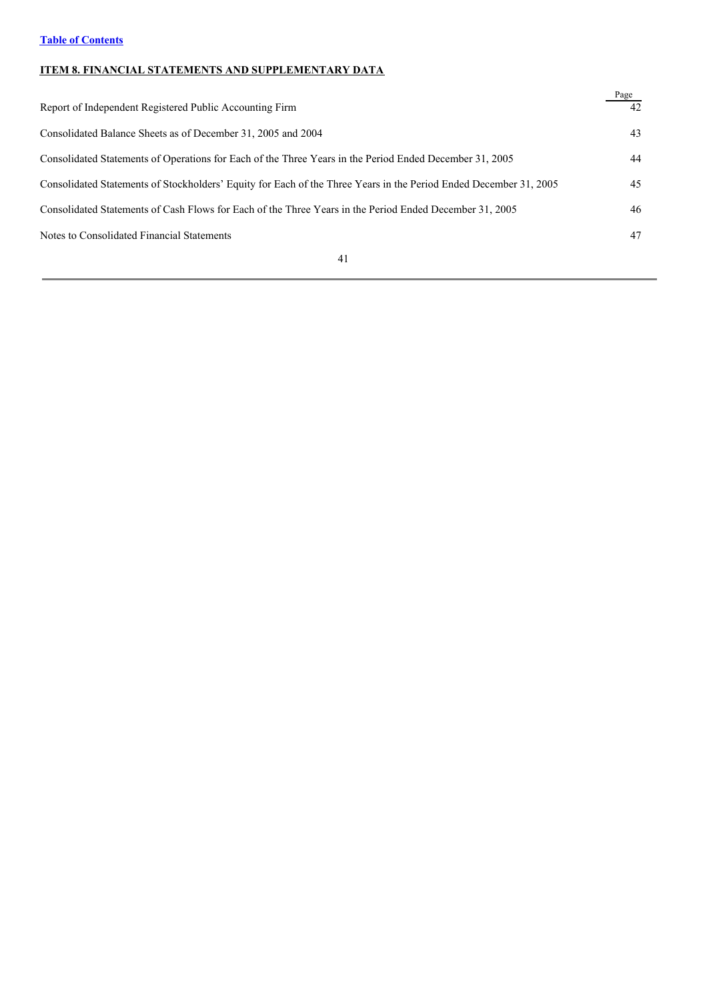# **ITEM 8. FINANCIAL STATEMENTS AND SUPPLEMENTARY DATA**

| Report of Independent Registered Public Accounting Firm                                                           | Page<br>42 |
|-------------------------------------------------------------------------------------------------------------------|------------|
|                                                                                                                   |            |
| Consolidated Balance Sheets as of December 31, 2005 and 2004                                                      | 43         |
| Consolidated Statements of Operations for Each of the Three Years in the Period Ended December 31, 2005           | 44         |
| Consolidated Statements of Stockholders' Equity for Each of the Three Years in the Period Ended December 31, 2005 | 45         |
| Consolidated Statements of Cash Flows for Each of the Three Years in the Period Ended December 31, 2005           | 46         |
| Notes to Consolidated Financial Statements                                                                        | 47         |
| 41                                                                                                                |            |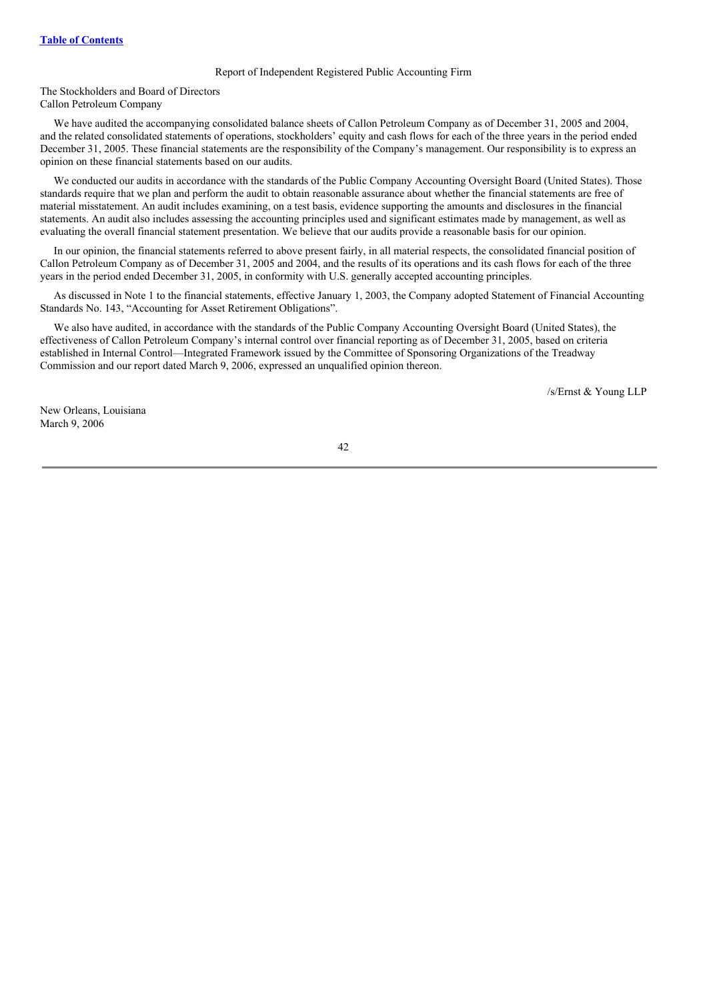#### Report of Independent Registered Public Accounting Firm

The Stockholders and Board of Directors Callon Petroleum Company

We have audited the accompanying consolidated balance sheets of Callon Petroleum Company as of December 31, 2005 and 2004, and the related consolidated statements of operations, stockholders' equity and cash flows for each of the three years in the period ended December 31, 2005. These financial statements are the responsibility of the Company's management. Our responsibility is to express an opinion on these financial statements based on our audits.

We conducted our audits in accordance with the standards of the Public Company Accounting Oversight Board (United States). Those standards require that we plan and perform the audit to obtain reasonable assurance about whether the financial statements are free of material misstatement. An audit includes examining, on a test basis, evidence supporting the amounts and disclosures in the financial statements. An audit also includes assessing the accounting principles used and significant estimates made by management, as well as evaluating the overall financial statement presentation. We believe that our audits provide a reasonable basis for our opinion.

In our opinion, the financial statements referred to above present fairly, in all material respects, the consolidated financial position of Callon Petroleum Company as of December 31, 2005 and 2004, and the results of its operations and its cash flows for each of the three years in the period ended December 31, 2005, in conformity with U.S. generally accepted accounting principles.

As discussed in Note 1 to the financial statements, effective January 1, 2003, the Company adopted Statement of Financial Accounting Standards No. 143, "Accounting for Asset Retirement Obligations".

We also have audited, in accordance with the standards of the Public Company Accounting Oversight Board (United States), the effectiveness of Callon Petroleum Company's internal control over financial reporting as of December 31, 2005, based on criteria established in Internal Control—Integrated Framework issued by the Committee of Sponsoring Organizations of the Treadway Commission and our report dated March 9, 2006, expressed an unqualified opinion thereon.

/s/Ernst & Young LLP

New Orleans, Louisiana March 9, 2006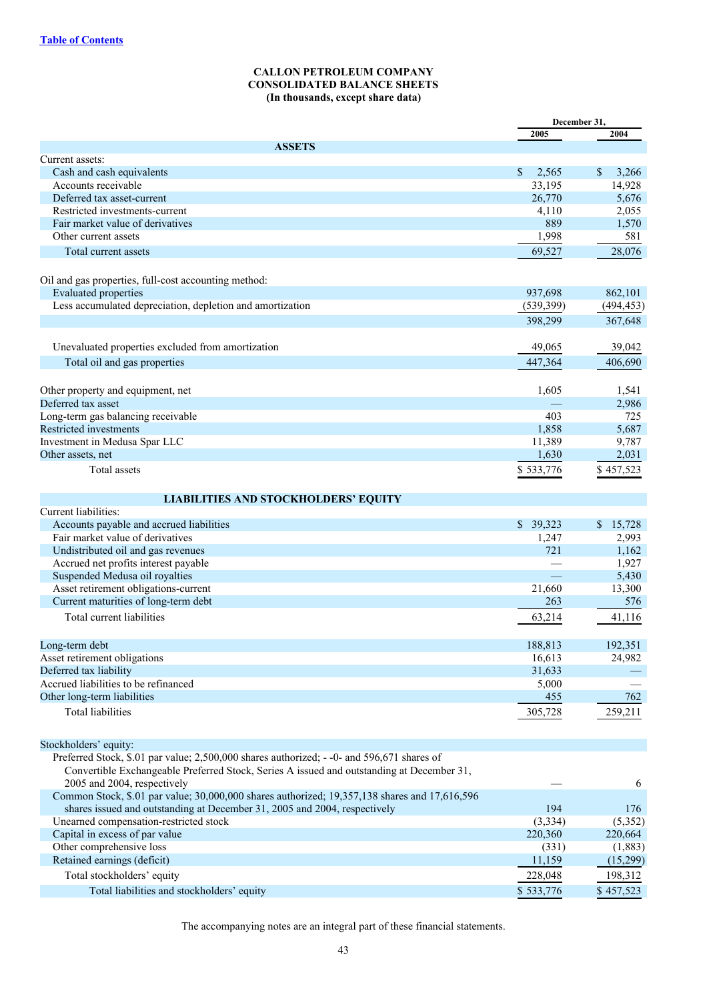# **CALLON PETROLEUM COMPANY CONSOLIDATED BALANCE SHEETS (In thousands, except share data)**

|                                                                                               | December 31,          |             |
|-----------------------------------------------------------------------------------------------|-----------------------|-------------|
|                                                                                               | 2005                  | 2004        |
| <b>ASSETS</b>                                                                                 |                       |             |
| Current assets:                                                                               |                       |             |
| Cash and cash equivalents                                                                     | $\mathbb{S}$<br>2,565 | 3,266<br>\$ |
| Accounts receivable                                                                           | 33,195                | 14,928      |
| Deferred tax asset-current                                                                    | 26,770                | 5,676       |
| Restricted investments-current                                                                | 4,110                 | 2,055       |
| Fair market value of derivatives                                                              | 889                   | 1,570       |
| Other current assets                                                                          | 1,998                 | 581         |
| Total current assets                                                                          | 69,527                | 28,076      |
|                                                                                               |                       |             |
| Oil and gas properties, full-cost accounting method:                                          |                       |             |
| <b>Evaluated</b> properties                                                                   | 937,698               | 862,101     |
| Less accumulated depreciation, depletion and amortization                                     | (539, 399)            | (494, 453)  |
|                                                                                               | 398,299               | 367,648     |
|                                                                                               |                       |             |
| Unevaluated properties excluded from amortization                                             | 49,065                | 39,042      |
| Total oil and gas properties                                                                  | 447,364               | 406,690     |
|                                                                                               |                       |             |
| Other property and equipment, net                                                             | 1,605                 | 1,541       |
| Deferred tax asset                                                                            |                       | 2,986       |
| Long-term gas balancing receivable                                                            | 403                   | 725         |
| Restricted investments                                                                        | 1,858                 | 5,687       |
| Investment in Medusa Spar LLC                                                                 | 11,389                | 9,787       |
| Other assets, net                                                                             | 1,630                 | 2,031       |
| Total assets                                                                                  | \$533,776             | \$457,523   |
| <b>LIABILITIES AND STOCKHOLDERS' EQUITY</b>                                                   |                       |             |
| Current liabilities:                                                                          |                       |             |
| Accounts payable and accrued liabilities                                                      | 39,323<br>\$          | \$15,728    |
| Fair market value of derivatives                                                              | 1,247                 | 2,993       |
| Undistributed oil and gas revenues                                                            | 721                   | 1,162       |
| Accrued net profits interest payable                                                          |                       | 1,927       |
| Suspended Medusa oil royalties                                                                |                       | 5,430       |
| Asset retirement obligations-current                                                          | 21,660                | 13,300      |
| Current maturities of long-term debt                                                          | 263                   | 576         |
| Total current liabilities                                                                     | 63,214                | 41,116      |
|                                                                                               |                       |             |
| Long-term debt                                                                                | 188,813               | 192,351     |
| Asset retirement obligations                                                                  | 16,613                | 24,982      |
| Deferred tax liability                                                                        | 31,633                |             |
| Accrued liabilities to be refinanced                                                          | 5,000                 |             |
| Other long-term liabilities                                                                   | 455                   | 762         |
| <b>Total liabilities</b>                                                                      | 305,728               | 259,211     |
|                                                                                               |                       |             |
| Stockholders' equity:                                                                         |                       |             |
| Preferred Stock, \$.01 par value; 2,500,000 shares authorized; - -0- and 596,671 shares of    |                       |             |
| Convertible Exchangeable Preferred Stock, Series A issued and outstanding at December 31,     |                       |             |
| 2005 and 2004, respectively                                                                   |                       | 6           |
| Common Stock, \$.01 par value; 30,000,000 shares authorized; 19,357,138 shares and 17,616,596 |                       |             |
| shares issued and outstanding at December 31, 2005 and 2004, respectively                     | 194                   | 176         |
| Unearned compensation-restricted stock                                                        | (3, 334)              | (5,352)     |
| Capital in excess of par value                                                                | 220,360               | 220,664     |
| Other comprehensive loss                                                                      | (331)                 | (1,883)     |
| Retained earnings (deficit)                                                                   | 11,159                | (15,299)    |
| Total stockholders' equity                                                                    | 228,048               | 198,312     |
| Total liabilities and stockholders' equity                                                    | \$533,776             | \$457,523   |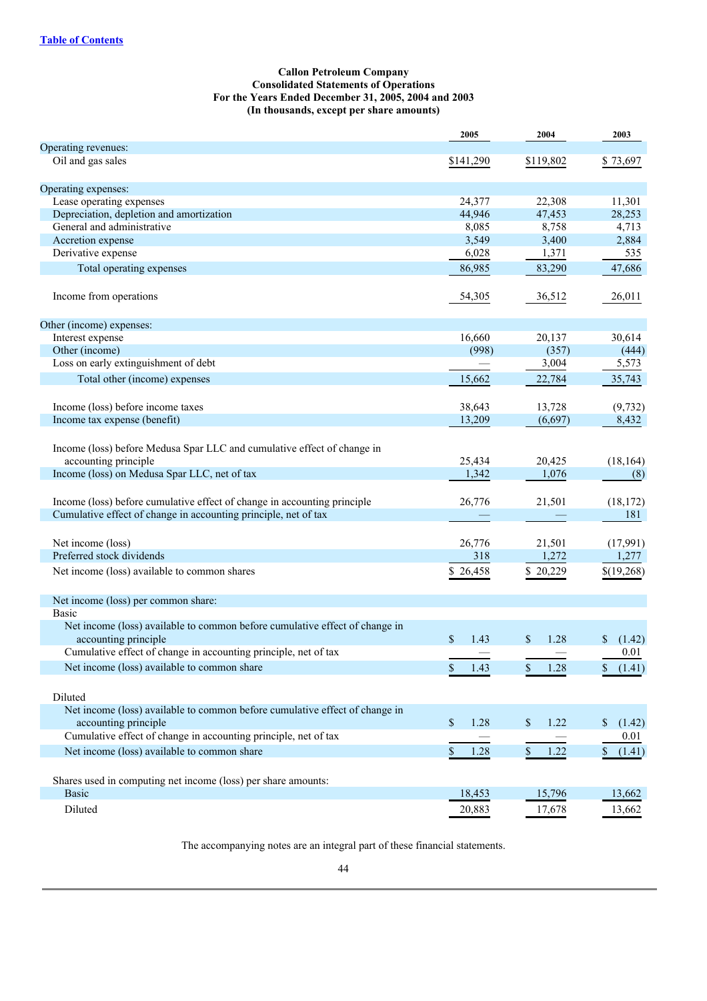# **Callon Petroleum Company Consolidated Statements of Operations For the Years Ended December 31, 2005, 2004 and 2003 (In thousands, except per share amounts)**

|                                                                                                                                                 | 2005                  | 2004                 | 2003                   |
|-------------------------------------------------------------------------------------------------------------------------------------------------|-----------------------|----------------------|------------------------|
| Operating revenues:                                                                                                                             |                       |                      |                        |
| Oil and gas sales                                                                                                                               | \$141,290             | \$119,802            | \$73,697               |
| Operating expenses:                                                                                                                             |                       |                      |                        |
| Lease operating expenses                                                                                                                        | 24,377                | 22,308               | 11,301                 |
| Depreciation, depletion and amortization                                                                                                        | 44,946                | 47,453               | 28,253                 |
| General and administrative                                                                                                                      | 8,085                 | 8,758                | 4,713                  |
| Accretion expense                                                                                                                               | 3,549                 | 3,400                | 2,884                  |
| Derivative expense                                                                                                                              | 6,028                 | 1,371                | 535                    |
| Total operating expenses                                                                                                                        | 86,985                | 83,290               | 47,686                 |
| Income from operations                                                                                                                          | 54,305                | 36,512               | 26,011                 |
| Other (income) expenses:                                                                                                                        |                       |                      |                        |
| Interest expense                                                                                                                                | 16,660                | 20,137               | 30,614                 |
| Other (income)                                                                                                                                  | (998)                 | (357)                | (444)                  |
| Loss on early extinguishment of debt                                                                                                            |                       | 3,004                | 5,573                  |
| Total other (income) expenses                                                                                                                   | 15,662                | 22,784               | 35,743                 |
|                                                                                                                                                 |                       |                      |                        |
| Income (loss) before income taxes                                                                                                               | 38,643                | 13,728               | (9, 732)               |
| Income tax expense (benefit)                                                                                                                    | 13,209                | (6,697)              | 8,432                  |
| Income (loss) before Medusa Spar LLC and cumulative effect of change in<br>accounting principle<br>Income (loss) on Medusa Spar LLC, net of tax | 25,434<br>1,342       | 20,425<br>1,076      | (18, 164)<br>(8)       |
| Income (loss) before cumulative effect of change in accounting principle                                                                        | 26,776                | 21,501               | (18, 172)              |
| Cumulative effect of change in accounting principle, net of tax                                                                                 |                       |                      | 181                    |
|                                                                                                                                                 |                       |                      |                        |
| Net income (loss)                                                                                                                               | 26,776                | 21,501               | (17,991)               |
| Preferred stock dividends                                                                                                                       | 318                   | 1,272                | 1,277                  |
| Net income (loss) available to common shares                                                                                                    | \$26,458              | \$ 20,229            | \$(19,268)             |
| Net income (loss) per common share:<br>Basic                                                                                                    |                       |                      |                        |
| Net income (loss) available to common before cumulative effect of change in                                                                     |                       |                      |                        |
| accounting principle                                                                                                                            | <sup>\$</sup><br>1.43 | \$<br>1.28           | \$<br>(1.42)           |
| Cumulative effect of change in accounting principle, net of tax                                                                                 |                       |                      | 0.01                   |
| Net income (loss) available to common share                                                                                                     | \$<br>1.43            | \$<br>1.28           | (1.41)<br>\$           |
|                                                                                                                                                 |                       |                      |                        |
| Diluted                                                                                                                                         |                       |                      |                        |
| Net income (loss) available to common before cumulative effect of change in<br>accounting principle                                             | $\sqrt{\ }$<br>1.28   | \$<br>1.22           | $\mathbb{S}$<br>(1.42) |
| Cumulative effect of change in accounting principle, net of tax                                                                                 |                       |                      | 0.01                   |
| Net income (loss) available to common share                                                                                                     | $\$$<br>1.28          | $\mathbb{S}$<br>1.22 | \$<br>(1.41)           |
| Shares used in computing net income (loss) per share amounts:                                                                                   |                       |                      |                        |
| <b>Basic</b>                                                                                                                                    | 18,453                | 15,796               | 13,662                 |
| Diluted                                                                                                                                         | 20,883                | 17,678               | 13,662                 |
|                                                                                                                                                 |                       |                      |                        |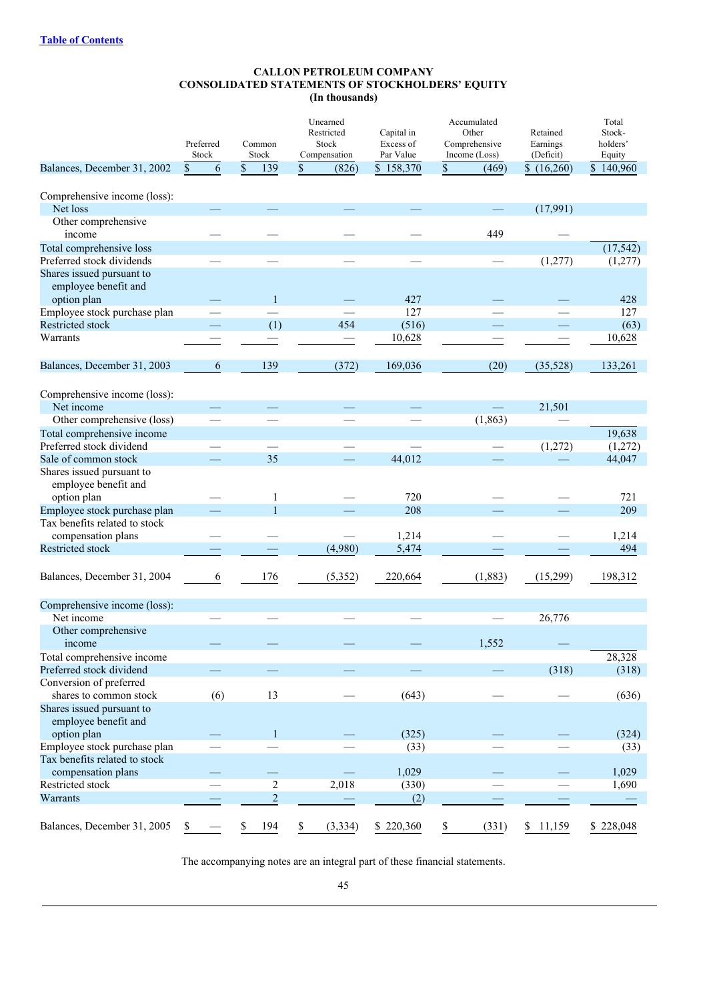# **CALLON PETROLEUM COMPANY CONSOLIDATED STATEMENTS OF STOCKHOLDERS' EQUITY (In thousands)**

|                                                               | Preferred<br>Stock       | Common<br>Stock | Unearned<br>Restricted<br>Stock<br>Compensation | Capital in<br>Excess of<br>Par Value | Accumulated<br>Other<br>Comprehensive<br>Income (Loss) | Retained<br>Earnings<br>(Deficit) | Total<br>Stock-<br>holders'<br>Equity |
|---------------------------------------------------------------|--------------------------|-----------------|-------------------------------------------------|--------------------------------------|--------------------------------------------------------|-----------------------------------|---------------------------------------|
| Balances, December 31, 2002                                   | 6<br>\$                  | \$<br>139       | (826)<br>\$                                     | \$158,370                            | \$<br>(469)                                            | \$(16,260)                        | \$140,960                             |
| Comprehensive income (loss):<br>Net loss                      |                          |                 |                                                 |                                      |                                                        | (17,991)                          |                                       |
| Other comprehensive<br>income                                 |                          |                 |                                                 |                                      | 449                                                    |                                   |                                       |
| Total comprehensive loss                                      |                          |                 |                                                 |                                      |                                                        |                                   | (17, 542)                             |
| Preferred stock dividends                                     |                          |                 | $\overline{\phantom{0}}$                        |                                      |                                                        | (1,277)                           | (1,277)                               |
| Shares issued pursuant to<br>employee benefit and             |                          |                 |                                                 |                                      |                                                        |                                   |                                       |
| option plan                                                   |                          | $\mathbf{1}$    |                                                 | 427                                  |                                                        |                                   | 428                                   |
| Employee stock purchase plan                                  |                          |                 |                                                 | 127                                  |                                                        |                                   | 127                                   |
| Restricted stock                                              | $\overline{\phantom{0}}$ | (1)             | 454                                             | (516)                                |                                                        |                                   | (63)                                  |
| Warrants                                                      |                          |                 |                                                 | 10,628                               |                                                        |                                   | 10,628                                |
| Balances, December 31, 2003                                   | 6                        | 139             | (372)                                           | 169,036                              | (20)                                                   | (35, 528)                         | 133,261                               |
| Comprehensive income (loss):                                  |                          |                 |                                                 |                                      |                                                        |                                   |                                       |
| Net income                                                    |                          |                 |                                                 |                                      |                                                        | 21,501                            |                                       |
| Other comprehensive (loss)                                    |                          |                 |                                                 |                                      | (1, 863)                                               |                                   |                                       |
| Total comprehensive income                                    |                          |                 |                                                 |                                      |                                                        |                                   | 19,638                                |
| Preferred stock dividend                                      | $\overline{\phantom{a}}$ | 35              |                                                 |                                      |                                                        | (1,272)                           | (1,272)                               |
| Sale of common stock<br>Shares issued pursuant to             |                          |                 |                                                 | 44,012                               |                                                        |                                   | 44,047                                |
| employee benefit and<br>option plan                           |                          | 1               |                                                 | 720                                  |                                                        |                                   | 721                                   |
| Employee stock purchase plan                                  |                          | $\overline{1}$  |                                                 | 208                                  |                                                        |                                   | 209                                   |
| Tax benefits related to stock                                 |                          |                 |                                                 |                                      |                                                        |                                   |                                       |
| compensation plans                                            |                          |                 |                                                 | 1,214                                |                                                        |                                   | 1,214                                 |
| Restricted stock                                              |                          |                 | (4,980)                                         | 5,474                                |                                                        |                                   | 494                                   |
|                                                               |                          |                 |                                                 |                                      |                                                        |                                   |                                       |
| Balances, December 31, 2004                                   | 6                        | 176             | (5, 352)                                        | 220,664                              | (1,883)                                                | (15,299)                          | 198,312                               |
| Comprehensive income (loss):                                  |                          |                 |                                                 |                                      |                                                        |                                   |                                       |
| Net income                                                    |                          |                 |                                                 |                                      |                                                        | 26,776                            |                                       |
| Other comprehensive<br>income                                 |                          |                 |                                                 |                                      | 1,552                                                  |                                   |                                       |
| Total comprehensive income                                    |                          |                 |                                                 |                                      |                                                        |                                   | 28,328                                |
| Preferred stock dividend                                      |                          |                 |                                                 |                                      |                                                        | (318)                             | (318)                                 |
| Conversion of preferred                                       |                          |                 |                                                 |                                      |                                                        |                                   |                                       |
| shares to common stock                                        | (6)                      | 13              |                                                 | (643)                                |                                                        |                                   | (636)                                 |
| Shares issued pursuant to<br>employee benefit and             |                          |                 |                                                 |                                      |                                                        |                                   |                                       |
| option plan                                                   |                          | $\mathbf{1}$    |                                                 | (325)                                |                                                        |                                   | (324)                                 |
| Employee stock purchase plan<br>Tax benefits related to stock |                          |                 |                                                 | (33)                                 |                                                        |                                   | (33)                                  |
| compensation plans                                            |                          |                 |                                                 | 1,029                                |                                                        |                                   | 1,029                                 |
| Restricted stock                                              |                          | $\sqrt{2}$      | 2,018                                           | (330)                                |                                                        |                                   | 1,690                                 |
| Warrants                                                      |                          | $\overline{c}$  |                                                 | (2)                                  |                                                        |                                   |                                       |
| Balances, December 31, 2005                                   | \$                       | \$<br>194       | $\mathbb{S}$<br>(3, 334)                        | \$220,360                            | \$<br>(331)                                            | \$11,159                          | \$228,048                             |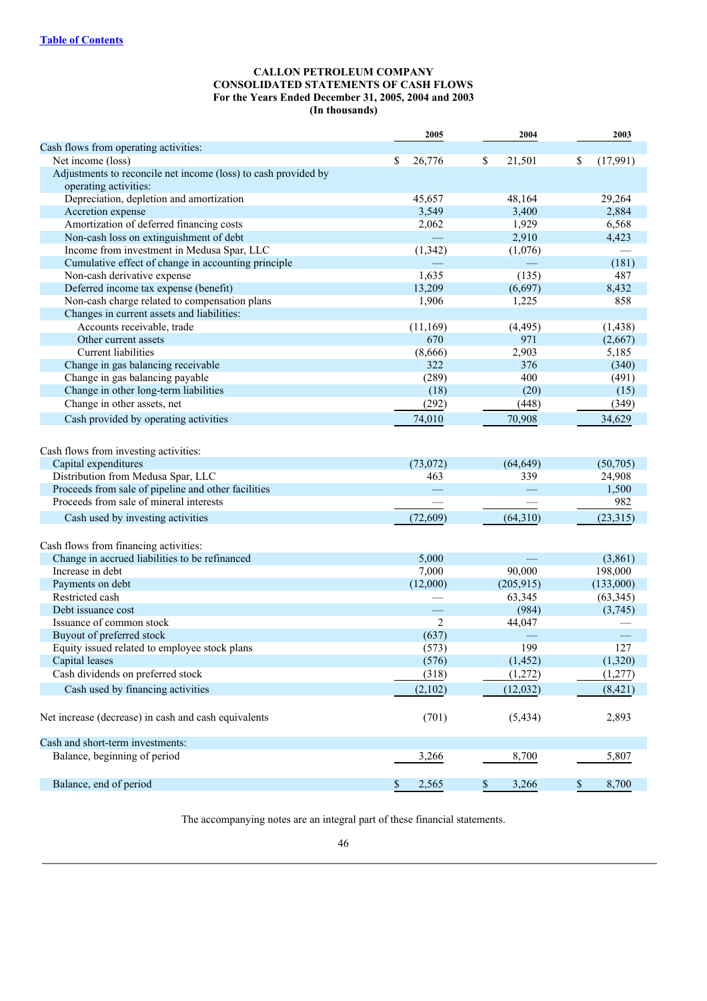# **CALLON PETROLEUM COMPANY CONSOLIDATED STATEMENTS OF CASH FLOWS For the Years Ended December 31, 2005, 2004 and 2003 (In thousands)**

|                                                                | 2005           | 2004                     | 2003           |
|----------------------------------------------------------------|----------------|--------------------------|----------------|
| Cash flows from operating activities:                          |                |                          |                |
| Net income (loss)                                              | 26,776<br>\$   | \$<br>21,501             | (17,991)<br>\$ |
| Adjustments to reconcile net income (loss) to cash provided by |                |                          |                |
| operating activities:                                          |                |                          |                |
| Depreciation, depletion and amortization                       | 45,657         | 48,164                   | 29,264         |
| Accretion expense                                              | 3,549          | 3,400                    | 2,884          |
| Amortization of deferred financing costs                       | 2,062          | 1,929                    | 6,568          |
| Non-cash loss on extinguishment of debt                        |                | 2,910                    | 4,423          |
| Income from investment in Medusa Spar, LLC                     | (1, 342)       | (1,076)                  |                |
| Cumulative effect of change in accounting principle            |                |                          | (181)          |
| Non-cash derivative expense                                    | 1,635          | (135)                    | 487            |
| Deferred income tax expense (benefit)                          | 13,209         | (6,697)                  | 8,432          |
| Non-cash charge related to compensation plans                  | 1,906          | 1,225                    | 858            |
| Changes in current assets and liabilities:                     |                |                          |                |
| Accounts receivable, trade                                     | (11, 169)      | (4, 495)                 | (1, 438)       |
| Other current assets                                           | 670            | 971                      | (2,667)        |
| Current liabilities                                            | (8,666)        | 2,903                    | 5,185          |
| Change in gas balancing receivable                             | 322            | 376                      | (340)          |
| Change in gas balancing payable                                | (289)          | 400                      | (491)          |
| Change in other long-term liabilities                          | (18)           | (20)                     | (15)           |
| Change in other assets, net                                    | (292)          | (448)                    | (349)          |
| Cash provided by operating activities                          | 74,010         | 70,908                   | 34,629         |
|                                                                |                |                          |                |
|                                                                |                |                          |                |
| Cash flows from investing activities:                          |                |                          |                |
| Capital expenditures                                           | (73, 072)      | (64, 649)                | (50,705)       |
| Distribution from Medusa Spar, LLC                             | 463            | 339                      | 24,908         |
| Proceeds from sale of pipeline and other facilities            |                |                          | 1,500          |
| Proceeds from sale of mineral interests                        |                |                          | 982            |
| Cash used by investing activities                              | (72, 609)      | (64,310)                 | (23,315)       |
|                                                                |                |                          |                |
| Cash flows from financing activities:                          |                |                          |                |
| Change in accrued liabilities to be refinanced                 | 5,000          | $\overline{\phantom{0}}$ | (3,861)        |
| Increase in debt                                               | 7,000          | 90,000                   | 198,000        |
| Payments on debt                                               | (12,000)       | (205, 915)               | (133,000)      |
| Restricted cash                                                |                | 63,345                   | (63, 345)      |
| Debt issuance cost                                             |                | (984)                    | (3,745)        |
| Issuance of common stock                                       | $\overline{2}$ | 44,047                   |                |
| Buyout of preferred stock                                      | (637)          |                          |                |
| Equity issued related to employee stock plans                  | (573)          | 199                      | 127            |
| Capital leases                                                 | (576)          | (1, 452)                 | (1,320)        |
| Cash dividends on preferred stock                              | (318)          | (1,272)                  | (1,277)        |
|                                                                |                |                          |                |
| Cash used by financing activities                              | (2,102)        | (12,032)                 | (8, 421)       |
| Net increase (decrease) in cash and cash equivalents           | (701)          | (5, 434)                 | 2,893          |
| Cash and short-term investments:                               |                |                          |                |
| Balance, beginning of period                                   |                |                          | 5,807          |
|                                                                | 3,266          | 8,700                    |                |
| Balance, end of period                                         | \$<br>2,565    | 3,266<br>$\mathbb{S}$    | \$<br>8,700    |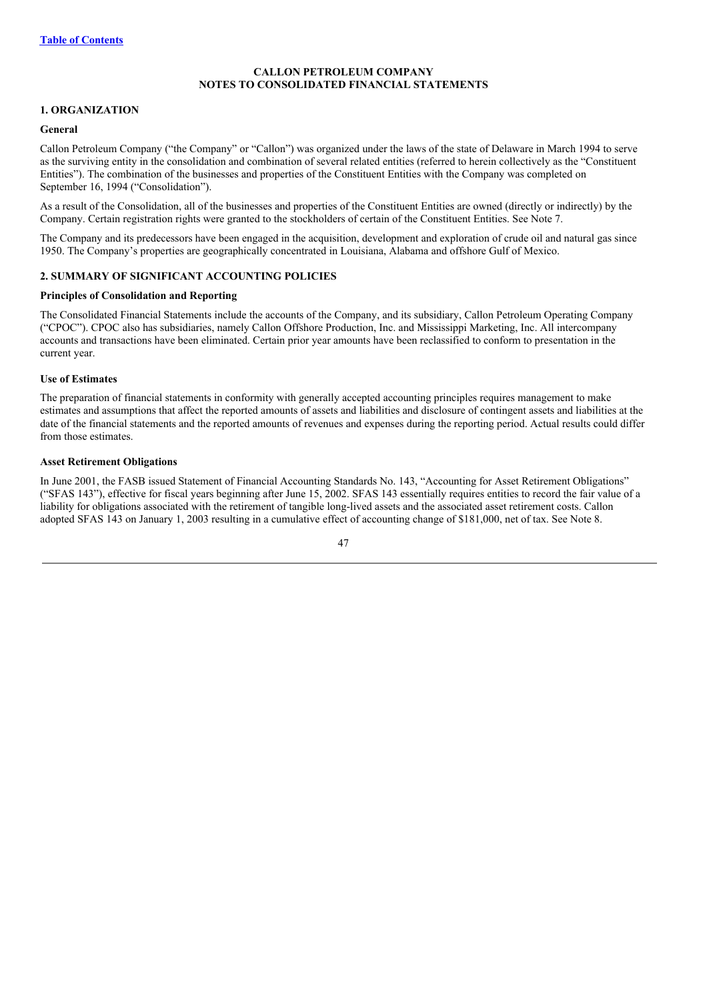# **CALLON PETROLEUM COMPANY NOTES TO CONSOLIDATED FINANCIAL STATEMENTS**

### **1. ORGANIZATION**

#### **General**

Callon Petroleum Company ("the Company" or "Callon") was organized under the laws of the state of Delaware in March 1994 to serve as the surviving entity in the consolidation and combination of several related entities (referred to herein collectively as the "Constituent Entities"). The combination of the businesses and properties of the Constituent Entities with the Company was completed on September 16, 1994 ("Consolidation").

As a result of the Consolidation, all of the businesses and properties of the Constituent Entities are owned (directly or indirectly) by the Company. Certain registration rights were granted to the stockholders of certain of the Constituent Entities. See Note 7.

The Company and its predecessors have been engaged in the acquisition, development and exploration of crude oil and natural gas since 1950. The Company's properties are geographically concentrated in Louisiana, Alabama and offshore Gulf of Mexico.

### **2. SUMMARY OF SIGNIFICANT ACCOUNTING POLICIES**

#### **Principles of Consolidation and Reporting**

The Consolidated Financial Statements include the accounts of the Company, and its subsidiary, Callon Petroleum Operating Company ("CPOC"). CPOC also has subsidiaries, namely Callon Offshore Production, Inc. and Mississippi Marketing, Inc. All intercompany accounts and transactions have been eliminated. Certain prior year amounts have been reclassified to conform to presentation in the current year.

#### **Use of Estimates**

The preparation of financial statements in conformity with generally accepted accounting principles requires management to make estimates and assumptions that affect the reported amounts of assets and liabilities and disclosure of contingent assets and liabilities at the date of the financial statements and the reported amounts of revenues and expenses during the reporting period. Actual results could differ from those estimates.

### **Asset Retirement Obligations**

In June 2001, the FASB issued Statement of Financial Accounting Standards No. 143, "Accounting for Asset Retirement Obligations" ("SFAS 143"), effective for fiscal years beginning after June 15, 2002. SFAS 143 essentially requires entities to record the fair value of a liability for obligations associated with the retirement of tangible long-lived assets and the associated asset retirement costs. Callon adopted SFAS 143 on January 1, 2003 resulting in a cumulative effect of accounting change of \$181,000, net of tax. See Note 8.

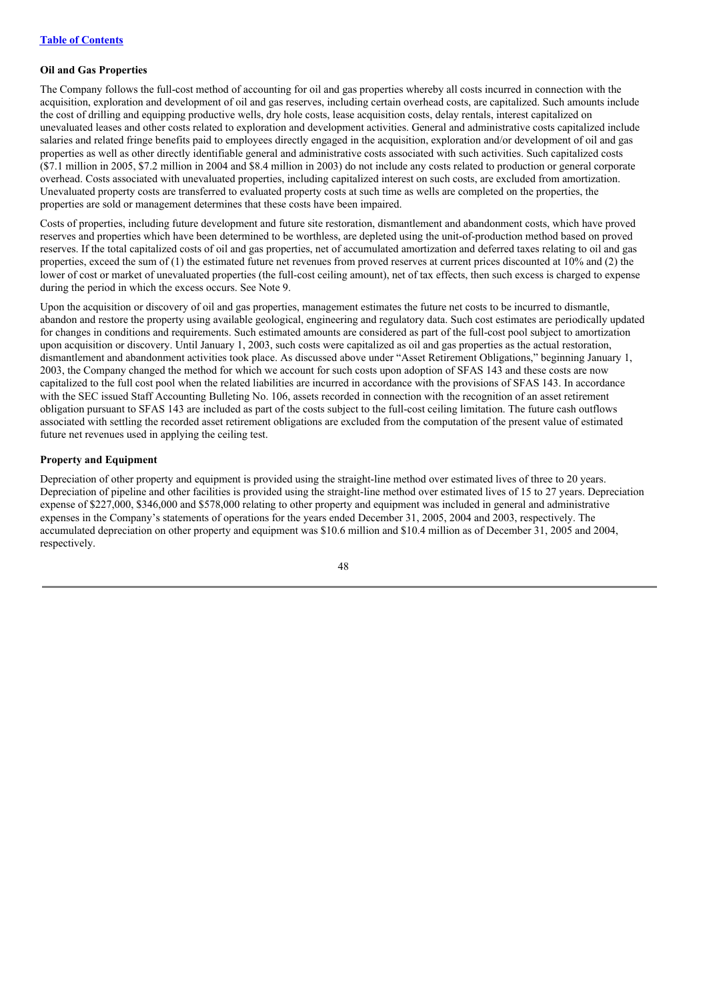# **Oil and Gas Properties**

The Company follows the full-cost method of accounting for oil and gas properties whereby all costs incurred in connection with the acquisition, exploration and development of oil and gas reserves, including certain overhead costs, are capitalized. Such amounts include the cost of drilling and equipping productive wells, dry hole costs, lease acquisition costs, delay rentals, interest capitalized on unevaluated leases and other costs related to exploration and development activities. General and administrative costs capitalized include salaries and related fringe benefits paid to employees directly engaged in the acquisition, exploration and/or development of oil and gas properties as well as other directly identifiable general and administrative costs associated with such activities. Such capitalized costs (\$7.1 million in 2005, \$7.2 million in 2004 and \$8.4 million in 2003) do not include any costs related to production or general corporate overhead. Costs associated with unevaluated properties, including capitalized interest on such costs, are excluded from amortization. Unevaluated property costs are transferred to evaluated property costs at such time as wells are completed on the properties, the properties are sold or management determines that these costs have been impaired.

Costs of properties, including future development and future site restoration, dismantlement and abandonment costs, which have proved reserves and properties which have been determined to be worthless, are depleted using the unit-of-production method based on proved reserves. If the total capitalized costs of oil and gas properties, net of accumulated amortization and deferred taxes relating to oil and gas properties, exceed the sum of (1) the estimated future net revenues from proved reserves at current prices discounted at 10% and (2) the lower of cost or market of unevaluated properties (the full-cost ceiling amount), net of tax effects, then such excess is charged to expense during the period in which the excess occurs. See Note 9.

Upon the acquisition or discovery of oil and gas properties, management estimates the future net costs to be incurred to dismantle, abandon and restore the property using available geological, engineering and regulatory data. Such cost estimates are periodically updated for changes in conditions and requirements. Such estimated amounts are considered as part of the full-cost pool subject to amortization upon acquisition or discovery. Until January 1, 2003, such costs were capitalized as oil and gas properties as the actual restoration, dismantlement and abandonment activities took place. As discussed above under "Asset Retirement Obligations," beginning January 1, 2003, the Company changed the method for which we account for such costs upon adoption of SFAS 143 and these costs are now capitalized to the full cost pool when the related liabilities are incurred in accordance with the provisions of SFAS 143. In accordance with the SEC issued Staff Accounting Bulleting No. 106, assets recorded in connection with the recognition of an asset retirement obligation pursuant to SFAS 143 are included as part of the costs subject to the full-cost ceiling limitation. The future cash outflows associated with settling the recorded asset retirement obligations are excluded from the computation of the present value of estimated future net revenues used in applying the ceiling test.

### **Property and Equipment**

Depreciation of other property and equipment is provided using the straight-line method over estimated lives of three to 20 years. Depreciation of pipeline and other facilities is provided using the straight-line method over estimated lives of 15 to 27 years. Depreciation expense of \$227,000, \$346,000 and \$578,000 relating to other property and equipment was included in general and administrative expenses in the Company's statements of operations for the years ended December 31, 2005, 2004 and 2003, respectively. The accumulated depreciation on other property and equipment was \$10.6 million and \$10.4 million as of December 31, 2005 and 2004, respectively.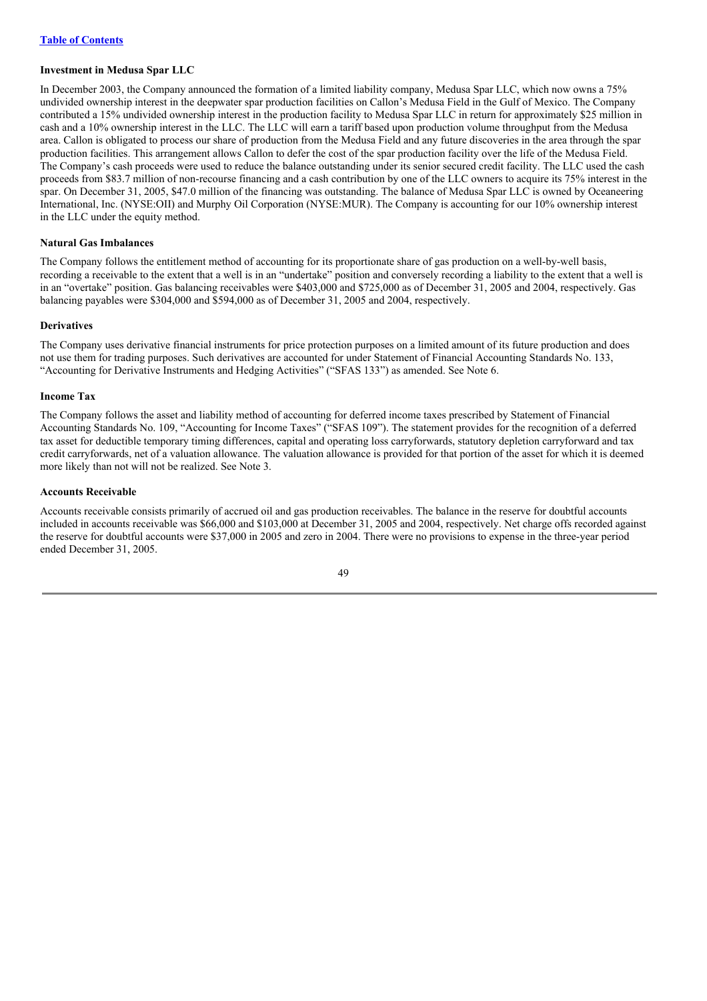### **Investment in Medusa Spar LLC**

In December 2003, the Company announced the formation of a limited liability company, Medusa Spar LLC, which now owns a 75% undivided ownership interest in the deepwater spar production facilities on Callon's Medusa Field in the Gulf of Mexico. The Company contributed a 15% undivided ownership interest in the production facility to Medusa Spar LLC in return for approximately \$25 million in cash and a 10% ownership interest in the LLC. The LLC will earn a tariff based upon production volume throughput from the Medusa area. Callon is obligated to process our share of production from the Medusa Field and any future discoveries in the area through the spar production facilities. This arrangement allows Callon to defer the cost of the spar production facility over the life of the Medusa Field. The Company's cash proceeds were used to reduce the balance outstanding under its senior secured credit facility. The LLC used the cash proceeds from \$83.7 million of non-recourse financing and a cash contribution by one of the LLC owners to acquire its 75% interest in the spar. On December 31, 2005, \$47.0 million of the financing was outstanding. The balance of Medusa Spar LLC is owned by Oceaneering International, Inc. (NYSE:OII) and Murphy Oil Corporation (NYSE:MUR). The Company is accounting for our 10% ownership interest in the LLC under the equity method.

#### **Natural Gas Imbalances**

The Company follows the entitlement method of accounting for its proportionate share of gas production on a well-by-well basis, recording a receivable to the extent that a well is in an "undertake" position and conversely recording a liability to the extent that a well is in an "overtake" position. Gas balancing receivables were \$403,000 and \$725,000 as of December 31, 2005 and 2004, respectively. Gas balancing payables were \$304,000 and \$594,000 as of December 31, 2005 and 2004, respectively.

#### **Derivatives**

The Company uses derivative financial instruments for price protection purposes on a limited amount of its future production and does not use them for trading purposes. Such derivatives are accounted for under Statement of Financial Accounting Standards No. 133, "Accounting for Derivative Instruments and Hedging Activities" ("SFAS 133") as amended. See Note 6.

#### **Income Tax**

The Company follows the asset and liability method of accounting for deferred income taxes prescribed by Statement of Financial Accounting Standards No. 109, "Accounting for Income Taxes" ("SFAS 109"). The statement provides for the recognition of a deferred tax asset for deductible temporary timing differences, capital and operating loss carryforwards, statutory depletion carryforward and tax credit carryforwards, net of a valuation allowance. The valuation allowance is provided for that portion of the asset for which it is deemed more likely than not will not be realized. See Note 3.

#### **Accounts Receivable**

Accounts receivable consists primarily of accrued oil and gas production receivables. The balance in the reserve for doubtful accounts included in accounts receivable was \$66,000 and \$103,000 at December 31, 2005 and 2004, respectively. Net charge offs recorded against the reserve for doubtful accounts were \$37,000 in 2005 and zero in 2004. There were no provisions to expense in the three-year period ended December 31, 2005.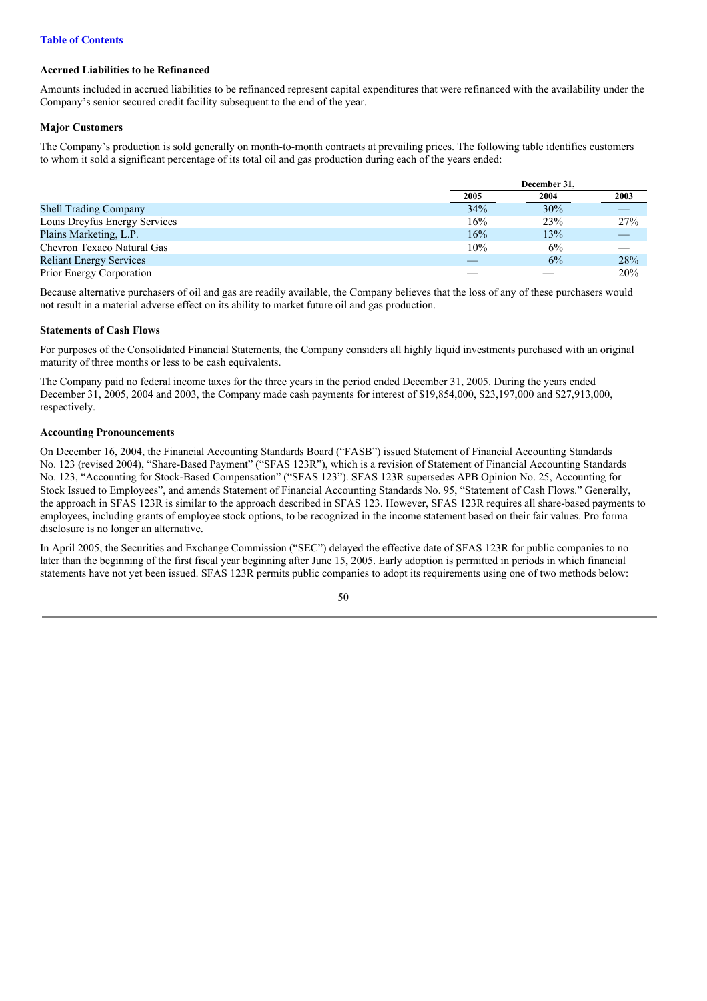# **Accrued Liabilities to be Refinanced**

Amounts included in accrued liabilities to be refinanced represent capital expenditures that were refinanced with the availability under the Company's senior secured credit facility subsequent to the end of the year.

### **Major Customers**

The Company's production is sold generally on month-to-month contracts at prevailing prices. The following table identifies customers to whom it sold a significant percentage of its total oil and gas production during each of the years ended:

|                                | December 31. |      |      |
|--------------------------------|--------------|------|------|
|                                | 2005         | 2004 | 2003 |
| <b>Shell Trading Company</b>   | 34%          | 30%  |      |
| Louis Dreyfus Energy Services  | 16%          | 23%  | 27%  |
| Plains Marketing, L.P.         | 16%          | 13%  |      |
| Chevron Texaco Natural Gas     | 10%          | 6%   |      |
| <b>Reliant Energy Services</b> |              | 6%   | 28%  |
| Prior Energy Corporation       |              |      | 20%  |

Because alternative purchasers of oil and gas are readily available, the Company believes that the loss of any of these purchasers would not result in a material adverse effect on its ability to market future oil and gas production.

# **Statements of Cash Flows**

For purposes of the Consolidated Financial Statements, the Company considers all highly liquid investments purchased with an original maturity of three months or less to be cash equivalents.

The Company paid no federal income taxes for the three years in the period ended December 31, 2005. During the years ended December 31, 2005, 2004 and 2003, the Company made cash payments for interest of \$19,854,000, \$23,197,000 and \$27,913,000, respectively.

#### **Accounting Pronouncements**

On December 16, 2004, the Financial Accounting Standards Board ("FASB") issued Statement of Financial Accounting Standards No. 123 (revised 2004), "Share-Based Payment" ("SFAS 123R"), which is a revision of Statement of Financial Accounting Standards No. 123, "Accounting for Stock-Based Compensation" ("SFAS 123"). SFAS 123R supersedes APB Opinion No. 25, Accounting for Stock Issued to Employees", and amends Statement of Financial Accounting Standards No. 95, "Statement of Cash Flows." Generally, the approach in SFAS 123R is similar to the approach described in SFAS 123. However, SFAS 123R requires all share-based payments to employees, including grants of employee stock options, to be recognized in the income statement based on their fair values. Pro forma disclosure is no longer an alternative.

In April 2005, the Securities and Exchange Commission ("SEC") delayed the effective date of SFAS 123R for public companies to no later than the beginning of the first fiscal year beginning after June 15, 2005. Early adoption is permitted in periods in which financial statements have not yet been issued. SFAS 123R permits public companies to adopt its requirements using one of two methods below: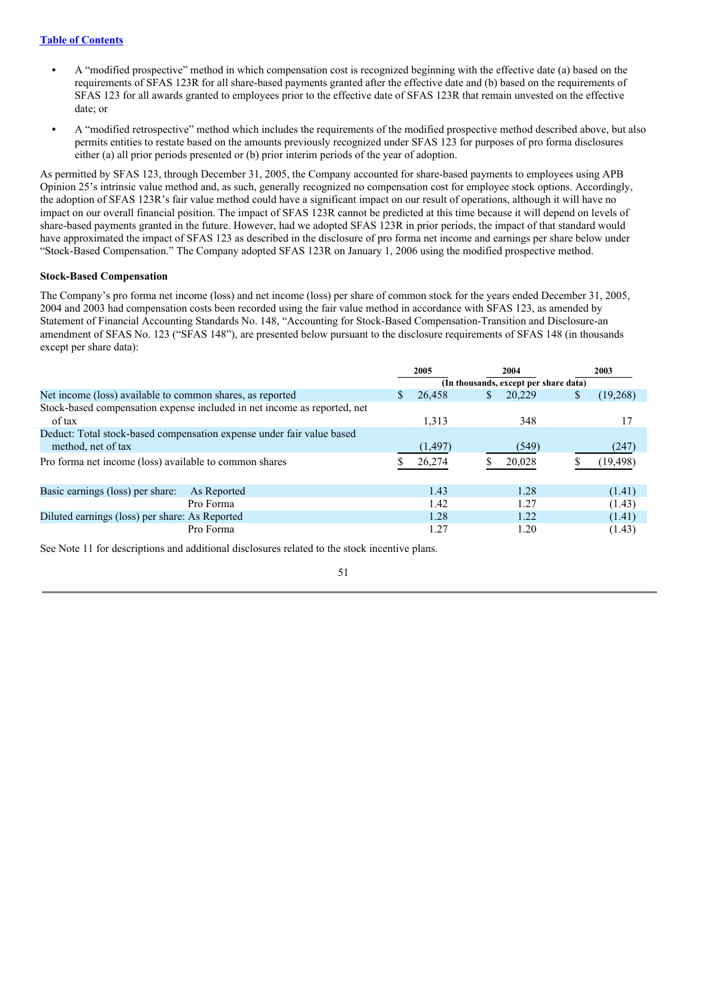- **•** A "modified prospective" method in which compensation cost is recognized beginning with the effective date (a) based on the requirements of SFAS 123R for all share-based payments granted after the effective date and (b) based on the requirements of SFAS 123 for all awards granted to employees prior to the effective date of SFAS 123R that remain unvested on the effective date; or
- **•** A "modified retrospective" method which includes the requirements of the modified prospective method described above, but also permits entities to restate based on the amounts previously recognized under SFAS 123 for purposes of pro forma disclosures either (a) all prior periods presented or (b) prior interim periods of the year of adoption.

As permitted by SFAS 123, through December 31, 2005, the Company accounted for share-based payments to employees using APB Opinion 25's intrinsic value method and, as such, generally recognized no compensation cost for employee stock options. Accordingly, the adoption of SFAS 123R's fair value method could have a significant impact on our result of operations, although it will have no impact on our overall financial position. The impact of SFAS 123R cannot be predicted at this time because it will depend on levels of share-based payments granted in the future. However, had we adopted SFAS 123R in prior periods, the impact of that standard would have approximated the impact of SFAS 123 as described in the disclosure of pro forma net income and earnings per share below under "Stock-Based Compensation." The Company adopted SFAS 123R on January 1, 2006 using the modified prospective method.

### **Stock-Based Compensation**

The Company's pro forma net income (loss) and net income (loss) per share of common stock for the years ended December 31, 2005, 2004 and 2003 had compensation costs been recorded using the fair value method in accordance with SFAS 123, as amended by Statement of Financial Accounting Standards No. 148, "Accounting for Stock-Based Compensation-Transition and Disclosure-an amendment of SFAS No. 123 ("SFAS 148"), are presented below pursuant to the disclosure requirements of SFAS 148 (in thousands except per share data):

|                                                                          |   | 2005     | 2004 |                                       |   | 2003      |  |
|--------------------------------------------------------------------------|---|----------|------|---------------------------------------|---|-----------|--|
|                                                                          |   |          |      | (In thousands, except per share data) |   |           |  |
| Net income (loss) available to common shares, as reported                | S | 26.458   | S    | 20,229                                | S | (19,268)  |  |
| Stock-based compensation expense included in net income as reported, net |   |          |      |                                       |   |           |  |
| of tax                                                                   |   | 1.313    |      | 348                                   |   |           |  |
| Deduct: Total stock-based compensation expense under fair value based    |   |          |      |                                       |   |           |  |
| method, net of tax                                                       |   | (1, 497) |      | (549)                                 |   | (247)     |  |
| Pro forma net income (loss) available to common shares                   |   | 26,274   |      | 20,028                                |   | (19, 498) |  |
|                                                                          |   |          |      |                                       |   |           |  |
| Basic earnings (loss) per share:<br>As Reported                          |   | 1.43     |      | 1.28                                  |   | (1.41)    |  |
| Pro Forma                                                                |   | 1.42     |      | 1.27                                  |   | (1.43)    |  |
| Diluted earnings (loss) per share: As Reported                           |   | 1.28     |      | 1.22                                  |   | (1.41)    |  |
| Pro Forma                                                                |   | 1.27     |      | 1.20                                  |   | (1.43)    |  |

See Note 11 for descriptions and additional disclosures related to the stock incentive plans.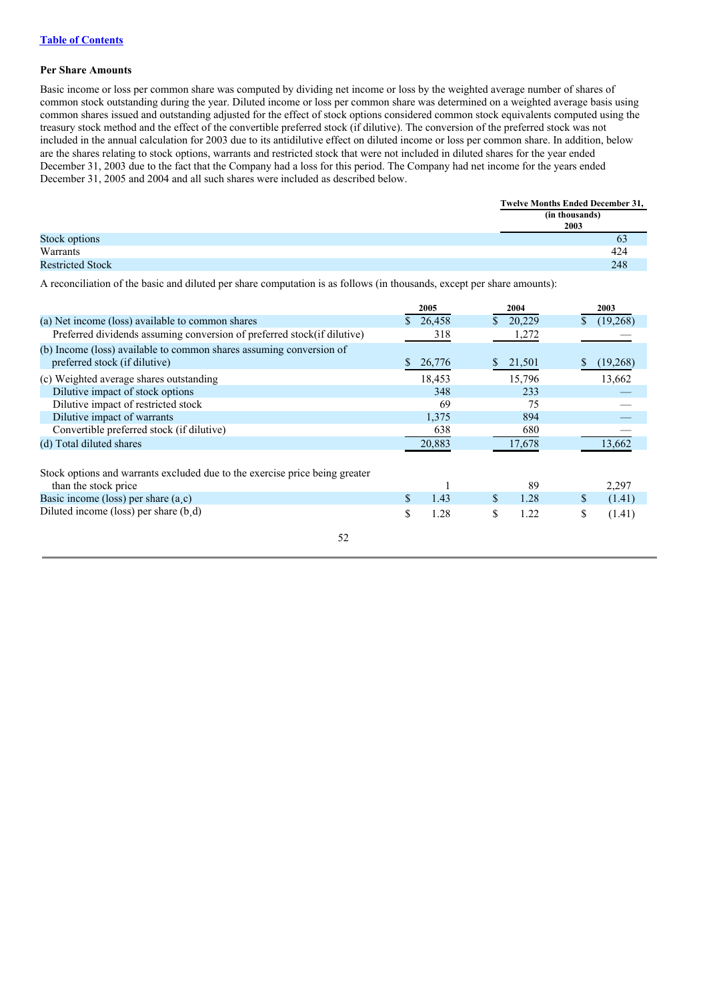# **Per Share Amounts**

Basic income or loss per common share was computed by dividing net income or loss by the weighted average number of shares of common stock outstanding during the year. Diluted income or loss per common share was determined on a weighted average basis using common shares issued and outstanding adjusted for the effect of stock options considered common stock equivalents computed using the treasury stock method and the effect of the convertible preferred stock (if dilutive). The conversion of the preferred stock was not included in the annual calculation for 2003 due to its antidilutive effect on diluted income or loss per common share. In addition, below are the shares relating to stock options, warrants and restricted stock that were not included in diluted shares for the year ended December 31, 2003 due to the fact that the Company had a loss for this period. The Company had net income for the years ended December 31, 2005 and 2004 and all such shares were included as described below.

|                         | <b>Twelve Months Ended December 31,</b> |
|-------------------------|-----------------------------------------|
|                         | (in thousands)                          |
|                         | 2003                                    |
| Stock options           | 03                                      |
| Warrants                | 424                                     |
| <b>Restricted Stock</b> | 248                                     |

A reconciliation of the basic and diluted per share computation is as follows (in thousands, except per share amounts):

|                                                                                                      | 2005                     |        | 2004         | 2003         |
|------------------------------------------------------------------------------------------------------|--------------------------|--------|--------------|--------------|
| (a) Net income (loss) available to common shares                                                     | 26,458<br>$\mathbb{S}^-$ |        | \$<br>20,229 | (19,268)     |
| Preferred dividends assuming conversion of preferred stock(if dilutive)                              |                          | 318    | 1,272        |              |
| (b) Income (loss) available to common shares assuming conversion of<br>preferred stock (if dilutive) |                          | 26,776 | 21,501       | (19,268)     |
| (c) Weighted average shares outstanding                                                              |                          | 18,453 | 15,796       | 13,662       |
| Dilutive impact of stock options                                                                     |                          | 348    | 233          |              |
| Dilutive impact of restricted stock                                                                  |                          | 69     | 75           |              |
| Dilutive impact of warrants                                                                          |                          | 1,375  | 894          |              |
| Convertible preferred stock (if dilutive)                                                            |                          | 638    | 680          |              |
| (d) Total diluted shares                                                                             |                          | 20,883 | 17,678       | 13,662       |
| Stock options and warrants excluded due to the exercise price being greater                          |                          |        |              |              |
| than the stock price                                                                                 |                          |        | 89           | 2,297        |
| Basic income (loss) per share $(a, c)$                                                               | \$                       | 1.43   | \$<br>1.28   | \$<br>(1.41) |
| Diluted income (loss) per share $(b,d)$                                                              | \$                       | 1.28   | \$<br>1.22   | \$<br>(1.41) |
| 52                                                                                                   |                          |        |              |              |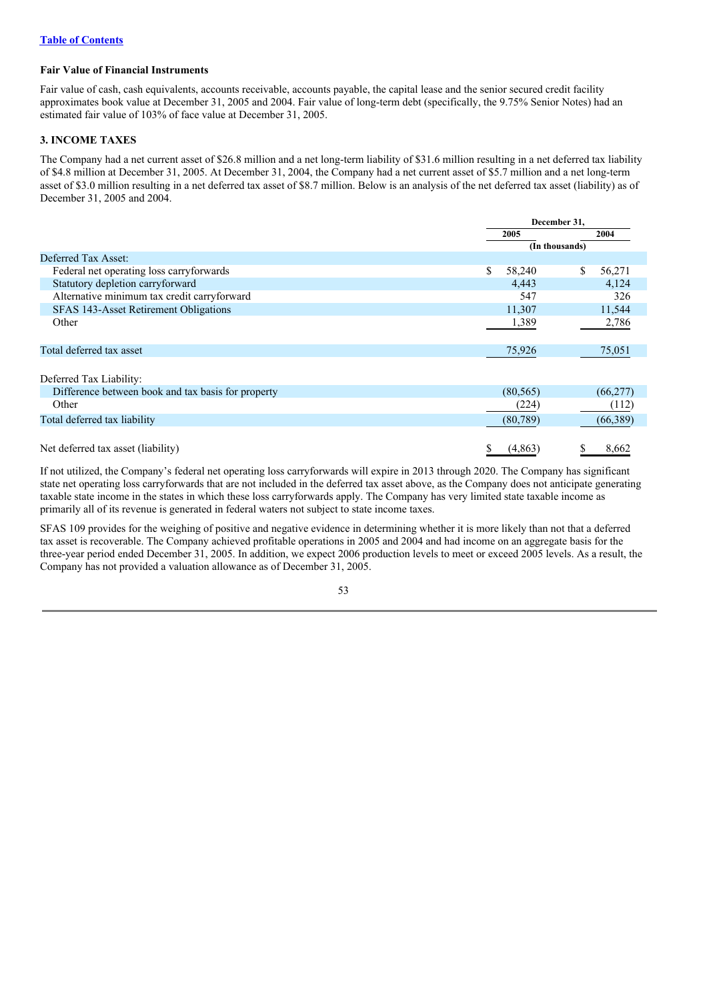# **Fair Value of Financial Instruments**

Fair value of cash, cash equivalents, accounts receivable, accounts payable, the capital lease and the senior secured credit facility approximates book value at December 31, 2005 and 2004. Fair value of long-term debt (specifically, the 9.75% Senior Notes) had an estimated fair value of 103% of face value at December 31, 2005.

# **3. INCOME TAXES**

The Company had a net current asset of \$26.8 million and a net long-term liability of \$31.6 million resulting in a net deferred tax liability of \$4.8 million at December 31, 2005. At December 31, 2004, the Company had a net current asset of \$5.7 million and a net long-term asset of \$3.0 million resulting in a net deferred tax asset of \$8.7 million. Below is an analysis of the net deferred tax asset (liability) as of December 31, 2005 and 2004.

|                                                    |               | December 31,   |
|----------------------------------------------------|---------------|----------------|
|                                                    | 2005          | 2004           |
|                                                    |               | (In thousands) |
| Deferred Tax Asset:                                |               |                |
| Federal net operating loss carryforwards           | \$<br>58,240  | S<br>56,271    |
| Statutory depletion carryforward                   | 4,443         | 4,124          |
| Alternative minimum tax credit carryforward        | 547           | 326            |
| SFAS 143-Asset Retirement Obligations              | 11,307        | 11,544         |
| Other                                              | 1,389         | 2,786          |
|                                                    |               |                |
| Total deferred tax asset                           | 75,926        | 75,051         |
|                                                    |               |                |
| Deferred Tax Liability:                            |               |                |
| Difference between book and tax basis for property | (80, 565)     | (66,277)       |
| Other                                              | (224)         | (112)          |
| Total deferred tax liability                       | (80, 789)     | (66,389)       |
|                                                    |               |                |
| Net deferred tax asset (liability)                 | \$<br>(4,863) | 8,662<br>S     |

If not utilized, the Company's federal net operating loss carryforwards will expire in 2013 through 2020. The Company has significant state net operating loss carryforwards that are not included in the deferred tax asset above, as the Company does not anticipate generating taxable state income in the states in which these loss carryforwards apply. The Company has very limited state taxable income as primarily all of its revenue is generated in federal waters not subject to state income taxes.

SFAS 109 provides for the weighing of positive and negative evidence in determining whether it is more likely than not that a deferred tax asset is recoverable. The Company achieved profitable operations in 2005 and 2004 and had income on an aggregate basis for the three-year period ended December 31, 2005. In addition, we expect 2006 production levels to meet or exceed 2005 levels. As a result, the Company has not provided a valuation allowance as of December 31, 2005.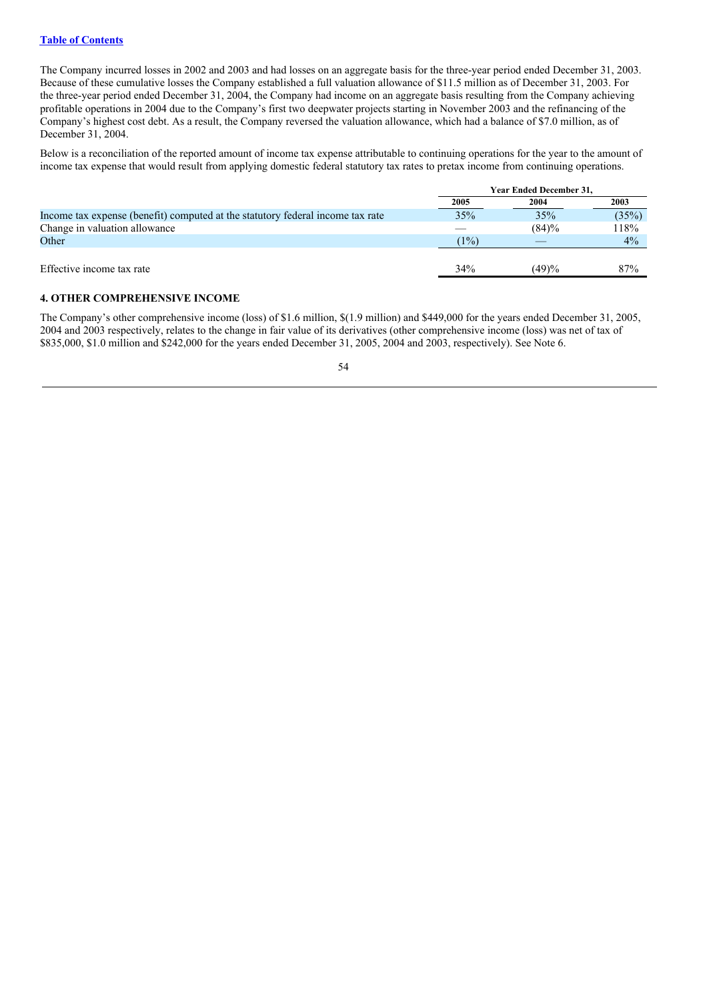The Company incurred losses in 2002 and 2003 and had losses on an aggregate basis for the three-year period ended December 31, 2003. Because of these cumulative losses the Company established a full valuation allowance of \$11.5 million as of December 31, 2003. For the three-year period ended December 31, 2004, the Company had income on an aggregate basis resulting from the Company achieving profitable operations in 2004 due to the Company's first two deepwater projects starting in November 2003 and the refinancing of the Company's highest cost debt. As a result, the Company reversed the valuation allowance, which had a balance of \$7.0 million, as of December 31, 2004.

Below is a reconciliation of the reported amount of income tax expense attributable to continuing operations for the year to the amount of income tax expense that would result from applying domestic federal statutory tax rates to pretax income from continuing operations.

|                                                                                | <b>Year Ended December 31,</b> |       |       |
|--------------------------------------------------------------------------------|--------------------------------|-------|-------|
|                                                                                | 2005                           | 2004  | 2003  |
| Income tax expense (benefit) computed at the statutory federal income tax rate | 35%                            | 35%   | (35%) |
| Change in valuation allowance                                                  |                                | (84)% | 118%  |
| Other                                                                          | (1%)                           |       | $4\%$ |
|                                                                                |                                |       |       |
| Effective income tax rate                                                      | 34%                            | (49)% | 87%   |
|                                                                                |                                |       |       |

# **4. OTHER COMPREHENSIVE INCOME**

The Company's other comprehensive income (loss) of \$1.6 million, \$(1.9 million) and \$449,000 for the years ended December 31, 2005, 2004 and 2003 respectively, relates to the change in fair value of its derivatives (other comprehensive income (loss) was net of tax of \$835,000, \$1.0 million and \$242,000 for the years ended December 31, 2005, 2004 and 2003, respectively). See Note 6.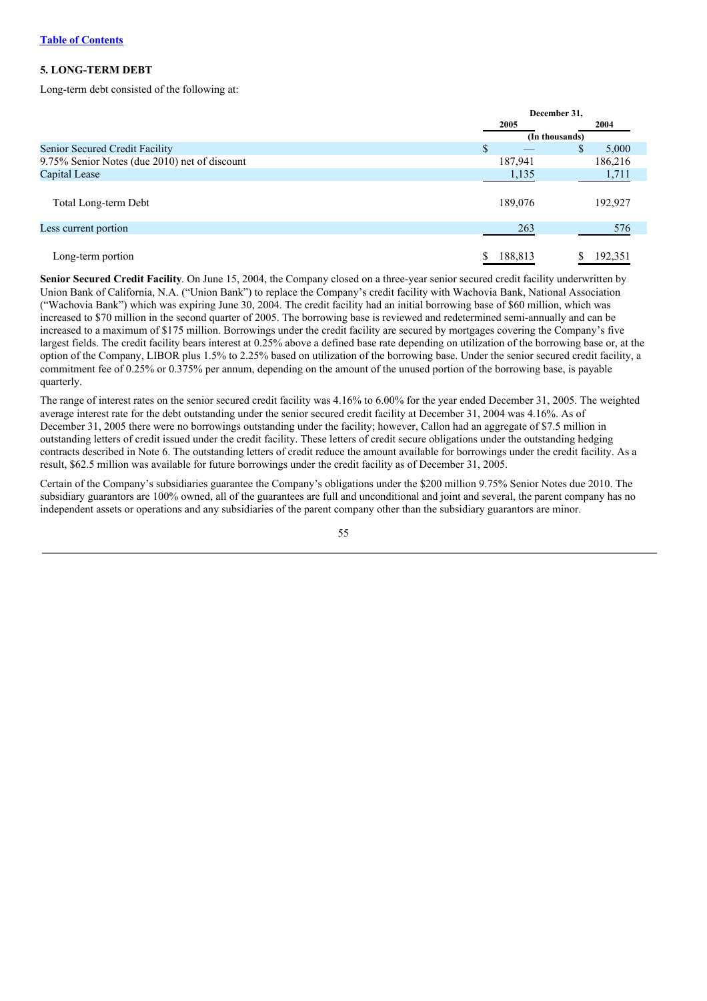# **5. LONG-TERM DEBT**

Long-term debt consisted of the following at:

|                                               | December 31,   |               |  |
|-----------------------------------------------|----------------|---------------|--|
|                                               | 2005           | 2004          |  |
|                                               | (In thousands) |               |  |
| Senior Secured Credit Facility                | S              | 5,000<br>S    |  |
| 9.75% Senior Notes (due 2010) net of discount | 187,941        | 186,216       |  |
| Capital Lease                                 | 1,135          | 1,711         |  |
| Total Long-term Debt                          | 189,076        | 192,927       |  |
| Less current portion                          | 263            | 576           |  |
| Long-term portion                             | 188,813<br>S   | 192,351<br>ъ. |  |

**Senior Secured Credit Facility**. On June 15, 2004, the Company closed on a three-year senior secured credit facility underwritten by Union Bank of California, N.A. ("Union Bank") to replace the Company's credit facility with Wachovia Bank, National Association ("Wachovia Bank") which was expiring June 30, 2004. The credit facility had an initial borrowing base of \$60 million, which was increased to \$70 million in the second quarter of 2005. The borrowing base is reviewed and redetermined semi-annually and can be increased to a maximum of \$175 million. Borrowings under the credit facility are secured by mortgages covering the Company's five largest fields. The credit facility bears interest at 0.25% above a defined base rate depending on utilization of the borrowing base or, at the option of the Company, LIBOR plus 1.5% to 2.25% based on utilization of the borrowing base. Under the senior secured credit facility, a commitment fee of 0.25% or 0.375% per annum, depending on the amount of the unused portion of the borrowing base, is payable quarterly.

The range of interest rates on the senior secured credit facility was 4.16% to 6.00% for the year ended December 31, 2005. The weighted average interest rate for the debt outstanding under the senior secured credit facility at December 31, 2004 was 4.16%. As of December 31, 2005 there were no borrowings outstanding under the facility; however, Callon had an aggregate of \$7.5 million in outstanding letters of credit issued under the credit facility. These letters of credit secure obligations under the outstanding hedging contracts described in Note 6. The outstanding letters of credit reduce the amount available for borrowings under the credit facility. As a result, \$62.5 million was available for future borrowings under the credit facility as of December 31, 2005.

Certain of the Company's subsidiaries guarantee the Company's obligations under the \$200 million 9.75% Senior Notes due 2010. The subsidiary guarantors are 100% owned, all of the guarantees are full and unconditional and joint and several, the parent company has no independent assets or operations and any subsidiaries of the parent company other than the subsidiary guarantors are minor.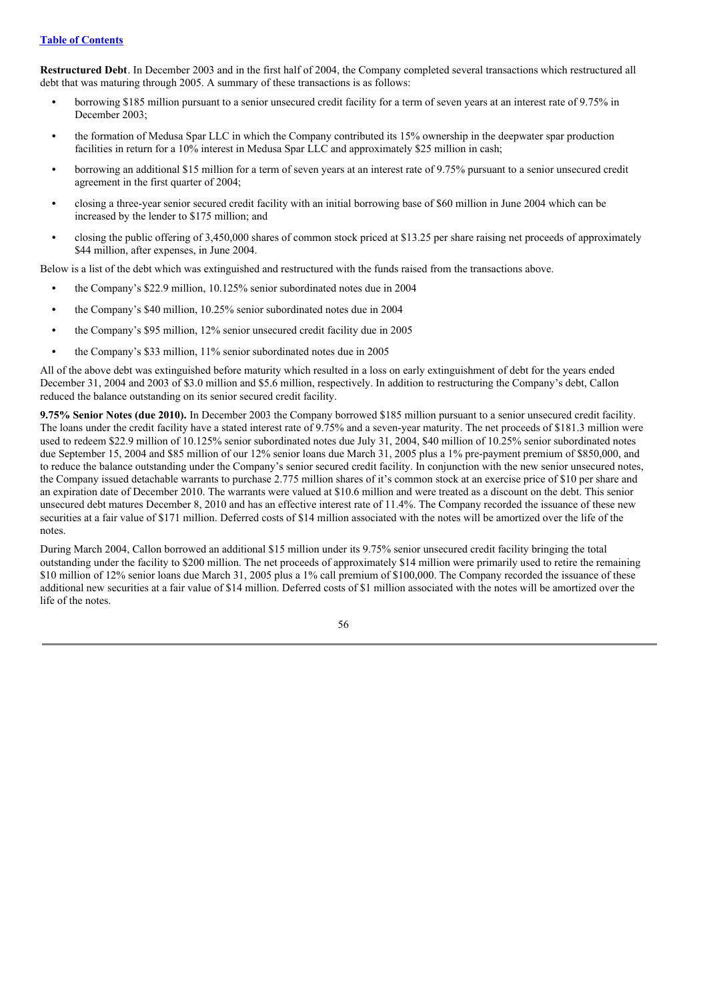**Restructured Debt**. In December 2003 and in the first half of 2004, the Company completed several transactions which restructured all debt that was maturing through 2005. A summary of these transactions is as follows:

- **•** borrowing \$185 million pursuant to a senior unsecured credit facility for a term of seven years at an interest rate of 9.75% in December 2003;
- the formation of Medusa Spar LLC in which the Company contributed its 15% ownership in the deepwater spar production facilities in return for a 10% interest in Medusa Spar LLC and approximately \$25 million in cash;
- **•** borrowing an additional \$15 million for a term of seven years at an interest rate of 9.75% pursuant to a senior unsecured credit agreement in the first quarter of 2004;
- **•** closing a three-year senior secured credit facility with an initial borrowing base of \$60 million in June 2004 which can be increased by the lender to \$175 million; and
- **•** closing the public offering of 3,450,000 shares of common stock priced at \$13.25 per share raising net proceeds of approximately \$44 million, after expenses, in June 2004.

Below is a list of the debt which was extinguished and restructured with the funds raised from the transactions above.

- the Company's \$22.9 million, 10.125% senior subordinated notes due in 2004
- the Company's \$40 million, 10.25% senior subordinated notes due in 2004
- the Company's \$95 million, 12% senior unsecured credit facility due in 2005
- the Company's \$33 million, 11% senior subordinated notes due in 2005

All of the above debt was extinguished before maturity which resulted in a loss on early extinguishment of debt for the years ended December 31, 2004 and 2003 of \$3.0 million and \$5.6 million, respectively. In addition to restructuring the Company's debt, Callon reduced the balance outstanding on its senior secured credit facility.

**9.75% Senior Notes (due 2010).** In December 2003 the Company borrowed \$185 million pursuant to a senior unsecured credit facility. The loans under the credit facility have a stated interest rate of 9.75% and a seven-year maturity. The net proceeds of \$181.3 million were used to redeem \$22.9 million of 10.125% senior subordinated notes due July 31, 2004, \$40 million of 10.25% senior subordinated notes due September 15, 2004 and \$85 million of our 12% senior loans due March 31, 2005 plus a 1% pre-payment premium of \$850,000, and to reduce the balance outstanding under the Company's senior secured credit facility. In conjunction with the new senior unsecured notes, the Company issued detachable warrants to purchase 2.775 million shares of it's common stock at an exercise price of \$10 per share and an expiration date of December 2010. The warrants were valued at \$10.6 million and were treated as a discount on the debt. This senior unsecured debt matures December 8, 2010 and has an effective interest rate of 11.4%. The Company recorded the issuance of these new securities at a fair value of \$171 million. Deferred costs of \$14 million associated with the notes will be amortized over the life of the notes.

During March 2004, Callon borrowed an additional \$15 million under its 9.75% senior unsecured credit facility bringing the total outstanding under the facility to \$200 million. The net proceeds of approximately \$14 million were primarily used to retire the remaining \$10 million of 12% senior loans due March 31, 2005 plus a 1% call premium of \$100,000. The Company recorded the issuance of these additional new securities at a fair value of \$14 million. Deferred costs of \$1 million associated with the notes will be amortized over the life of the notes.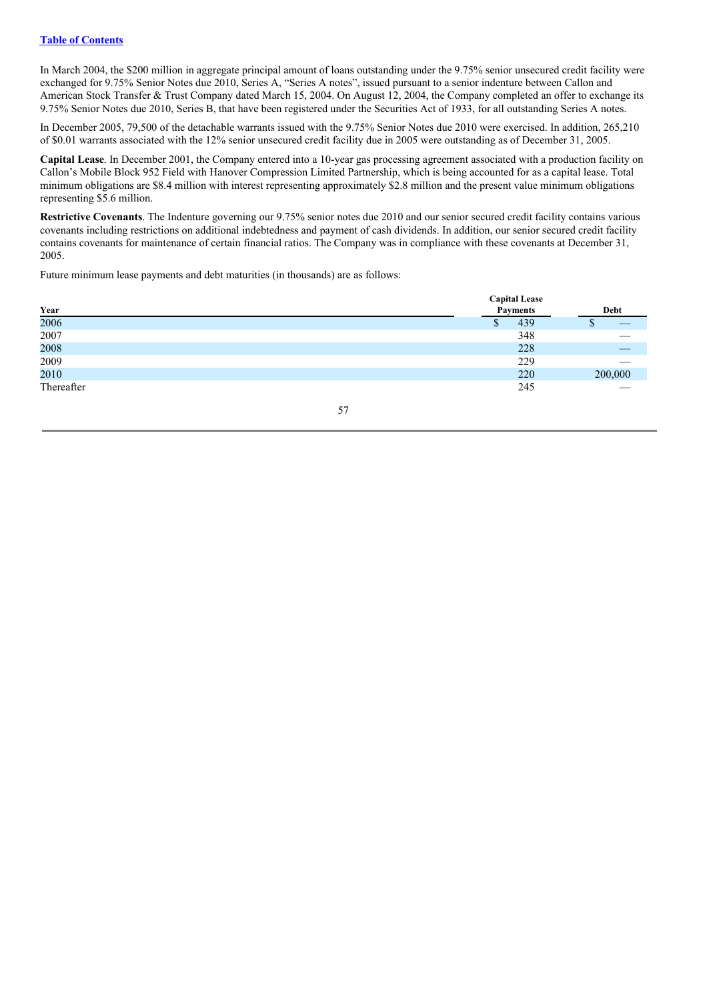In March 2004, the \$200 million in aggregate principal amount of loans outstanding under the 9.75% senior unsecured credit facility were exchanged for 9.75% Senior Notes due 2010, Series A, "Series A notes", issued pursuant to a senior indenture between Callon and American Stock Transfer & Trust Company dated March 15, 2004. On August 12, 2004, the Company completed an offer to exchange its 9.75% Senior Notes due 2010, Series B, that have been registered under the Securities Act of 1933, for all outstanding Series A notes.

In December 2005, 79,500 of the detachable warrants issued with the 9.75% Senior Notes due 2010 were exercised. In addition, 265,210 of \$0.01 warrants associated with the 12% senior unsecured credit facility due in 2005 were outstanding as of December 31, 2005.

**Capital Lease**. In December 2001, the Company entered into a 10-year gas processing agreement associated with a production facility on Callon's Mobile Block 952 Field with Hanover Compression Limited Partnership, which is being accounted for as a capital lease. Total minimum obligations are \$8.4 million with interest representing approximately \$2.8 million and the present value minimum obligations representing \$5.6 million.

**Restrictive Covenants**. The Indenture governing our 9.75% senior notes due 2010 and our senior secured credit facility contains various covenants including restrictions on additional indebtedness and payment of cash dividends. In addition, our senior secured credit facility contains covenants for maintenance of certain financial ratios. The Company was in compliance with these covenants at December 31, 2005.

Future minimum lease payments and debt maturities (in thousands) are as follows:

| Year       |   | <b>Capital Lease</b><br><b>Payments</b> | Debt    |
|------------|---|-----------------------------------------|---------|
| 2006       | Φ | 439                                     | Φ       |
| 2007       |   | 348                                     |         |
| 2008       |   | 228                                     |         |
| 2009       |   | 229                                     |         |
| 2010       |   | 220                                     | 200,000 |
| Thereafter |   | 245                                     |         |

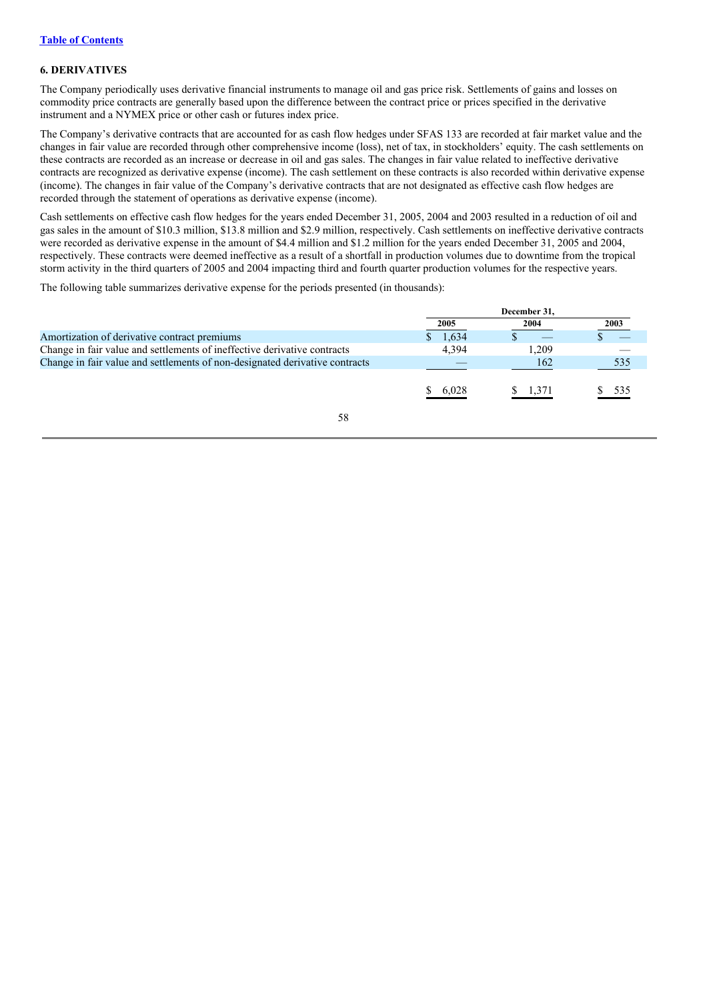# **6. DERIVATIVES**

The Company periodically uses derivative financial instruments to manage oil and gas price risk. Settlements of gains and losses on commodity price contracts are generally based upon the difference between the contract price or prices specified in the derivative instrument and a NYMEX price or other cash or futures index price.

The Company's derivative contracts that are accounted for as cash flow hedges under SFAS 133 are recorded at fair market value and the changes in fair value are recorded through other comprehensive income (loss), net of tax, in stockholders' equity. The cash settlements on these contracts are recorded as an increase or decrease in oil and gas sales. The changes in fair value related to ineffective derivative contracts are recognized as derivative expense (income). The cash settlement on these contracts is also recorded within derivative expense (income). The changes in fair value of the Company's derivative contracts that are not designated as effective cash flow hedges are recorded through the statement of operations as derivative expense (income).

Cash settlements on effective cash flow hedges for the years ended December 31, 2005, 2004 and 2003 resulted in a reduction of oil and gas sales in the amount of \$10.3 million, \$13.8 million and \$2.9 million, respectively. Cash settlements on ineffective derivative contracts were recorded as derivative expense in the amount of \$4.4 million and \$1.2 million for the years ended December 31, 2005 and 2004, respectively. These contracts were deemed ineffective as a result of a shortfall in production volumes due to downtime from the tropical storm activity in the third quarters of 2005 and 2004 impacting third and fourth quarter production volumes for the respective years.

The following table summarizes derivative expense for the periods presented (in thousands):

|                                                                             | December 31, |       |      |
|-----------------------------------------------------------------------------|--------------|-------|------|
|                                                                             | 2005         | 2004  | 2003 |
| Amortization of derivative contract premiums                                | 1.634        |       |      |
| Change in fair value and settlements of ineffective derivative contracts    | 4.394        | 1.209 |      |
| Change in fair value and settlements of non-designated derivative contracts |              | 162   | 535  |
|                                                                             |              |       |      |
|                                                                             | \$6,028      | 1,371 | 535  |
|                                                                             |              |       |      |
|                                                                             |              |       |      |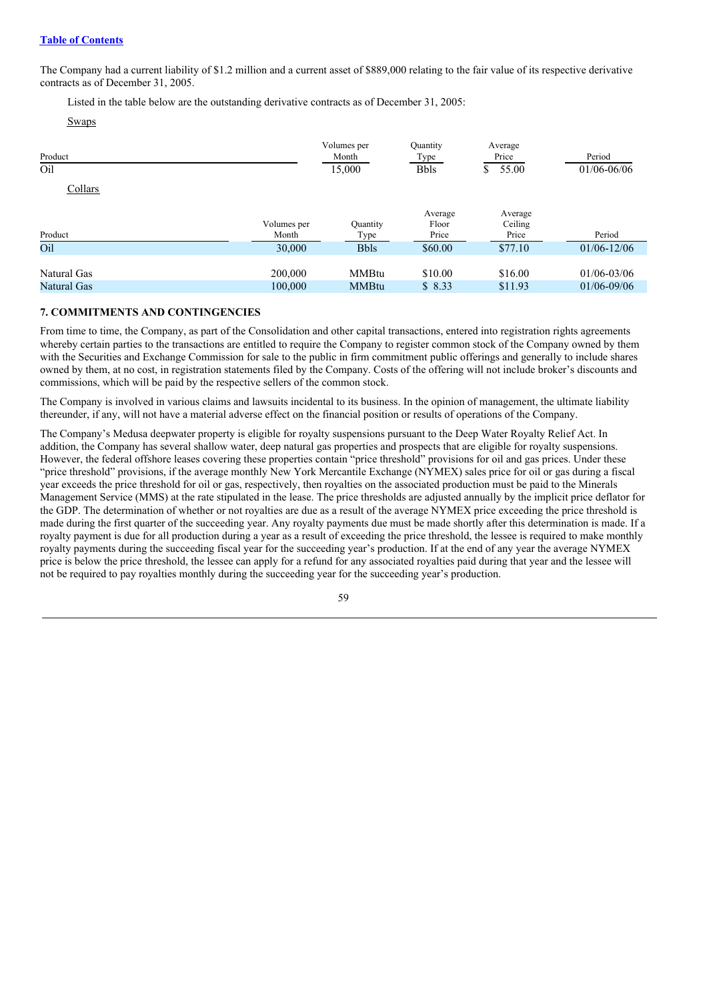The Company had a current liability of \$1.2 million and a current asset of \$889,000 relating to the fair value of its respective derivative contracts as of December 31, 2005.

Listed in the table below are the outstanding derivative contracts as of December 31, 2005:

Swaps

| Product         |                      | Volumes per<br>Month | Ouantity<br>Type          | Average<br>Price            | Period          |
|-----------------|----------------------|----------------------|---------------------------|-----------------------------|-----------------|
| O <sub>il</sub> |                      | 15,000               | <b>Bbls</b>               | 55.00                       | $01/06 - 06/06$ |
| Collars         |                      |                      |                           |                             |                 |
| Product         | Volumes per<br>Month | Ouantity<br>Type     | Average<br>Floor<br>Price | Average<br>Ceiling<br>Price | Period          |
| Oil             | 30,000               | <b>Bbls</b>          | \$60.00                   | \$77.10                     | $01/06 - 12/06$ |
| Natural Gas     | 200,000              | <b>MMBtu</b>         | \$10.00                   | \$16.00                     | $01/06 - 03/06$ |
| Natural Gas     | 100,000              | <b>MMBtu</b>         | \$8.33                    | \$11.93                     | 01/06-09/06     |

# **7. COMMITMENTS AND CONTINGENCIES**

From time to time, the Company, as part of the Consolidation and other capital transactions, entered into registration rights agreements whereby certain parties to the transactions are entitled to require the Company to register common stock of the Company owned by them with the Securities and Exchange Commission for sale to the public in firm commitment public offerings and generally to include shares owned by them, at no cost, in registration statements filed by the Company. Costs of the offering will not include broker's discounts and commissions, which will be paid by the respective sellers of the common stock.

The Company is involved in various claims and lawsuits incidental to its business. In the opinion of management, the ultimate liability thereunder, if any, will not have a material adverse effect on the financial position or results of operations of the Company.

The Company's Medusa deepwater property is eligible for royalty suspensions pursuant to the Deep Water Royalty Relief Act. In addition, the Company has several shallow water, deep natural gas properties and prospects that are eligible for royalty suspensions. However, the federal offshore leases covering these properties contain "price threshold" provisions for oil and gas prices. Under these "price threshold" provisions, if the average monthly New York Mercantile Exchange (NYMEX) sales price for oil or gas during a fiscal year exceeds the price threshold for oil or gas, respectively, then royalties on the associated production must be paid to the Minerals Management Service (MMS) at the rate stipulated in the lease. The price thresholds are adjusted annually by the implicit price deflator for the GDP. The determination of whether or not royalties are due as a result of the average NYMEX price exceeding the price threshold is made during the first quarter of the succeeding year. Any royalty payments due must be made shortly after this determination is made. If a royalty payment is due for all production during a year as a result of exceeding the price threshold, the lessee is required to make monthly royalty payments during the succeeding fiscal year for the succeeding year's production. If at the end of any year the average NYMEX price is below the price threshold, the lessee can apply for a refund for any associated royalties paid during that year and the lessee will not be required to pay royalties monthly during the succeeding year for the succeeding year's production.

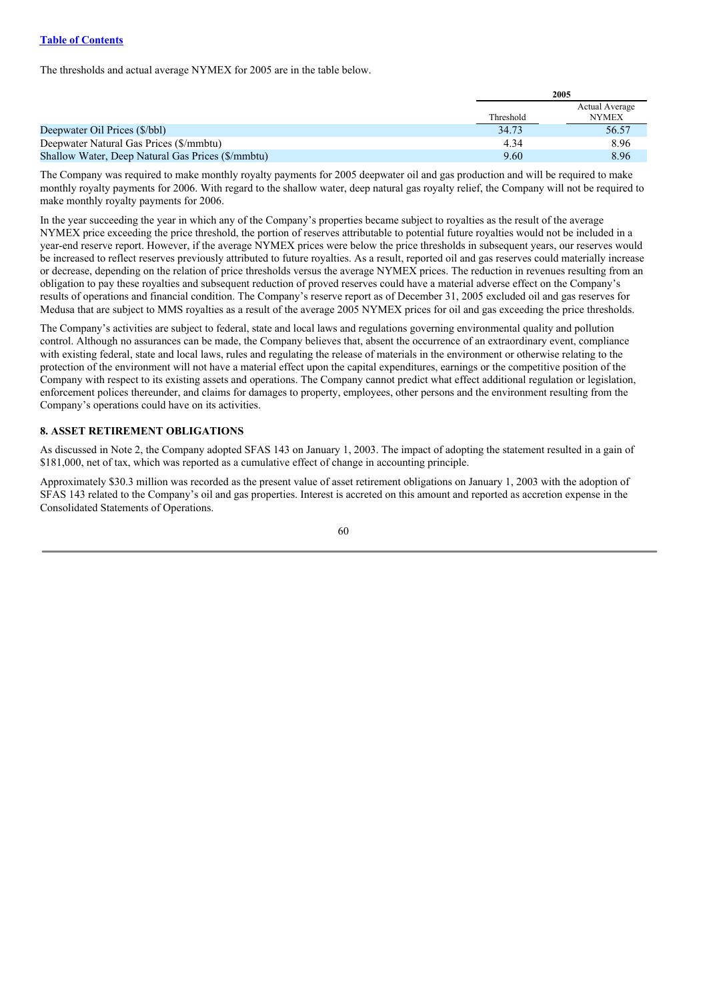The thresholds and actual average NYMEX for 2005 are in the table below.

|                                                   | 2005      |                                |
|---------------------------------------------------|-----------|--------------------------------|
|                                                   | Threshold | Actual Average<br><b>NYMEX</b> |
| Deepwater Oil Prices (\$/bbl)                     | 34.73     | 56.57                          |
| Deepwater Natural Gas Prices (\$/mmbtu)           | 4.34      | 8.96                           |
| Shallow Water, Deep Natural Gas Prices (\$/mmbtu) | 9.60      | 8.96                           |

The Company was required to make monthly royalty payments for 2005 deepwater oil and gas production and will be required to make monthly royalty payments for 2006. With regard to the shallow water, deep natural gas royalty relief, the Company will not be required to make monthly royalty payments for 2006.

In the year succeeding the year in which any of the Company's properties became subject to royalties as the result of the average NYMEX price exceeding the price threshold, the portion of reserves attributable to potential future royalties would not be included in a year-end reserve report. However, if the average NYMEX prices were below the price thresholds in subsequent years, our reserves would be increased to reflect reserves previously attributed to future royalties. As a result, reported oil and gas reserves could materially increase or decrease, depending on the relation of price thresholds versus the average NYMEX prices. The reduction in revenues resulting from an obligation to pay these royalties and subsequent reduction of proved reserves could have a material adverse effect on the Company's results of operations and financial condition. The Company's reserve report as of December 31, 2005 excluded oil and gas reserves for Medusa that are subject to MMS royalties as a result of the average 2005 NYMEX prices for oil and gas exceeding the price thresholds.

The Company's activities are subject to federal, state and local laws and regulations governing environmental quality and pollution control. Although no assurances can be made, the Company believes that, absent the occurrence of an extraordinary event, compliance with existing federal, state and local laws, rules and regulating the release of materials in the environment or otherwise relating to the protection of the environment will not have a material effect upon the capital expenditures, earnings or the competitive position of the Company with respect to its existing assets and operations. The Company cannot predict what effect additional regulation or legislation, enforcement polices thereunder, and claims for damages to property, employees, other persons and the environment resulting from the Company's operations could have on its activities.

### **8. ASSET RETIREMENT OBLIGATIONS**

As discussed in Note 2, the Company adopted SFAS 143 on January 1, 2003. The impact of adopting the statement resulted in a gain of \$181,000, net of tax, which was reported as a cumulative effect of change in accounting principle.

Approximately \$30.3 million was recorded as the present value of asset retirement obligations on January 1, 2003 with the adoption of SFAS 143 related to the Company's oil and gas properties. Interest is accreted on this amount and reported as accretion expense in the Consolidated Statements of Operations.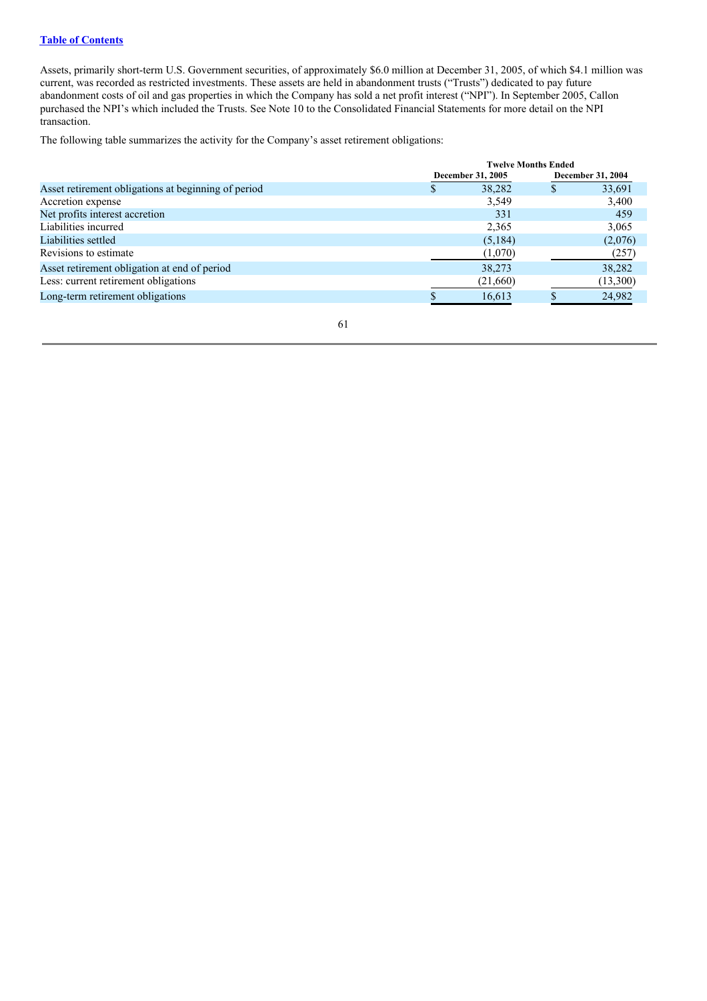Assets, primarily short-term U.S. Government securities, of approximately \$6.0 million at December 31, 2005, of which \$4.1 million was current, was recorded as restricted investments. These assets are held in abandonment trusts ("Trusts") dedicated to pay future abandonment costs of oil and gas properties in which the Company has sold a net profit interest ("NPI"). In September 2005, Callon purchased the NPI's which included the Trusts. See Note 10 to the Consolidated Financial Statements for more detail on the NPI transaction.

The following table summarizes the activity for the Company's asset retirement obligations:

|                                                     | <b>Twelve Months Ended</b> |                   |  |                   |
|-----------------------------------------------------|----------------------------|-------------------|--|-------------------|
|                                                     |                            | December 31, 2005 |  | December 31, 2004 |
| Asset retirement obligations at beginning of period |                            | 38,282            |  | 33,691            |
| Accretion expense                                   |                            | 3,549             |  | 3,400             |
| Net profits interest accretion                      |                            | 331               |  | 459               |
| Liabilities incurred                                |                            | 2,365             |  | 3,065             |
| Liabilities settled                                 |                            | (5, 184)          |  | (2,076)           |
| Revisions to estimate                               |                            | (1,070)           |  | (257)             |
| Asset retirement obligation at end of period        |                            | 38,273            |  | 38,282            |
| Less: current retirement obligations                |                            | (21,660)          |  | (13,300)          |
| Long-term retirement obligations                    |                            | 16,613            |  | 24,982            |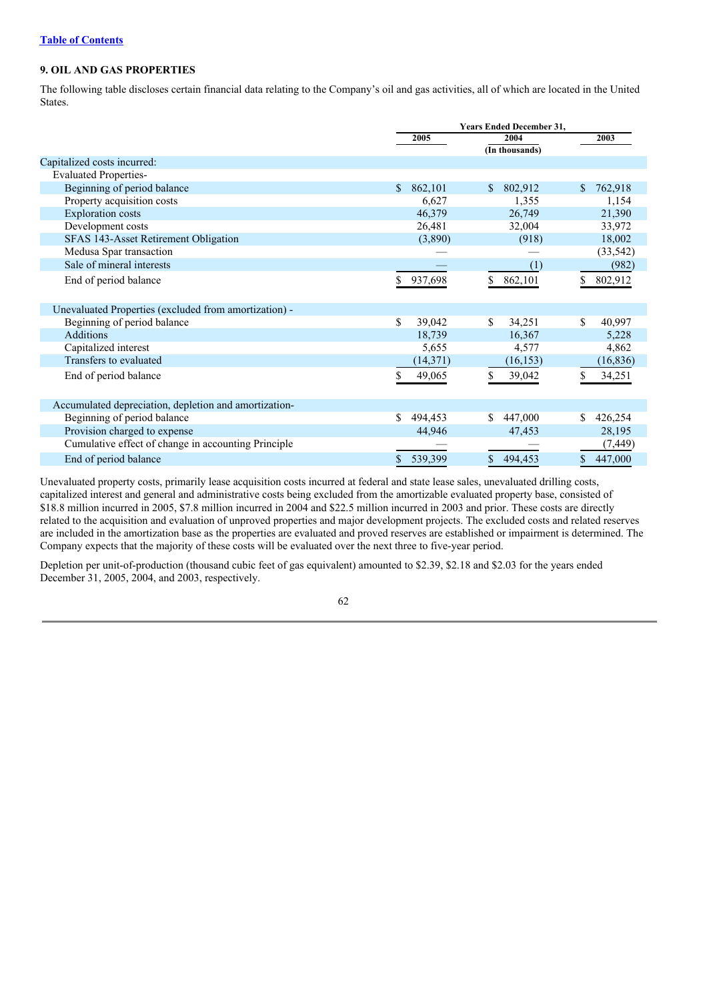# **9. OIL AND GAS PROPERTIES**

The following table discloses certain financial data relating to the Company's oil and gas activities, all of which are located in the United States.

|                                                       | <b>Years Ended December 31,</b> |                |               |  |
|-------------------------------------------------------|---------------------------------|----------------|---------------|--|
|                                                       | 2005                            | 2004           | 2003          |  |
|                                                       |                                 | (In thousands) |               |  |
| Capitalized costs incurred:                           |                                 |                |               |  |
| <b>Evaluated Properties-</b>                          |                                 |                |               |  |
| Beginning of period balance                           | \$<br>862,101                   | \$.<br>802,912 | 762,918<br>S. |  |
| Property acquisition costs                            | 6,627                           | 1.355          | 1,154         |  |
| <b>Exploration costs</b>                              | 46,379                          | 26,749         | 21,390        |  |
| Development costs                                     | 26,481                          | 32,004         | 33,972        |  |
| SFAS 143-Asset Retirement Obligation                  | (3,890)                         | (918)          | 18,002        |  |
| Medusa Spar transaction                               |                                 |                | (33, 542)     |  |
| Sale of mineral interests                             |                                 | (1)            | (982)         |  |
| End of period balance                                 | \$<br>937,698                   | \$<br>862,101  | 802,912<br>\$ |  |
| Unevaluated Properties (excluded from amortization) - |                                 |                |               |  |
| Beginning of period balance                           | \$<br>39,042                    | \$<br>34,251   | \$<br>40,997  |  |
| <b>Additions</b>                                      | 18,739                          | 16.367         | 5,228         |  |
| Capitalized interest                                  | 5,655                           | 4,577          | 4,862         |  |
| Transfers to evaluated                                | (14,371)                        | (16, 153)      | (16, 836)     |  |
| End of period balance                                 | 49,065<br>\$                    | 39,042         | 34,251        |  |
| Accumulated depreciation, depletion and amortization- |                                 |                |               |  |
| Beginning of period balance                           | 494,453<br>\$                   | 447,000<br>S   | \$<br>426,254 |  |
| Provision charged to expense                          | 44,946                          | 47,453         | 28,195        |  |
| Cumulative effect of change in accounting Principle   |                                 |                | (7,449)       |  |
| End of period balance                                 | 539,399<br>\$                   | 494,453<br>\$  | 447,000<br>\$ |  |

Unevaluated property costs, primarily lease acquisition costs incurred at federal and state lease sales, unevaluated drilling costs, capitalized interest and general and administrative costs being excluded from the amortizable evaluated property base, consisted of \$18.8 million incurred in 2005, \$7.8 million incurred in 2004 and \$22.5 million incurred in 2003 and prior. These costs are directly related to the acquisition and evaluation of unproved properties and major development projects. The excluded costs and related reserves are included in the amortization base as the properties are evaluated and proved reserves are established or impairment is determined. The Company expects that the majority of these costs will be evaluated over the next three to five-year period.

Depletion per unit-of-production (thousand cubic feet of gas equivalent) amounted to \$2.39, \$2.18 and \$2.03 for the years ended December 31, 2005, 2004, and 2003, respectively.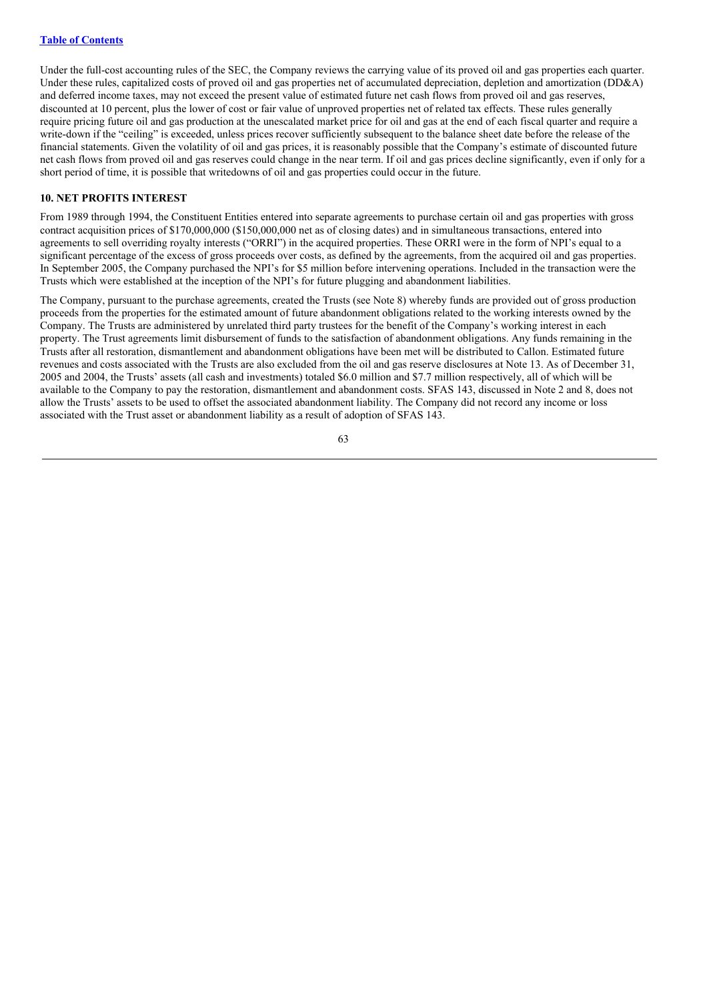Under the full-cost accounting rules of the SEC, the Company reviews the carrying value of its proved oil and gas properties each quarter. Under these rules, capitalized costs of proved oil and gas properties net of accumulated depreciation, depletion and amortization (DD&A) and deferred income taxes, may not exceed the present value of estimated future net cash flows from proved oil and gas reserves, discounted at 10 percent, plus the lower of cost or fair value of unproved properties net of related tax effects. These rules generally require pricing future oil and gas production at the unescalated market price for oil and gas at the end of each fiscal quarter and require a write-down if the "ceiling" is exceeded, unless prices recover sufficiently subsequent to the balance sheet date before the release of the financial statements. Given the volatility of oil and gas prices, it is reasonably possible that the Company's estimate of discounted future net cash flows from proved oil and gas reserves could change in the near term. If oil and gas prices decline significantly, even if only for a short period of time, it is possible that writedowns of oil and gas properties could occur in the future.

### **10. NET PROFITS INTEREST**

From 1989 through 1994, the Constituent Entities entered into separate agreements to purchase certain oil and gas properties with gross contract acquisition prices of \$170,000,000 (\$150,000,000 net as of closing dates) and in simultaneous transactions, entered into agreements to sell overriding royalty interests ("ORRI") in the acquired properties. These ORRI were in the form of NPI's equal to a significant percentage of the excess of gross proceeds over costs, as defined by the agreements, from the acquired oil and gas properties. In September 2005, the Company purchased the NPI's for \$5 million before intervening operations. Included in the transaction were the Trusts which were established at the inception of the NPI's for future plugging and abandonment liabilities.

The Company, pursuant to the purchase agreements, created the Trusts (see Note 8) whereby funds are provided out of gross production proceeds from the properties for the estimated amount of future abandonment obligations related to the working interests owned by the Company. The Trusts are administered by unrelated third party trustees for the benefit of the Company's working interest in each property. The Trust agreements limit disbursement of funds to the satisfaction of abandonment obligations. Any funds remaining in the Trusts after all restoration, dismantlement and abandonment obligations have been met will be distributed to Callon. Estimated future revenues and costs associated with the Trusts are also excluded from the oil and gas reserve disclosures at Note 13. As of December 31, 2005 and 2004, the Trusts' assets (all cash and investments) totaled \$6.0 million and \$7.7 million respectively, all of which will be available to the Company to pay the restoration, dismantlement and abandonment costs. SFAS 143, discussed in Note 2 and 8, does not allow the Trusts' assets to be used to offset the associated abandonment liability. The Company did not record any income or loss associated with the Trust asset or abandonment liability as a result of adoption of SFAS 143.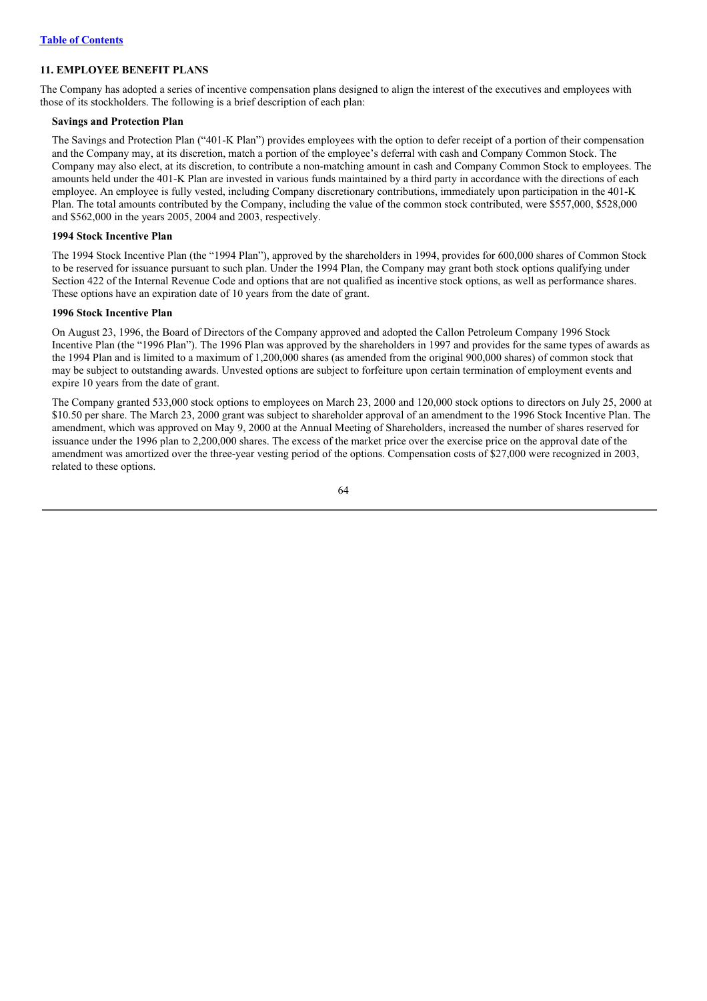# **11. EMPLOYEE BENEFIT PLANS**

The Company has adopted a series of incentive compensation plans designed to align the interest of the executives and employees with those of its stockholders. The following is a brief description of each plan:

### **Savings and Protection Plan**

The Savings and Protection Plan ("401-K Plan") provides employees with the option to defer receipt of a portion of their compensation and the Company may, at its discretion, match a portion of the employee's deferral with cash and Company Common Stock. The Company may also elect, at its discretion, to contribute a non-matching amount in cash and Company Common Stock to employees. The amounts held under the 401-K Plan are invested in various funds maintained by a third party in accordance with the directions of each employee. An employee is fully vested, including Company discretionary contributions, immediately upon participation in the 401-K Plan. The total amounts contributed by the Company, including the value of the common stock contributed, were \$557,000, \$528,000 and \$562,000 in the years 2005, 2004 and 2003, respectively.

### **1994 Stock Incentive Plan**

The 1994 Stock Incentive Plan (the "1994 Plan"), approved by the shareholders in 1994, provides for 600,000 shares of Common Stock to be reserved for issuance pursuant to such plan. Under the 1994 Plan, the Company may grant both stock options qualifying under Section 422 of the Internal Revenue Code and options that are not qualified as incentive stock options, as well as performance shares. These options have an expiration date of 10 years from the date of grant.

### **1996 Stock Incentive Plan**

On August 23, 1996, the Board of Directors of the Company approved and adopted the Callon Petroleum Company 1996 Stock Incentive Plan (the "1996 Plan"). The 1996 Plan was approved by the shareholders in 1997 and provides for the same types of awards as the 1994 Plan and is limited to a maximum of 1,200,000 shares (as amended from the original 900,000 shares) of common stock that may be subject to outstanding awards. Unvested options are subject to forfeiture upon certain termination of employment events and expire 10 years from the date of grant.

The Company granted 533,000 stock options to employees on March 23, 2000 and 120,000 stock options to directors on July 25, 2000 at \$10.50 per share. The March 23, 2000 grant was subject to shareholder approval of an amendment to the 1996 Stock Incentive Plan. The amendment, which was approved on May 9, 2000 at the Annual Meeting of Shareholders, increased the number of shares reserved for issuance under the 1996 plan to 2,200,000 shares. The excess of the market price over the exercise price on the approval date of the amendment was amortized over the three-year vesting period of the options. Compensation costs of \$27,000 were recognized in 2003, related to these options.

64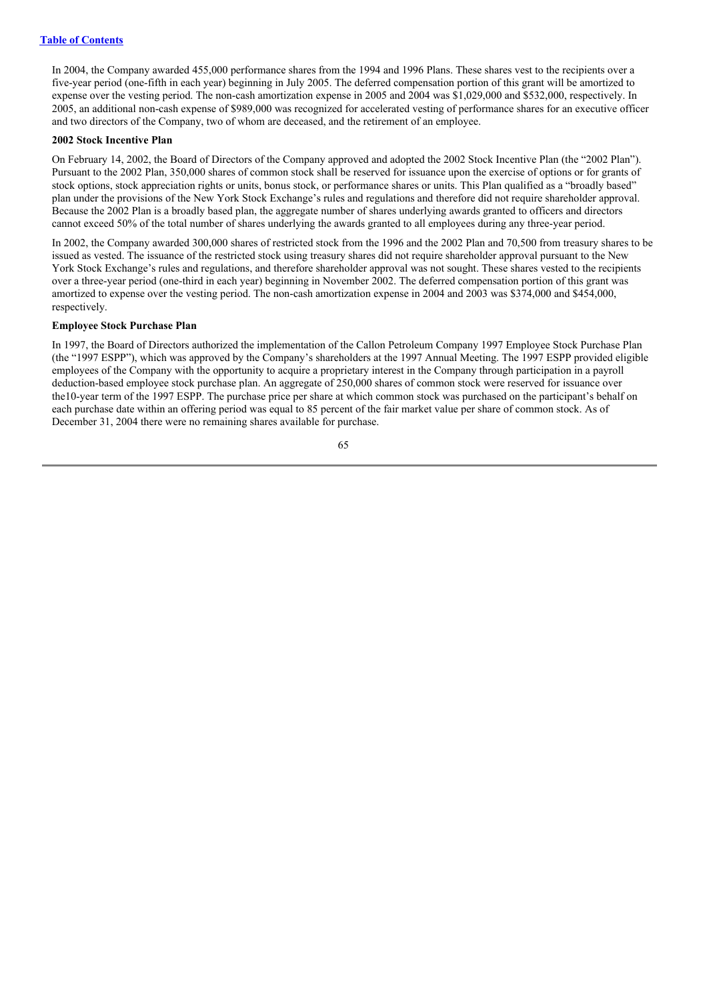In 2004, the Company awarded 455,000 performance shares from the 1994 and 1996 Plans. These shares vest to the recipients over a five-year period (one-fifth in each year) beginning in July 2005. The deferred compensation portion of this grant will be amortized to expense over the vesting period. The non-cash amortization expense in 2005 and 2004 was \$1,029,000 and \$532,000, respectively. In 2005, an additional non-cash expense of \$989,000 was recognized for accelerated vesting of performance shares for an executive officer and two directors of the Company, two of whom are deceased, and the retirement of an employee.

#### **2002 Stock Incentive Plan**

On February 14, 2002, the Board of Directors of the Company approved and adopted the 2002 Stock Incentive Plan (the "2002 Plan"). Pursuant to the 2002 Plan, 350,000 shares of common stock shall be reserved for issuance upon the exercise of options or for grants of stock options, stock appreciation rights or units, bonus stock, or performance shares or units. This Plan qualified as a "broadly based" plan under the provisions of the New York Stock Exchange's rules and regulations and therefore did not require shareholder approval. Because the 2002 Plan is a broadly based plan, the aggregate number of shares underlying awards granted to officers and directors cannot exceed 50% of the total number of shares underlying the awards granted to all employees during any three-year period.

In 2002, the Company awarded 300,000 shares of restricted stock from the 1996 and the 2002 Plan and 70,500 from treasury shares to be issued as vested. The issuance of the restricted stock using treasury shares did not require shareholder approval pursuant to the New York Stock Exchange's rules and regulations, and therefore shareholder approval was not sought. These shares vested to the recipients over a three-year period (one-third in each year) beginning in November 2002. The deferred compensation portion of this grant was amortized to expense over the vesting period. The non-cash amortization expense in 2004 and 2003 was \$374,000 and \$454,000, respectively.

#### **Employee Stock Purchase Plan**

In 1997, the Board of Directors authorized the implementation of the Callon Petroleum Company 1997 Employee Stock Purchase Plan (the "1997 ESPP"), which was approved by the Company's shareholders at the 1997 Annual Meeting. The 1997 ESPP provided eligible employees of the Company with the opportunity to acquire a proprietary interest in the Company through participation in a payroll deduction-based employee stock purchase plan. An aggregate of 250,000 shares of common stock were reserved for issuance over the10-year term of the 1997 ESPP. The purchase price per share at which common stock was purchased on the participant's behalf on each purchase date within an offering period was equal to 85 percent of the fair market value per share of common stock. As of December 31, 2004 there were no remaining shares available for purchase.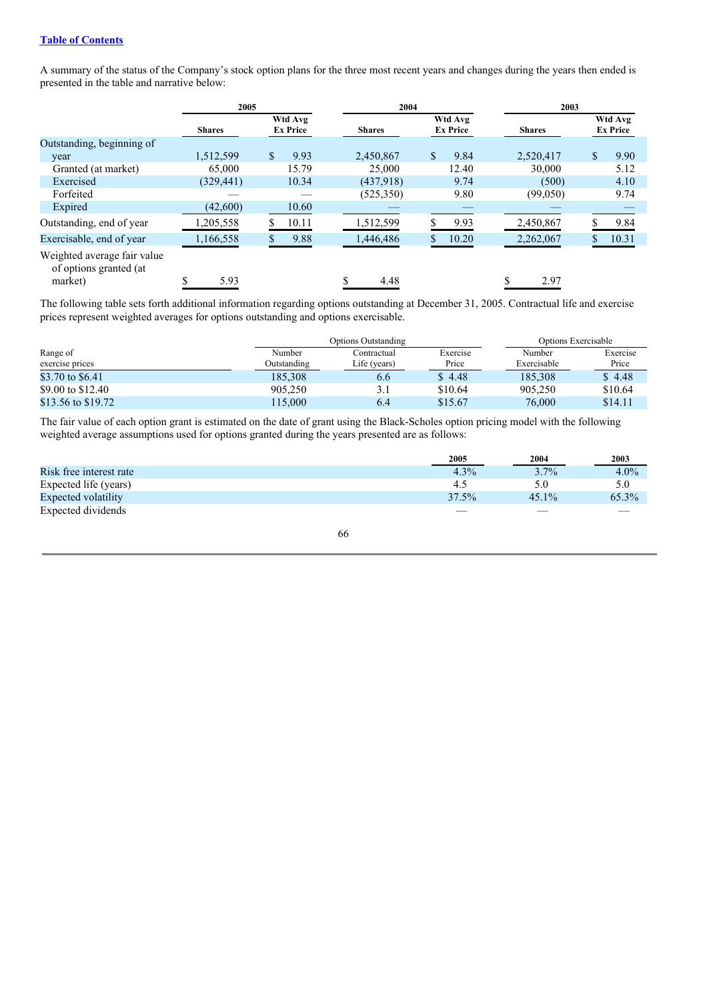A summary of the status of the Company's stock option plans for the three most recent years and changes during the years then ended is presented in the table and narrative below:

|                                                                  | 2005          |                            | 2004          |                            | 2003          |                            |
|------------------------------------------------------------------|---------------|----------------------------|---------------|----------------------------|---------------|----------------------------|
|                                                                  | <b>Shares</b> | Wtd Avg<br><b>Ex Price</b> | <b>Shares</b> | Wtd Avg<br><b>Ex Price</b> | <b>Shares</b> | Wtd Avg<br><b>Ex Price</b> |
| Outstanding, beginning of                                        |               |                            |               |                            |               |                            |
| year                                                             | 1,512,599     | \$<br>9.93                 | 2,450,867     | 9.84                       | 2,520,417     | 9.90<br>S                  |
| Granted (at market)                                              | 65,000        | 15.79                      | 25,000        | 12.40                      | 30,000        | 5.12                       |
| Exercised                                                        | (329, 441)    | 10.34                      | (437,918)     | 9.74                       | (500)         | 4.10                       |
| Forfeited                                                        |               |                            | (525, 350)    | 9.80                       | (99,050)      | 9.74                       |
| Expired                                                          | (42,600)      | 10.60                      |               |                            |               |                            |
| Outstanding, end of year                                         | 1,205,558     | 10.11                      | 1,512,599     | 9.93                       | 2,450,867     | 9.84                       |
| Exercisable, end of year                                         | 1,166,558     | 9.88                       | 1,446,486     | 10.20                      | 2,262,067     | 10.31                      |
| Weighted average fair value<br>of options granted (at<br>market) | 5.93          |                            | 4.48          |                            | 2.97          |                            |
|                                                                  |               |                            |               |                            |               |                            |

The following table sets forth additional information regarding options outstanding at December 31, 2005. Contractual life and exercise prices represent weighted averages for options outstanding and options exercisable.

|                    |             | <b>Options Outstanding</b> |          | Options Exercisable |          |
|--------------------|-------------|----------------------------|----------|---------------------|----------|
| Range of           | Number      | Contractual                | Exercise | Number              | Exercise |
| exercise prices    | Outstanding | Life (years)               | Price    | Exercisable         | Price    |
| \$3.70 to \$6.41   | 185.308     | 6.6                        | \$4.48   | 185,308             | \$4.48   |
| \$9.00 to \$12.40  | 905.250     | 3.1                        | \$10.64  | 905.250             | \$10.64  |
| \$13.56 to \$19.72 | 115.000     | 6.4                        | \$15.67  | 76,000              | \$14.11  |

The fair value of each option grant is estimated on the date of grant using the Black-Scholes option pricing model with the following weighted average assumptions used for options granted during the years presented are as follows:

|                         | 2005    | 2004     | 2003    |
|-------------------------|---------|----------|---------|
| Risk free interest rate | $4.3\%$ | $3.7\%$  | $4.0\%$ |
| Expected life (years)   | 4.5     | 5.0      | 5.0     |
| Expected volatility     | 37.5%   | $45.1\%$ | 65.3%   |
| Expected dividends      |         |          |         |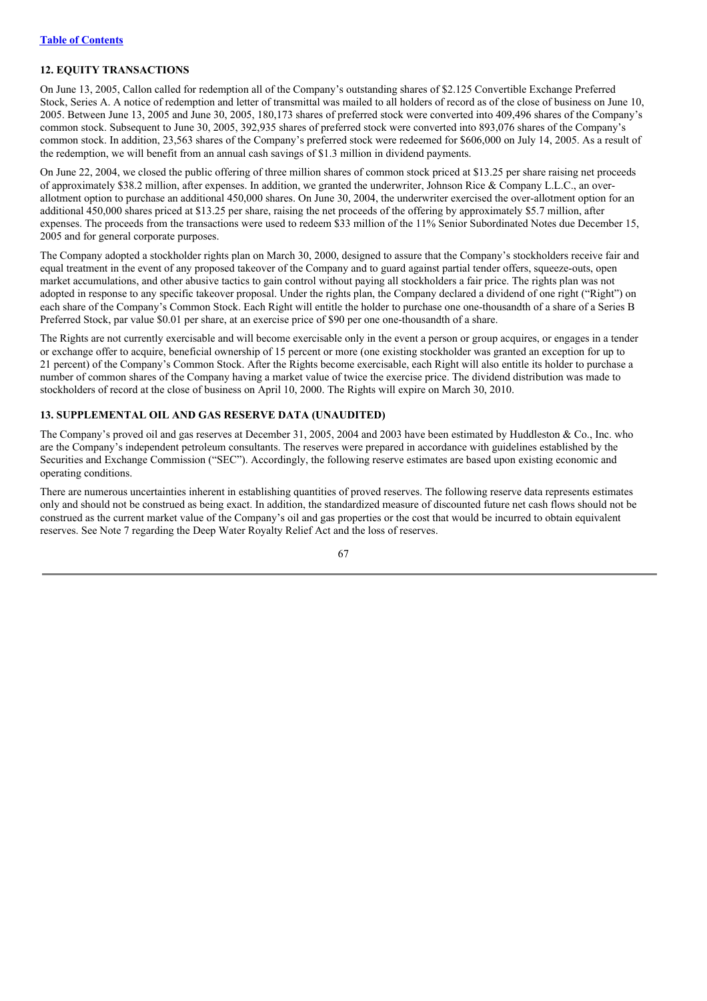# **12. EQUITY TRANSACTIONS**

On June 13, 2005, Callon called for redemption all of the Company's outstanding shares of \$2.125 Convertible Exchange Preferred Stock, Series A. A notice of redemption and letter of transmittal was mailed to all holders of record as of the close of business on June 10, 2005. Between June 13, 2005 and June 30, 2005, 180,173 shares of preferred stock were converted into 409,496 shares of the Company's common stock. Subsequent to June 30, 2005, 392,935 shares of preferred stock were converted into 893,076 shares of the Company's common stock. In addition, 23,563 shares of the Company's preferred stock were redeemed for \$606,000 on July 14, 2005. As a result of the redemption, we will benefit from an annual cash savings of \$1.3 million in dividend payments.

On June 22, 2004, we closed the public offering of three million shares of common stock priced at \$13.25 per share raising net proceeds of approximately \$38.2 million, after expenses. In addition, we granted the underwriter, Johnson Rice & Company L.L.C., an overallotment option to purchase an additional 450,000 shares. On June 30, 2004, the underwriter exercised the over-allotment option for an additional 450,000 shares priced at \$13.25 per share, raising the net proceeds of the offering by approximately \$5.7 million, after expenses. The proceeds from the transactions were used to redeem \$33 million of the 11% Senior Subordinated Notes due December 15, 2005 and for general corporate purposes.

The Company adopted a stockholder rights plan on March 30, 2000, designed to assure that the Company's stockholders receive fair and equal treatment in the event of any proposed takeover of the Company and to guard against partial tender offers, squeeze-outs, open market accumulations, and other abusive tactics to gain control without paying all stockholders a fair price. The rights plan was not adopted in response to any specific takeover proposal. Under the rights plan, the Company declared a dividend of one right ("Right") on each share of the Company's Common Stock. Each Right will entitle the holder to purchase one one-thousandth of a share of a Series B Preferred Stock, par value \$0.01 per share, at an exercise price of \$90 per one one-thousandth of a share.

The Rights are not currently exercisable and will become exercisable only in the event a person or group acquires, or engages in a tender or exchange offer to acquire, beneficial ownership of 15 percent or more (one existing stockholder was granted an exception for up to 21 percent) of the Company's Common Stock. After the Rights become exercisable, each Right will also entitle its holder to purchase a number of common shares of the Company having a market value of twice the exercise price. The dividend distribution was made to stockholders of record at the close of business on April 10, 2000. The Rights will expire on March 30, 2010.

# **13. SUPPLEMENTAL OIL AND GAS RESERVE DATA (UNAUDITED)**

The Company's proved oil and gas reserves at December 31, 2005, 2004 and 2003 have been estimated by Huddleston & Co., Inc. who are the Company's independent petroleum consultants. The reserves were prepared in accordance with guidelines established by the Securities and Exchange Commission ("SEC"). Accordingly, the following reserve estimates are based upon existing economic and operating conditions.

There are numerous uncertainties inherent in establishing quantities of proved reserves. The following reserve data represents estimates only and should not be construed as being exact. In addition, the standardized measure of discounted future net cash flows should not be construed as the current market value of the Company's oil and gas properties or the cost that would be incurred to obtain equivalent reserves. See Note 7 regarding the Deep Water Royalty Relief Act and the loss of reserves.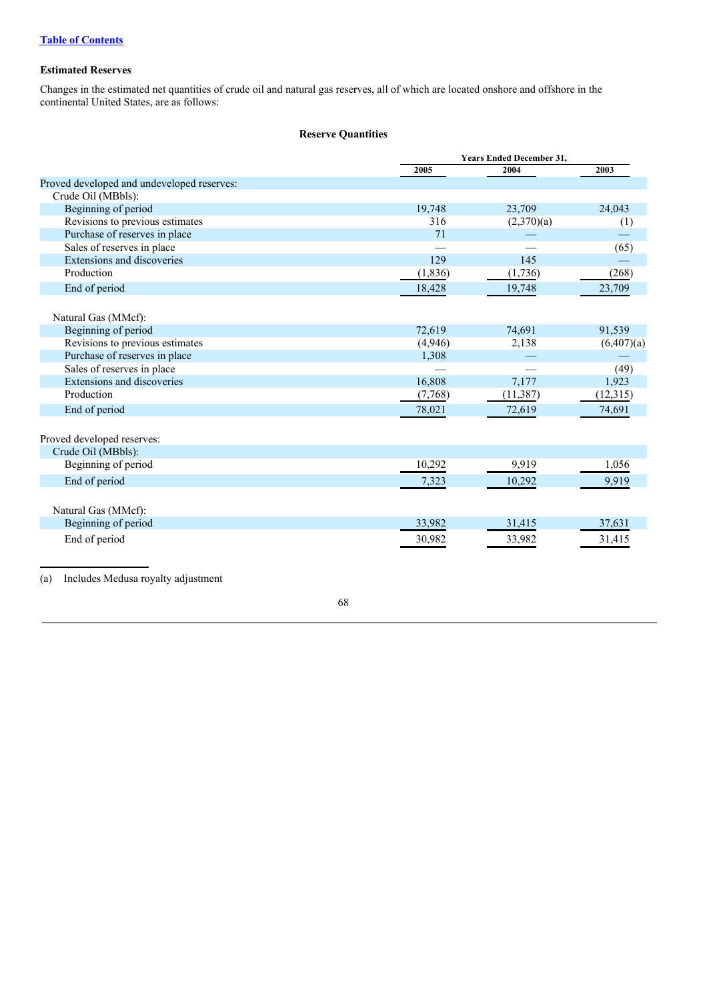# **Estimated Reserves**

Changes in the estimated net quantities of crude oil and natural gas reserves, all of which are located onshore and offshore in the continental United States, are as follows:

|                                            | <b>Reserve Quantities</b> |                                 |            |  |
|--------------------------------------------|---------------------------|---------------------------------|------------|--|
|                                            |                           | <b>Years Ended December 31,</b> |            |  |
|                                            | 2005                      | 2004                            | 2003       |  |
| Proved developed and undeveloped reserves: |                           |                                 |            |  |
| Crude Oil (MBbls):                         |                           |                                 |            |  |
| Beginning of period                        | 19,748                    | 23,709                          | 24,043     |  |
| Revisions to previous estimates            | 316                       | (2,370)(a)                      | (1)        |  |
| Purchase of reserves in place              | 71                        |                                 |            |  |
| Sales of reserves in place                 |                           |                                 | (65)       |  |
| Extensions and discoveries                 | 129                       | 145                             |            |  |
| Production                                 | (1, 836)                  | (1,736)                         | (268)      |  |
| End of period                              | 18,428                    | 19,748                          | 23,709     |  |
|                                            |                           |                                 |            |  |
| Natural Gas (MMcf):                        |                           |                                 |            |  |
| Beginning of period                        | 72,619                    | 74,691                          | 91,539     |  |
| Revisions to previous estimates            | (4,946)                   | 2,138                           | (6,407)(a) |  |
| Purchase of reserves in place              | 1,308                     |                                 |            |  |
| Sales of reserves in place                 |                           |                                 | (49)       |  |
| Extensions and discoveries                 | 16,808                    | 7,177                           | 1,923      |  |
| Production                                 | (7,768)                   | (11, 387)                       | (12,315)   |  |
| End of period                              | 78,021                    | 72,619                          | 74,691     |  |
|                                            |                           |                                 |            |  |
| Proved developed reserves:                 |                           |                                 |            |  |
| Crude Oil (MBbls):                         |                           |                                 |            |  |
| Beginning of period                        | 10,292                    | 9,919                           | 1,056      |  |
| End of period                              | 7,323                     | 10,292                          | 9,919      |  |
| Natural Gas (MMcf):                        |                           |                                 |            |  |
| Beginning of period                        | 33,982                    | 31,415                          | 37,631     |  |
| End of period                              | 30,982                    | 33,982                          | 31,415     |  |
|                                            |                           |                                 |            |  |
|                                            |                           |                                 |            |  |

(a) Includes Medusa royalty adjustment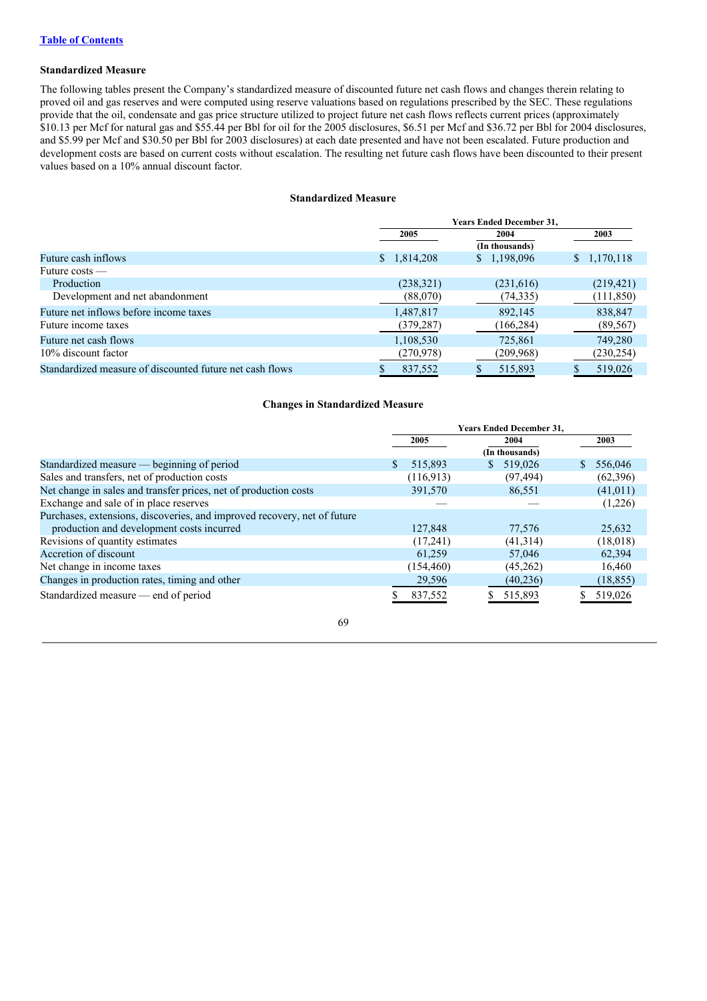# **Standardized Measure**

The following tables present the Company's standardized measure of discounted future net cash flows and changes therein relating to proved oil and gas reserves and were computed using reserve valuations based on regulations prescribed by the SEC. These regulations provide that the oil, condensate and gas price structure utilized to project future net cash flows reflects current prices (approximately \$10.13 per Mcf for natural gas and \$55.44 per Bbl for oil for the 2005 disclosures, \$6.51 per Mcf and \$36.72 per Bbl for 2004 disclosures, and \$5.99 per Mcf and \$30.50 per Bbl for 2003 disclosures) at each date presented and have not been escalated. Future production and development costs are based on current costs without escalation. The resulting net future cash flows have been discounted to their present values based on a 10% annual discount factor.

#### **Standardized Measure**

|                                                          | <b>Years Ended December 31.</b> |                |                 |  |
|----------------------------------------------------------|---------------------------------|----------------|-----------------|--|
|                                                          | 2005<br>2004                    |                | 2003            |  |
|                                                          |                                 | (In thousands) |                 |  |
| Future cash inflows                                      | 1,814,208<br>S.                 | \$1,198,096    | 1,170,118<br>S. |  |
| Future costs $-$                                         |                                 |                |                 |  |
| Production                                               | (238, 321)                      | (231,616)      | (219, 421)      |  |
| Development and net abandonment                          | (88,070)                        | (74, 335)      | (111, 850)      |  |
| Future net inflows before income taxes                   | 1,487,817                       | 892,145        | 838,847         |  |
| Future income taxes                                      | (379,287)                       | (166, 284)     | (89, 567)       |  |
| Future net cash flows                                    | 1,108,530                       | 725,861        | 749.280         |  |
| 10% discount factor                                      | (270, 978)                      | (209, 968)     | (230, 254)      |  |
| Standardized measure of discounted future net cash flows | 837,552                         | 515,893        | 519,026         |  |

#### **Changes in Standardized Measure**

|                                                                          | <b>Years Ended December 31,</b> |                |           |  |
|--------------------------------------------------------------------------|---------------------------------|----------------|-----------|--|
|                                                                          | 2005<br>2004                    |                | 2003      |  |
|                                                                          |                                 | (In thousands) |           |  |
| Standardized measure — beginning of period                               | 515.893                         | \$519.026      | 556,046   |  |
| Sales and transfers, net of production costs                             | (116,913)                       | (97, 494)      | (62,396)  |  |
| Net change in sales and transfer prices, net of production costs         | 391,570                         | 86,551         | (41, 011) |  |
| Exchange and sale of in place reserves                                   |                                 |                | (1,226)   |  |
| Purchases, extensions, discoveries, and improved recovery, net of future |                                 |                |           |  |
| production and development costs incurred                                | 127,848                         | 77.576         | 25,632    |  |
| Revisions of quantity estimates                                          | (17,241)                        | (41,314)       | (18,018)  |  |
| Accretion of discount                                                    | 61.259                          | 57,046         | 62,394    |  |
| Net change in income taxes                                               | (154, 460)                      | (45,262)       | 16,460    |  |
| Changes in production rates, timing and other                            | 29,596                          | (40, 236)      | (18, 855) |  |
| Standardized measure — end of period                                     | 837,552                         | 515,893        | 519,026   |  |

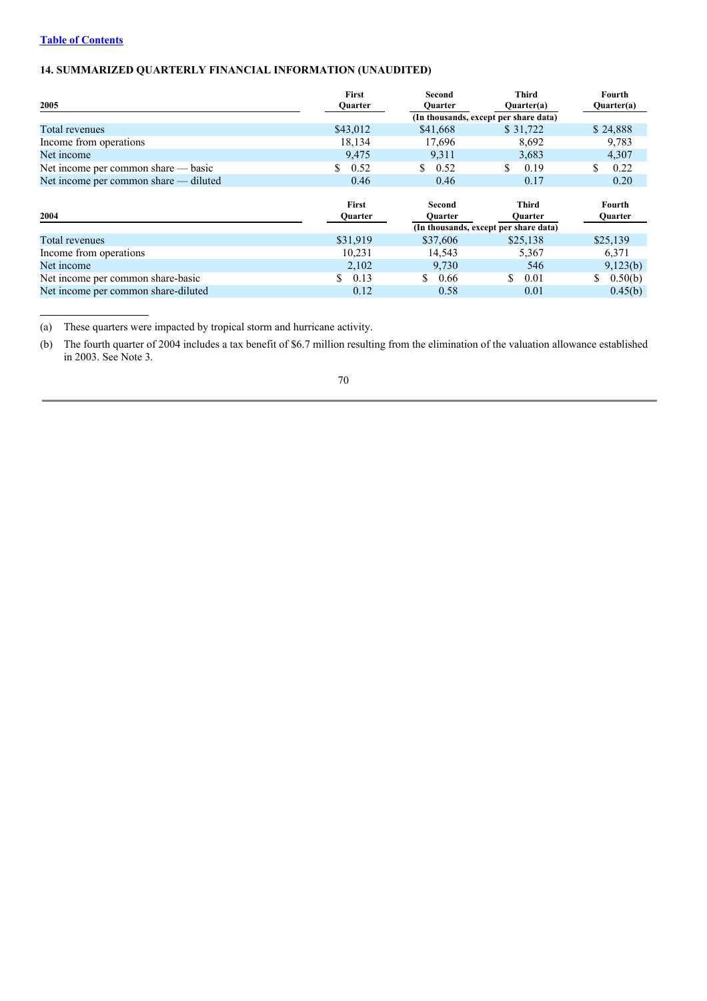# **14. SUMMARIZED QUARTERLY FINANCIAL INFORMATION (UNAUDITED)**

| 2005                                  | First<br>Quarter        | Second<br><b>Ouarter</b>              | Third<br>Quarter(a)     | Fourth<br>Quarter(a) |  |
|---------------------------------------|-------------------------|---------------------------------------|-------------------------|----------------------|--|
|                                       |                         | (In thousands, except per share data) |                         |                      |  |
| Total revenues                        | \$43,012                | \$41,668                              | \$ 31,722               | \$24,888             |  |
| Income from operations                | 18,134                  | 17,696                                | 8,692                   | 9,783                |  |
| Net income                            | 9,475                   | 9,311                                 | 3,683                   | 4,307                |  |
| Net income per common share — basic   | 0.52<br>S.              | \$<br>0.52                            | S.<br>0.19              | \$<br>0.22           |  |
| Net income per common share — diluted | 0.46                    | 0.46                                  | 0.17                    | 0.20                 |  |
| 2004                                  | First<br><b>Ouarter</b> | Second<br><b>Ouarter</b>              | Third<br><b>Ouarter</b> | Fourth<br>Quarter    |  |
|                                       |                         | (In thousands, except per share data) |                         |                      |  |
| Total revenues                        | \$31,919                | \$37,606                              | \$25,138                | \$25,139             |  |
| Income from operations                | 10,231                  | 14,543                                | 5,367                   | 6,371                |  |
| Net income                            | 2,102                   | 9,730                                 | 546                     | 9,123(b)             |  |
| Net income per common share-basic     | 0.13<br>S.              | S.<br>0.66                            | 0.01<br>S.              | 0.50(b)<br>S.        |  |
| Net income per common share-diluted   | 0.12                    | 0.58                                  | 0.01                    | 0.45(b)              |  |

<sup>(</sup>a) These quarters were impacted by tropical storm and hurricane activity.

<sup>(</sup>b) The fourth quarter of 2004 includes a tax benefit of \$6.7 million resulting from the elimination of the valuation allowance established in 2003. See Note 3.

<sup>70</sup>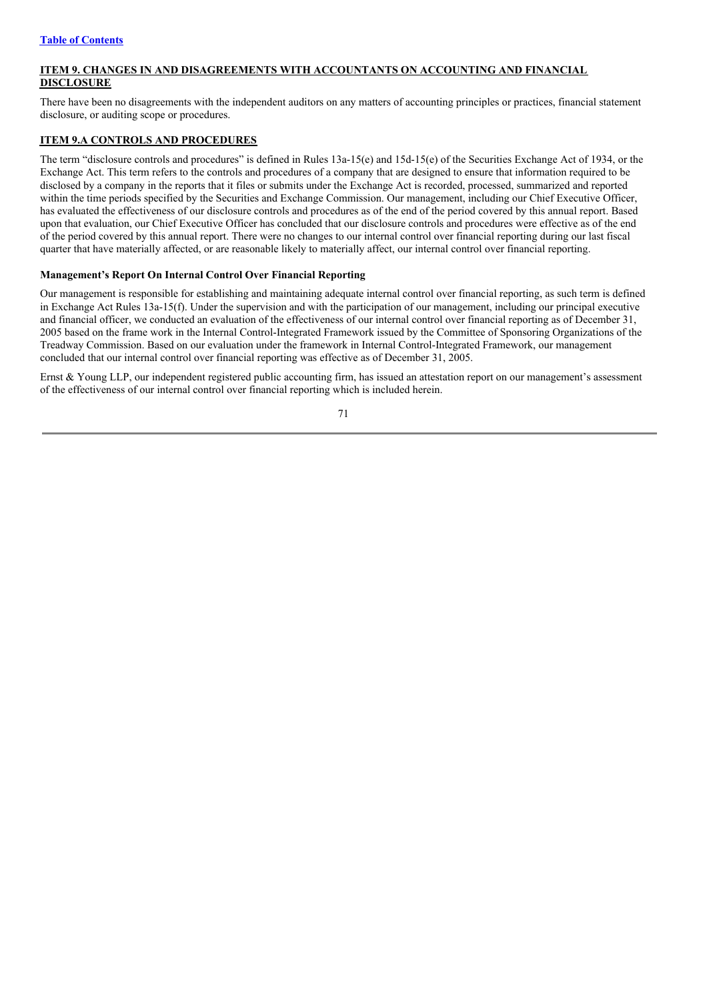# **ITEM 9. CHANGES IN AND DISAGREEMENTS WITH ACCOUNTANTS ON ACCOUNTING AND FINANCIAL DISCLOSURE**

There have been no disagreements with the independent auditors on any matters of accounting principles or practices, financial statement disclosure, or auditing scope or procedures.

### **ITEM 9.A CONTROLS AND PROCEDURES**

The term "disclosure controls and procedures" is defined in Rules 13a-15(e) and 15d-15(e) of the Securities Exchange Act of 1934, or the Exchange Act. This term refers to the controls and procedures of a company that are designed to ensure that information required to be disclosed by a company in the reports that it files or submits under the Exchange Act is recorded, processed, summarized and reported within the time periods specified by the Securities and Exchange Commission. Our management, including our Chief Executive Officer, has evaluated the effectiveness of our disclosure controls and procedures as of the end of the period covered by this annual report. Based upon that evaluation, our Chief Executive Officer has concluded that our disclosure controls and procedures were effective as of the end of the period covered by this annual report. There were no changes to our internal control over financial reporting during our last fiscal quarter that have materially affected, or are reasonable likely to materially affect, our internal control over financial reporting.

#### **Management's Report On Internal Control Over Financial Reporting**

Our management is responsible for establishing and maintaining adequate internal control over financial reporting, as such term is defined in Exchange Act Rules 13a-15(f). Under the supervision and with the participation of our management, including our principal executive and financial officer, we conducted an evaluation of the effectiveness of our internal control over financial reporting as of December 31, 2005 based on the frame work in the Internal Control-Integrated Framework issued by the Committee of Sponsoring Organizations of the Treadway Commission. Based on our evaluation under the framework in Internal Control-Integrated Framework, our management concluded that our internal control over financial reporting was effective as of December 31, 2005.

Ernst & Young LLP, our independent registered public accounting firm, has issued an attestation report on our management's assessment of the effectiveness of our internal control over financial reporting which is included herein.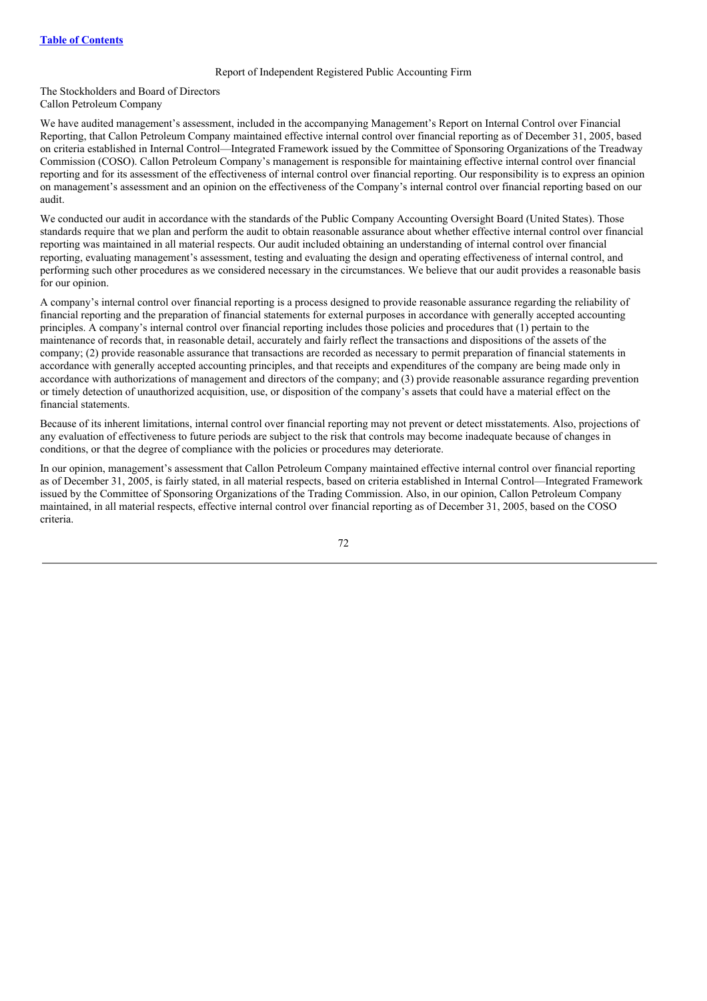#### Report of Independent Registered Public Accounting Firm

The Stockholders and Board of Directors Callon Petroleum Company

We have audited management's assessment, included in the accompanying Management's Report on Internal Control over Financial Reporting, that Callon Petroleum Company maintained effective internal control over financial reporting as of December 31, 2005, based on criteria established in Internal Control—Integrated Framework issued by the Committee of Sponsoring Organizations of the Treadway Commission (COSO). Callon Petroleum Company's management is responsible for maintaining effective internal control over financial reporting and for its assessment of the effectiveness of internal control over financial reporting. Our responsibility is to express an opinion on management's assessment and an opinion on the effectiveness of the Company's internal control over financial reporting based on our audit.

We conducted our audit in accordance with the standards of the Public Company Accounting Oversight Board (United States). Those standards require that we plan and perform the audit to obtain reasonable assurance about whether effective internal control over financial reporting was maintained in all material respects. Our audit included obtaining an understanding of internal control over financial reporting, evaluating management's assessment, testing and evaluating the design and operating effectiveness of internal control, and performing such other procedures as we considered necessary in the circumstances. We believe that our audit provides a reasonable basis for our opinion.

A company's internal control over financial reporting is a process designed to provide reasonable assurance regarding the reliability of financial reporting and the preparation of financial statements for external purposes in accordance with generally accepted accounting principles. A company's internal control over financial reporting includes those policies and procedures that (1) pertain to the maintenance of records that, in reasonable detail, accurately and fairly reflect the transactions and dispositions of the assets of the company; (2) provide reasonable assurance that transactions are recorded as necessary to permit preparation of financial statements in accordance with generally accepted accounting principles, and that receipts and expenditures of the company are being made only in accordance with authorizations of management and directors of the company; and (3) provide reasonable assurance regarding prevention or timely detection of unauthorized acquisition, use, or disposition of the company's assets that could have a material effect on the financial statements.

Because of its inherent limitations, internal control over financial reporting may not prevent or detect misstatements. Also, projections of any evaluation of effectiveness to future periods are subject to the risk that controls may become inadequate because of changes in conditions, or that the degree of compliance with the policies or procedures may deteriorate.

In our opinion, management's assessment that Callon Petroleum Company maintained effective internal control over financial reporting as of December 31, 2005, is fairly stated, in all material respects, based on criteria established in Internal Control—Integrated Framework issued by the Committee of Sponsoring Organizations of the Trading Commission. Also, in our opinion, Callon Petroleum Company maintained, in all material respects, effective internal control over financial reporting as of December 31, 2005, based on the COSO criteria.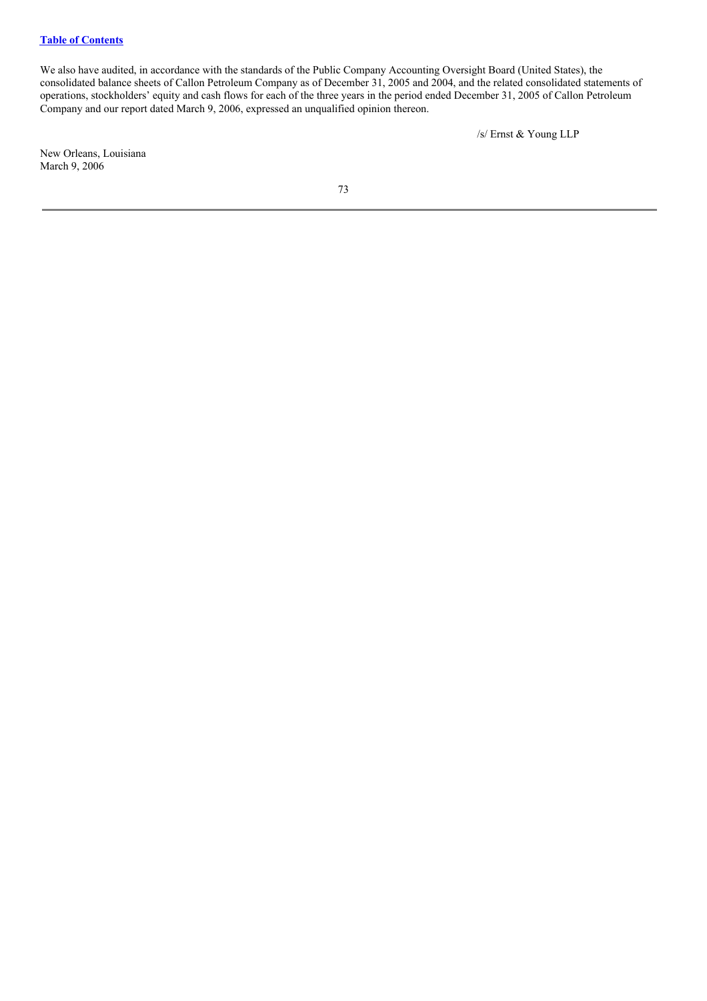We also have audited, in accordance with the standards of the Public Company Accounting Oversight Board (United States), the consolidated balance sheets of Callon Petroleum Company as of December 31, 2005 and 2004, and the related consolidated statements of operations, stockholders' equity and cash flows for each of the three years in the period ended December 31, 2005 of Callon Petroleum Company and our report dated March 9, 2006, expressed an unqualified opinion thereon.

/s/ Ernst & Young LLP

New Orleans, Louisiana March 9, 2006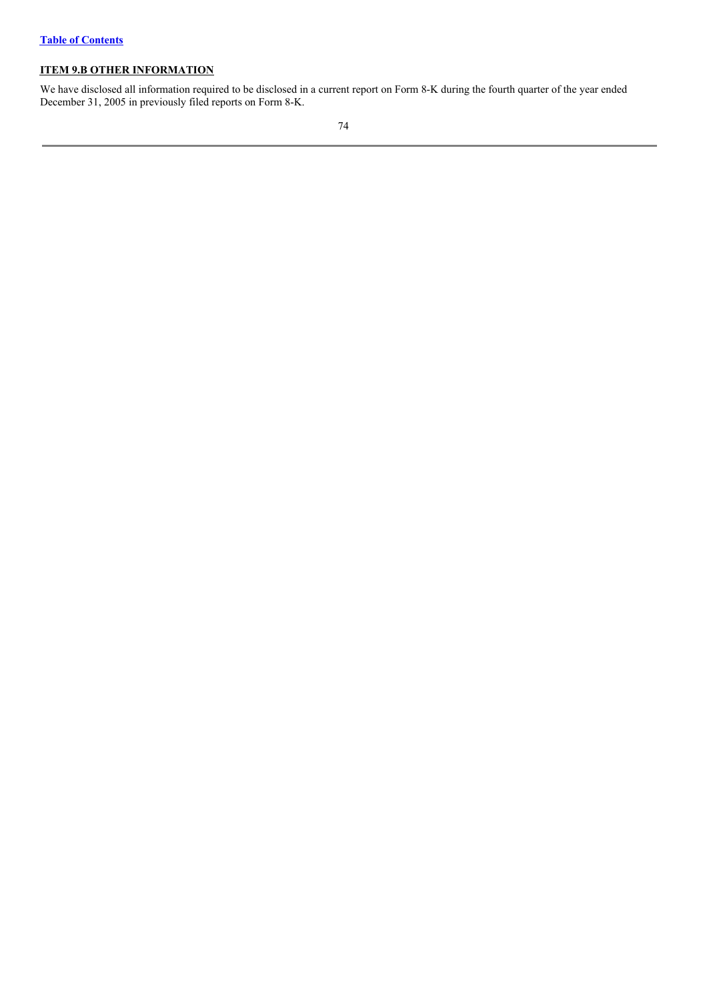# **ITEM 9.B OTHER INFORMATION**

We have disclosed all information required to be disclosed in a current report on Form 8-K during the fourth quarter of the year ended December 31, 2005 in previously filed reports on Form 8-K.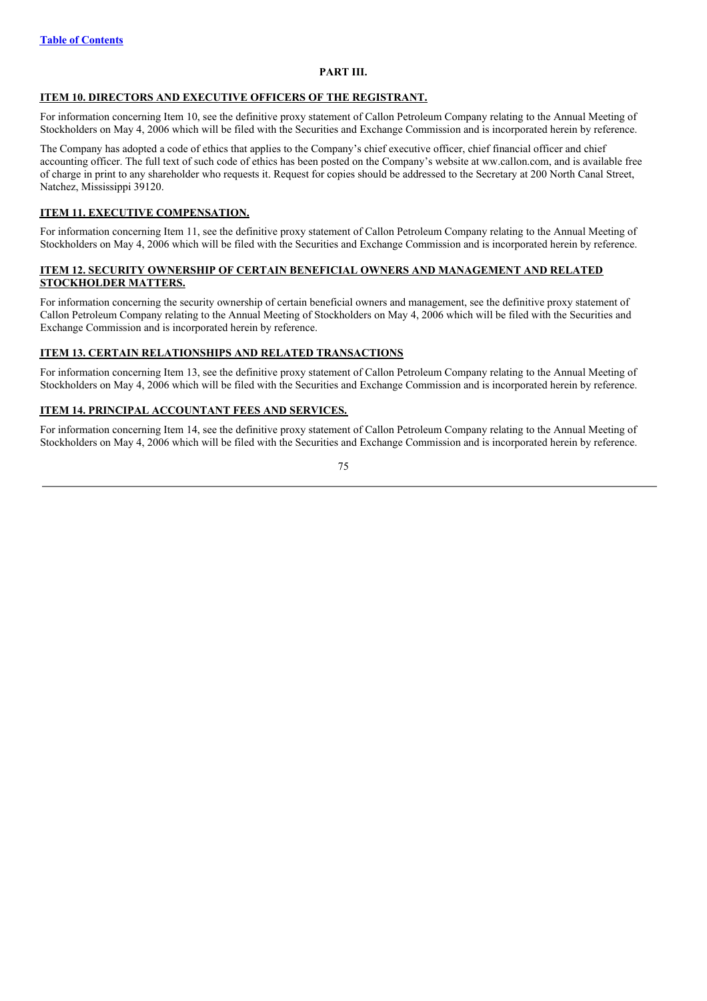### **PART III.**

# **ITEM 10. DIRECTORS AND EXECUTIVE OFFICERS OF THE REGISTRANT.**

For information concerning Item 10, see the definitive proxy statement of Callon Petroleum Company relating to the Annual Meeting of Stockholders on May 4, 2006 which will be filed with the Securities and Exchange Commission and is incorporated herein by reference.

The Company has adopted a code of ethics that applies to the Company's chief executive officer, chief financial officer and chief accounting officer. The full text of such code of ethics has been posted on the Company's website at ww.callon.com, and is available free of charge in print to any shareholder who requests it. Request for copies should be addressed to the Secretary at 200 North Canal Street, Natchez, Mississippi 39120.

### **ITEM 11. EXECUTIVE COMPENSATION.**

For information concerning Item 11, see the definitive proxy statement of Callon Petroleum Company relating to the Annual Meeting of Stockholders on May 4, 2006 which will be filed with the Securities and Exchange Commission and is incorporated herein by reference.

# **ITEM 12. SECURITY OWNERSHIP OF CERTAIN BENEFICIAL OWNERS AND MANAGEMENT AND RELATED STOCKHOLDER MATTERS.**

For information concerning the security ownership of certain beneficial owners and management, see the definitive proxy statement of Callon Petroleum Company relating to the Annual Meeting of Stockholders on May 4, 2006 which will be filed with the Securities and Exchange Commission and is incorporated herein by reference.

# **ITEM 13. CERTAIN RELATIONSHIPS AND RELATED TRANSACTIONS**

For information concerning Item 13, see the definitive proxy statement of Callon Petroleum Company relating to the Annual Meeting of Stockholders on May 4, 2006 which will be filed with the Securities and Exchange Commission and is incorporated herein by reference.

# **ITEM 14. PRINCIPAL ACCOUNTANT FEES AND SERVICES.**

For information concerning Item 14, see the definitive proxy statement of Callon Petroleum Company relating to the Annual Meeting of Stockholders on May 4, 2006 which will be filed with the Securities and Exchange Commission and is incorporated herein by reference.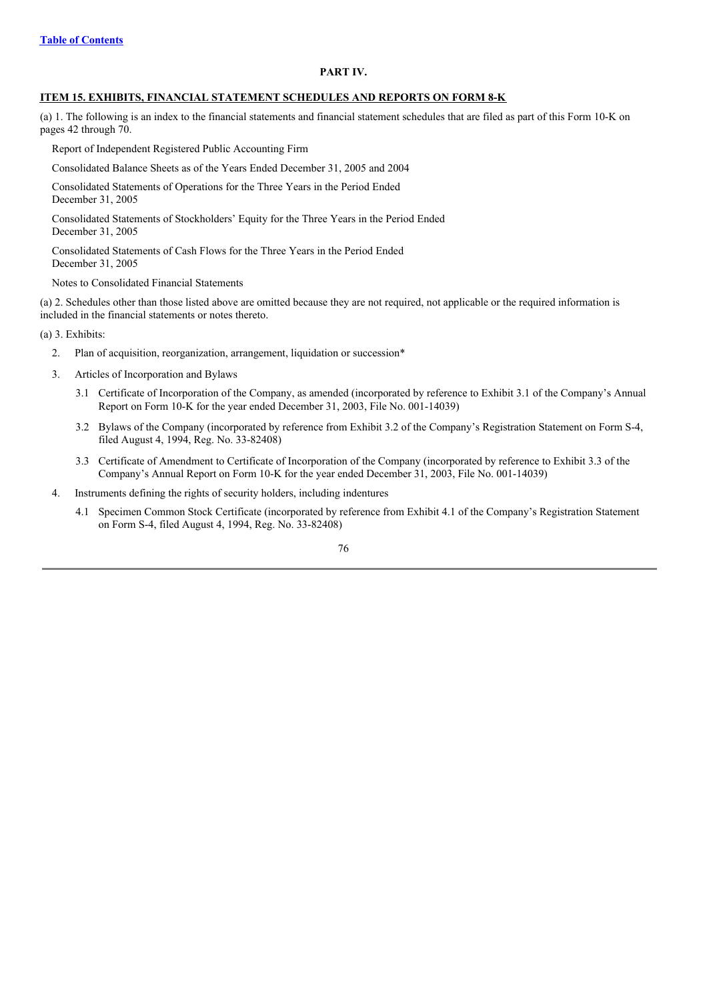# **PART IV.**

# **ITEM 15. EXHIBITS, FINANCIAL STATEMENT SCHEDULES AND REPORTS ON FORM 8-K**

(a) 1. The following is an index to the financial statements and financial statement schedules that are filed as part of this Form 10-K on pages 42 through 70.

Report of Independent Registered Public Accounting Firm

Consolidated Balance Sheets as of the Years Ended December 31, 2005 and 2004

Consolidated Statements of Operations for the Three Years in the Period Ended December 31, 2005

Consolidated Statements of Stockholders' Equity for the Three Years in the Period Ended December 31, 2005

Consolidated Statements of Cash Flows for the Three Years in the Period Ended December 31, 2005

Notes to Consolidated Financial Statements

(a) 2. Schedules other than those listed above are omitted because they are not required, not applicable or the required information is included in the financial statements or notes thereto.

(a) 3. Exhibits:

- 2. Plan of acquisition, reorganization, arrangement, liquidation or succession\*
- 3. Articles of Incorporation and Bylaws
	- 3.1 Certificate of Incorporation of the Company, as amended (incorporated by reference to Exhibit 3.1 of the Company's Annual Report on Form 10-K for the year ended December 31, 2003, File No. 001-14039)
	- 3.2 Bylaws of the Company (incorporated by reference from Exhibit 3.2 of the Company's Registration Statement on Form S-4, filed August 4, 1994, Reg. No. 33-82408)
	- 3.3 Certificate of Amendment to Certificate of Incorporation of the Company (incorporated by reference to Exhibit 3.3 of the Company's Annual Report on Form 10-K for the year ended December 31, 2003, File No. 001-14039)
- 4. Instruments defining the rights of security holders, including indentures
	- 4.1 Specimen Common Stock Certificate (incorporated by reference from Exhibit 4.1 of the Company's Registration Statement on Form S-4, filed August 4, 1994, Reg. No. 33-82408)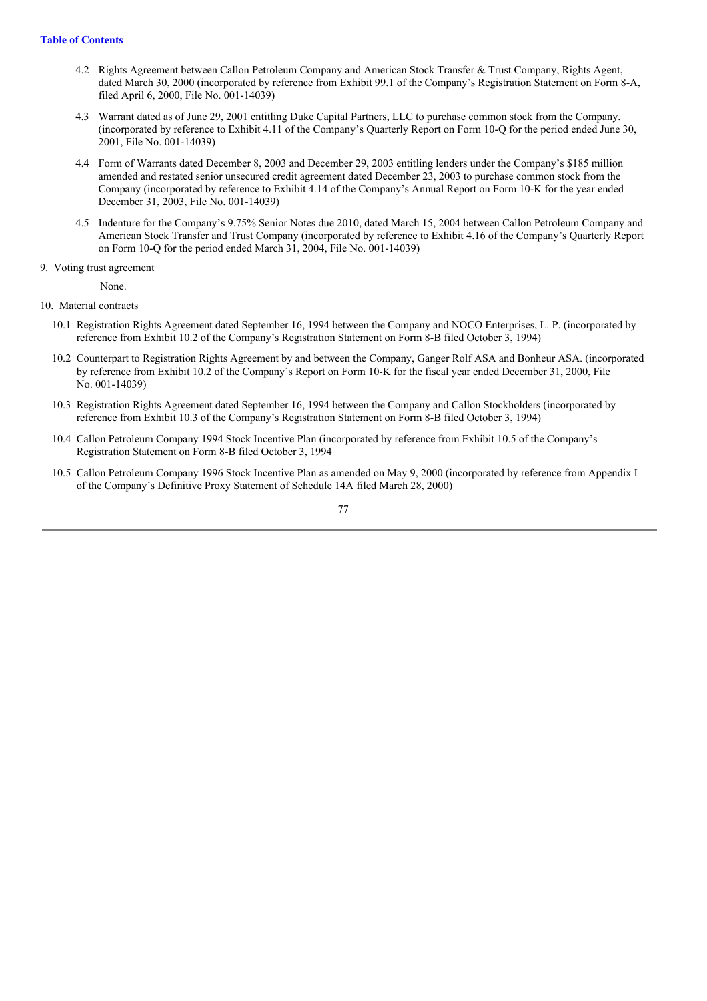- 4.2 Rights Agreement between Callon Petroleum Company and American Stock Transfer & Trust Company, Rights Agent, dated March 30, 2000 (incorporated by reference from Exhibit 99.1 of the Company's Registration Statement on Form 8-A, filed April 6, 2000, File No. 001-14039)
- 4.3 Warrant dated as of June 29, 2001 entitling Duke Capital Partners, LLC to purchase common stock from the Company. (incorporated by reference to Exhibit 4.11 of the Company's Quarterly Report on Form 10-Q for the period ended June 30, 2001, File No. 001-14039)
- 4.4 Form of Warrants dated December 8, 2003 and December 29, 2003 entitling lenders under the Company's \$185 million amended and restated senior unsecured credit agreement dated December 23, 2003 to purchase common stock from the Company (incorporated by reference to Exhibit 4.14 of the Company's Annual Report on Form 10-K for the year ended December 31, 2003, File No. 001-14039)
- 4.5 Indenture for the Company's 9.75% Senior Notes due 2010, dated March 15, 2004 between Callon Petroleum Company and American Stock Transfer and Trust Company (incorporated by reference to Exhibit 4.16 of the Company's Quarterly Report on Form 10-Q for the period ended March 31, 2004, File No. 001-14039)
- 9. Voting trust agreement

None.

10. Material contracts

- 10.1 Registration Rights Agreement dated September 16, 1994 between the Company and NOCO Enterprises, L. P. (incorporated by reference from Exhibit 10.2 of the Company's Registration Statement on Form 8-B filed October 3, 1994)
- 10.2 Counterpart to Registration Rights Agreement by and between the Company, Ganger Rolf ASA and Bonheur ASA. (incorporated by reference from Exhibit 10.2 of the Company's Report on Form 10-K for the fiscal year ended December 31, 2000, File No. 001-14039)
- 10.3 Registration Rights Agreement dated September 16, 1994 between the Company and Callon Stockholders (incorporated by reference from Exhibit 10.3 of the Company's Registration Statement on Form 8-B filed October 3, 1994)
- 10.4 Callon Petroleum Company 1994 Stock Incentive Plan (incorporated by reference from Exhibit 10.5 of the Company's Registration Statement on Form 8-B filed October 3, 1994
- 10.5 Callon Petroleum Company 1996 Stock Incentive Plan as amended on May 9, 2000 (incorporated by reference from Appendix I of the Company's Definitive Proxy Statement of Schedule 14A filed March 28, 2000)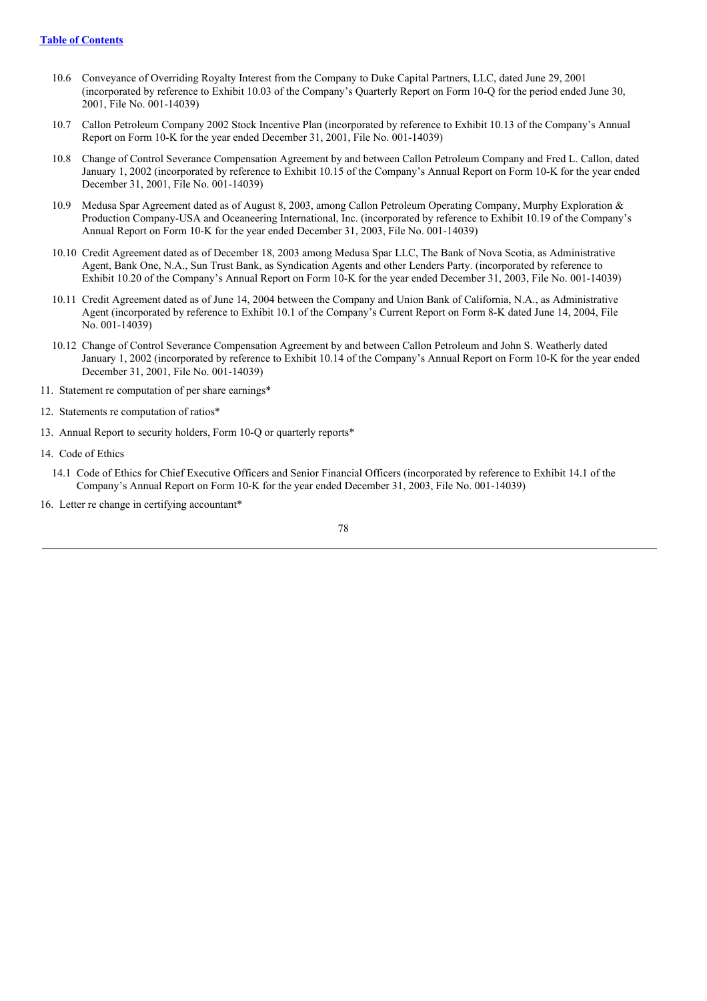- 10.6 Conveyance of Overriding Royalty Interest from the Company to Duke Capital Partners, LLC, dated June 29, 2001 (incorporated by reference to Exhibit 10.03 of the Company's Quarterly Report on Form 10-Q for the period ended June 30, 2001, File No. 001-14039)
- 10.7 Callon Petroleum Company 2002 Stock Incentive Plan (incorporated by reference to Exhibit 10.13 of the Company's Annual Report on Form 10-K for the year ended December 31, 2001, File No. 001-14039)
- 10.8 Change of Control Severance Compensation Agreement by and between Callon Petroleum Company and Fred L. Callon, dated January 1, 2002 (incorporated by reference to Exhibit 10.15 of the Company's Annual Report on Form 10-K for the year ended December 31, 2001, File No. 001-14039)
- 10.9 Medusa Spar Agreement dated as of August 8, 2003, among Callon Petroleum Operating Company, Murphy Exploration & Production Company-USA and Oceaneering International, Inc. (incorporated by reference to Exhibit 10.19 of the Company's Annual Report on Form 10-K for the year ended December 31, 2003, File No. 001-14039)
- 10.10 Credit Agreement dated as of December 18, 2003 among Medusa Spar LLC, The Bank of Nova Scotia, as Administrative Agent, Bank One, N.A., Sun Trust Bank, as Syndication Agents and other Lenders Party. (incorporated by reference to Exhibit 10.20 of the Company's Annual Report on Form 10-K for the year ended December 31, 2003, File No. 001-14039)
- 10.11 Credit Agreement dated as of June 14, 2004 between the Company and Union Bank of California, N.A., as Administrative Agent (incorporated by reference to Exhibit 10.1 of the Company's Current Report on Form 8-K dated June 14, 2004, File No. 001-14039)
- 10.12 Change of Control Severance Compensation Agreement by and between Callon Petroleum and John S. Weatherly dated January 1, 2002 (incorporated by reference to Exhibit 10.14 of the Company's Annual Report on Form 10-K for the year ended December 31, 2001, File No. 001-14039)
- 11. Statement re computation of per share earnings\*
- 12. Statements re computation of ratios\*
- 13. Annual Report to security holders, Form 10-Q or quarterly reports\*
- 14. Code of Ethics
	- 14.1 Code of Ethics for Chief Executive Officers and Senior Financial Officers (incorporated by reference to Exhibit 14.1 of the Company's Annual Report on Form 10-K for the year ended December 31, 2003, File No. 001-14039)
- 16. Letter re change in certifying accountant\*

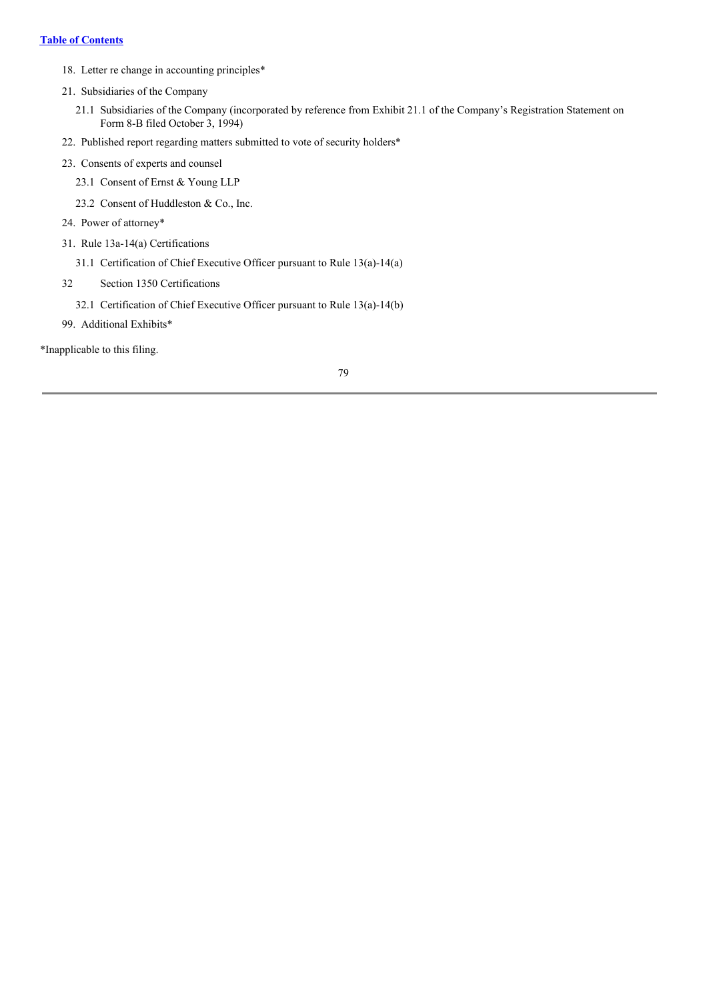#### **Table of [Contents](#page-0-0)**

- 18. Letter re change in accounting principles\*
- 21. Subsidiaries of the Company
	- 21.1 Subsidiaries of the Company (incorporated by reference from Exhibit 21.1 of the Company's Registration Statement on Form 8-B filed October 3, 1994)
- 22. Published report regarding matters submitted to vote of security holders\*
- 23. Consents of experts and counsel
	- 23.1 Consent of Ernst & Young LLP
	- 23.2 Consent of Huddleston & Co., Inc.
- 24. Power of attorney\*
- 31. Rule 13a-14(a) Certifications
	- 31.1 Certification of Chief Executive Officer pursuant to Rule 13(a)-14(a)
- 32 Section 1350 Certifications
	- 32.1 Certification of Chief Executive Officer pursuant to Rule 13(a)-14(b)
- 99. Additional Exhibits\*

\*Inapplicable to this filing.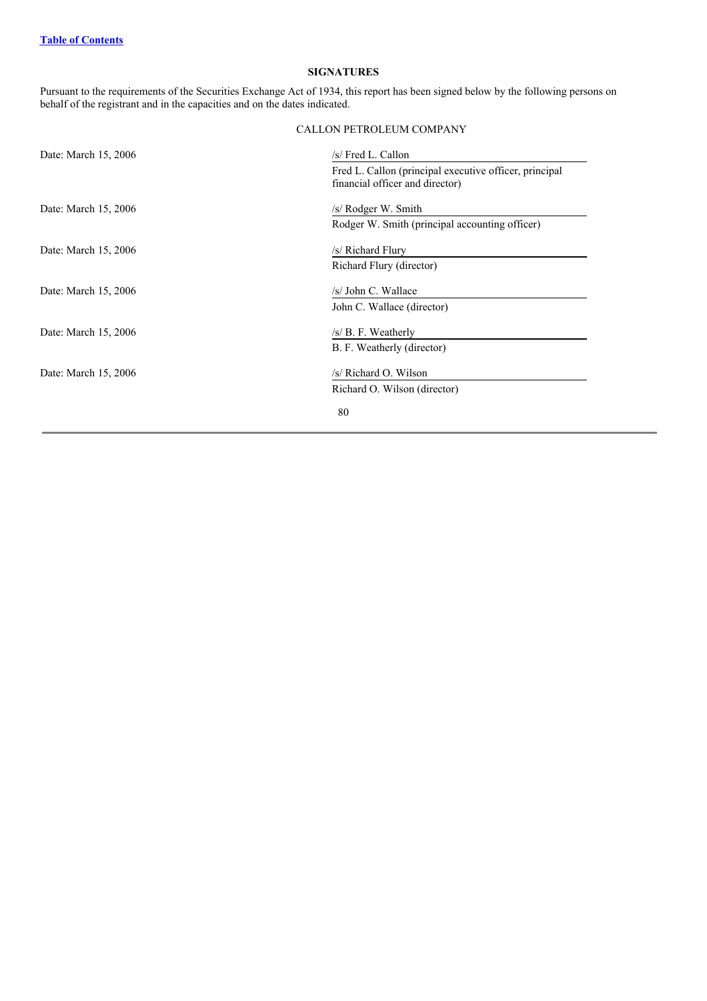# **SIGNATURES**

CALLON PETROLEUM COMPANY

Pursuant to the requirements of the Securities Exchange Act of 1934, this report has been signed below by the following persons on behalf of the registrant and in the capacities and on the dates indicated.

| Date: March 15, 2006 | /s/ Fred L. Callon                                                                        |
|----------------------|-------------------------------------------------------------------------------------------|
|                      | Fred L. Callon (principal executive officer, principal<br>financial officer and director) |
| Date: March 15, 2006 | /s/ Rodger W. Smith                                                                       |
|                      | Rodger W. Smith (principal accounting officer)                                            |
| Date: March 15, 2006 | /s/ Richard Flury                                                                         |
|                      | Richard Flury (director)                                                                  |
| Date: March 15, 2006 | /s/ John C. Wallace                                                                       |
|                      | John C. Wallace (director)                                                                |
| Date: March 15, 2006 | $/s/ B$ . F. Weatherly                                                                    |
|                      | B. F. Weatherly (director)                                                                |
| Date: March 15, 2006 | /s/ Richard O. Wilson                                                                     |
|                      | Richard O. Wilson (director)                                                              |
|                      | 80                                                                                        |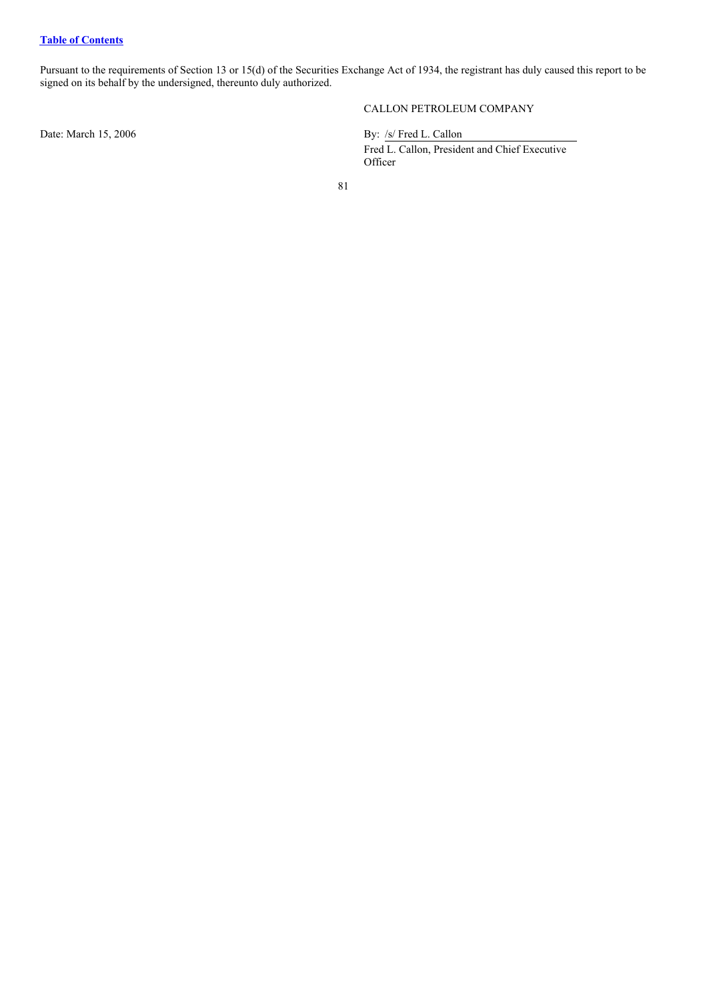Pursuant to the requirements of Section 13 or 15(d) of the Securities Exchange Act of 1934, the registrant has duly caused this report to be signed on its behalf by the undersigned, thereunto duly authorized.

Date: March 15, 2006 By: /s/ Fred L. Callon

CALLON PETROLEUM COMPANY

Fred L. Callon, President and Chief Executive **Officer**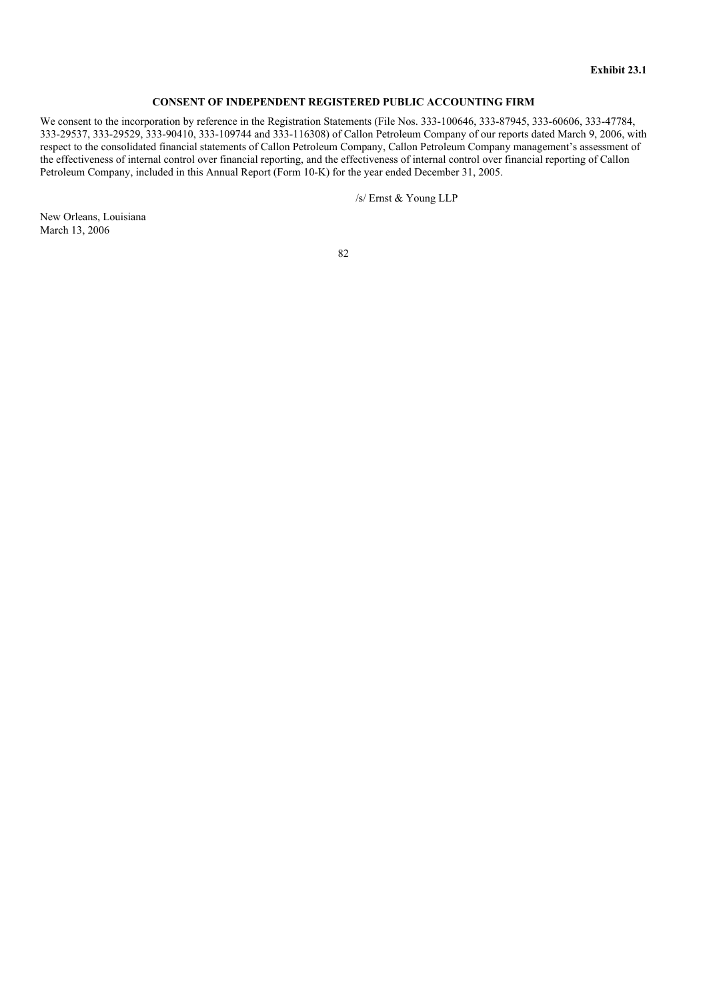# **CONSENT OF INDEPENDENT REGISTERED PUBLIC ACCOUNTING FIRM**

We consent to the incorporation by reference in the Registration Statements (File Nos. 333-100646, 333-87945, 333-60606, 333-47784, 333-29537, 333-29529, 333-90410, 333-109744 and 333-116308) of Callon Petroleum Company of our reports dated March 9, 2006, with respect to the consolidated financial statements of Callon Petroleum Company, Callon Petroleum Company management's assessment of the effectiveness of internal control over financial reporting, and the effectiveness of internal control over financial reporting of Callon Petroleum Company, included in this Annual Report (Form 10-K) for the year ended December 31, 2005.

/s/ Ernst & Young LLP

New Orleans, Louisiana March 13, 2006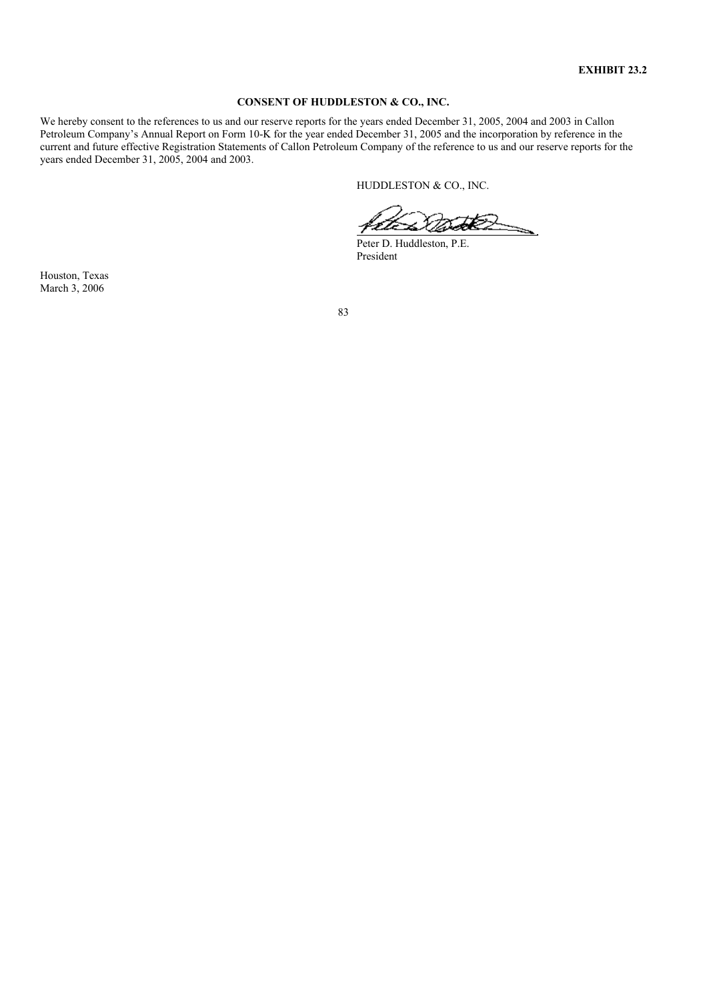### **CONSENT OF HUDDLESTON & CO., INC.**

We hereby consent to the references to us and our reserve reports for the years ended December 31, 2005, 2004 and 2003 in Callon Petroleum Company's Annual Report on Form 10-K for the year ended December 31, 2005 and the incorporation by reference in the current and future effective Registration Statements of Callon Petroleum Company of the reference to us and our reserve reports for the years ended December 31, 2005, 2004 and 2003.

HUDDLESTON & CO., INC.

Peter D. Huddleston, P.E. President

Houston, Texas March 3, 2006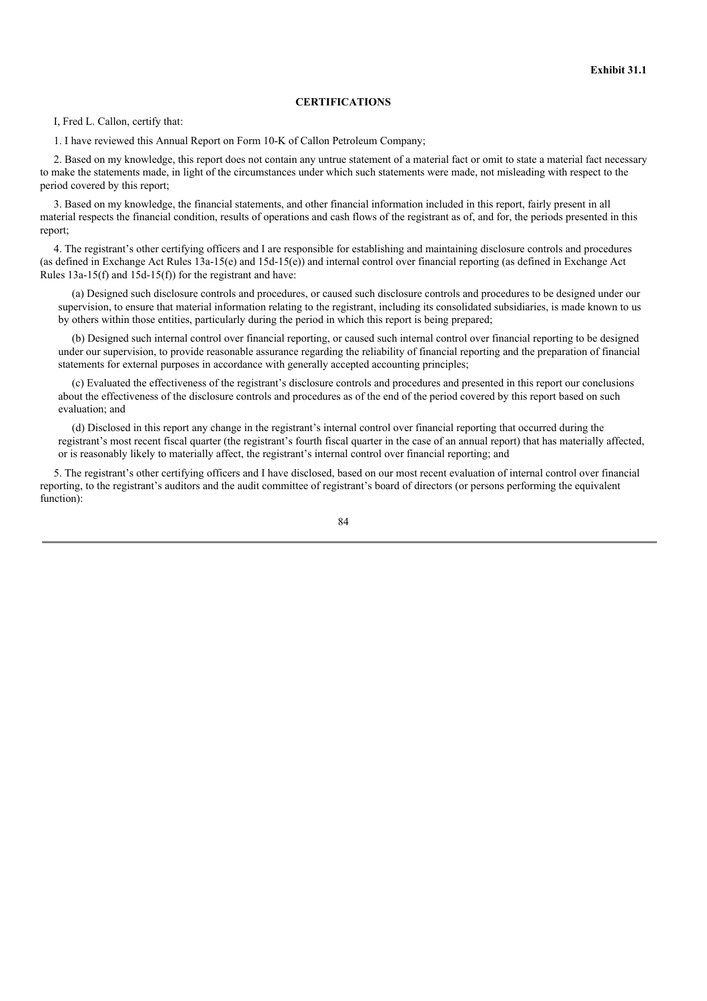#### **CERTIFICATIONS**

I, Fred L. Callon, certify that:

1. I have reviewed this Annual Report on Form 10-K of Callon Petroleum Company;

2. Based on my knowledge, this report does not contain any untrue statement of a material fact or omit to state a material fact necessary to make the statements made, in light of the circumstances under which such statements were made, not misleading with respect to the period covered by this report;

3. Based on my knowledge, the financial statements, and other financial information included in this report, fairly present in all material respects the financial condition, results of operations and cash flows of the registrant as of, and for, the periods presented in this report;

4. The registrant's other certifying officers and I are responsible for establishing and maintaining disclosure controls and procedures (as defined in Exchange Act Rules 13a-15(e) and 15d-15(e)) and internal control over financial reporting (as defined in Exchange Act Rules  $13a-15(f)$  and  $15d-15(f)$  for the registrant and have:

(a) Designed such disclosure controls and procedures, or caused such disclosure controls and procedures to be designed under our supervision, to ensure that material information relating to the registrant, including its consolidated subsidiaries, is made known to us by others within those entities, particularly during the period in which this report is being prepared;

(b) Designed such internal control over financial reporting, or caused such internal control over financial reporting to be designed under our supervision, to provide reasonable assurance regarding the reliability of financial reporting and the preparation of financial statements for external purposes in accordance with generally accepted accounting principles;

(c) Evaluated the effectiveness of the registrant's disclosure controls and procedures and presented in this report our conclusions about the effectiveness of the disclosure controls and procedures as of the end of the period covered by this report based on such evaluation; and

(d) Disclosed in this report any change in the registrant's internal control over financial reporting that occurred during the registrant's most recent fiscal quarter (the registrant's fourth fiscal quarter in the case of an annual report) that has materially affected, or is reasonably likely to materially affect, the registrant's internal control over financial reporting; and

5. The registrant's other certifying officers and I have disclosed, based on our most recent evaluation of internal control over financial reporting, to the registrant's auditors and the audit committee of registrant's board of directors (or persons performing the equivalent function):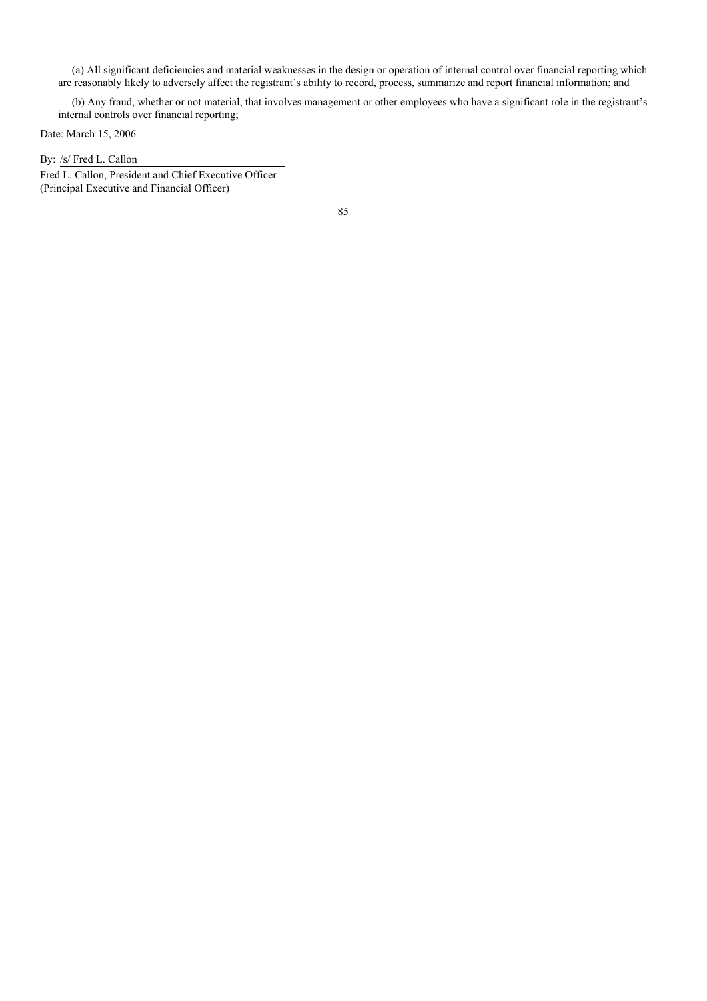(a) All significant deficiencies and material weaknesses in the design or operation of internal control over financial reporting which are reasonably likely to adversely affect the registrant's ability to record, process, summarize and report financial information; and

(b) Any fraud, whether or not material, that involves management or other employees who have a significant role in the registrant's internal controls over financial reporting;

Date: March 15, 2006

By: /s/ Fred L. Callon

Fred L. Callon, President and Chief Executive Officer (Principal Executive and Financial Officer)